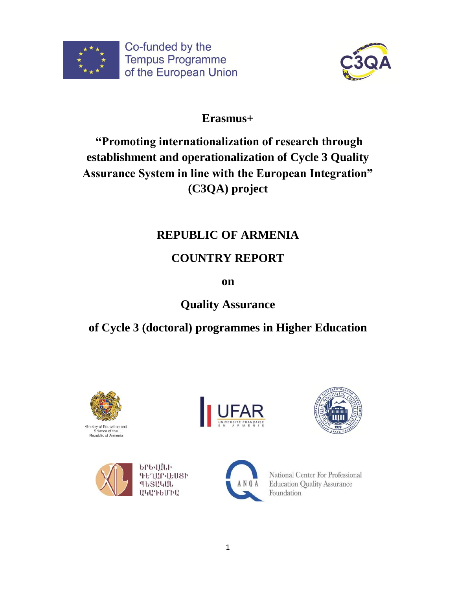



## **Erasmus+**

# **"Promoting internationalization of research through establishment and operationalization of Cycle 3 Quality Assurance System in line with the European Integration" (C3QA) project**

## **REPUBLIC OF ARMENIA**

# **COUNTRY REPORT**

**on**

**Quality Assurance** 

# **of Cycle 3 (doctoral) programmes in Higher Education**









ԵՐԵՎԱՆԻ ԳԵՂԱՐՎԵՍՏԻ ՊԵՏԱԿԱՆ **U4U7bUPH** 



National Center For Professional **Education Quality Assurance** Foundation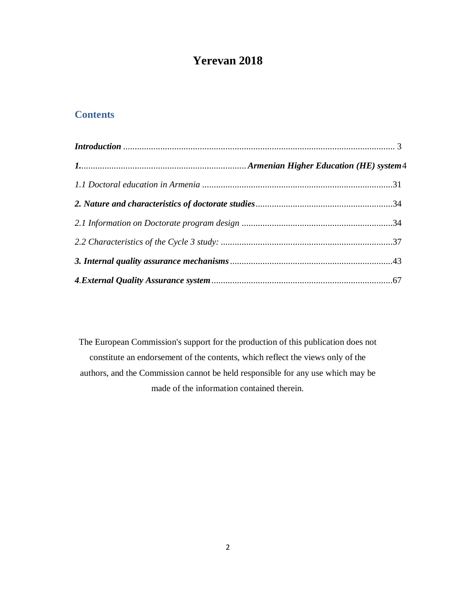## **Yerevan 2018**

## **Contents**

<span id="page-1-0"></span>The European Commission's support for the production of this publication does not constitute an endorsement of the contents, which reflect the views only of the authors, and the Commission cannot be held responsible for any use which may be made of the information contained therein.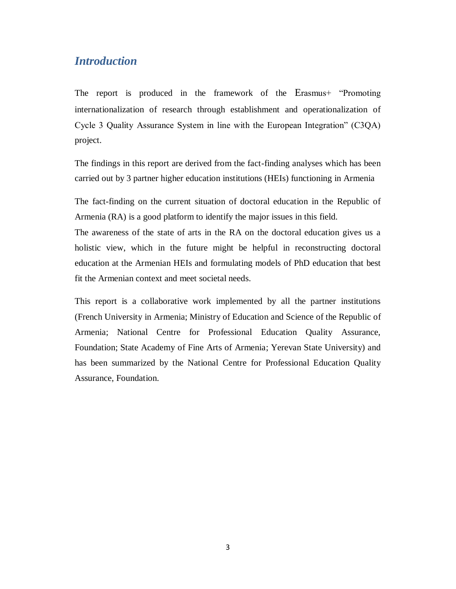## *Introduction*

The report is produced in the framework of the Erasmus+ "Promoting internationalization of research through establishment and operationalization of Cycle 3 Quality Assurance System in line with the European Integration" (C3QA) project.

The findings in this report are derived from the fact-finding analyses which has been carried out by 3 partner higher education institutions (HEIs) functioning in Armenia

The fact-finding on the current situation of doctoral education in the Republic of Armenia (RA) is a good platform to identify the major issues in this field.

The awareness of the state of arts in the RA on the doctoral education gives us a holistic view, which in the future might be helpful in reconstructing doctoral education at the Armenian HEIs and formulating models of PhD education that best fit the Armenian context and meet societal needs.

This report is a collaborative work implemented by all the partner institutions (French University in Armenia; Ministry of Education and Science of the Republic of Armenia; National Centre for Professional Education Quality Assurance, Foundation; [State Academy of Fine Arts of Armenia;](http://www.yafa.am/en/) Yerevan State University) and has been summarized by the National Centre for Professional Education Quality Assurance, Foundation.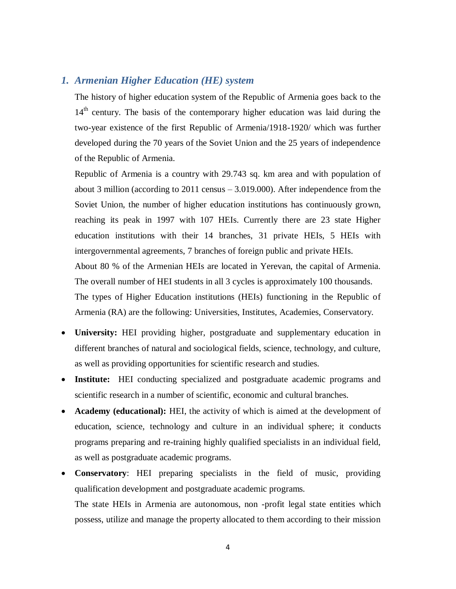### <span id="page-3-0"></span>*1. Armenian Higher Education (HE) system*

The history of higher education system of the Republic of Armenia goes back to the 14<sup>th</sup> century. The basis of the contemporary higher education was laid during the two-year existence of the first Republic of Armenia/1918-1920/ which was further developed during the 70 years of the Soviet Union and the 25 years of independence of the Republic of Armenia.

Republic of Armenia is a country with 29.743 sq. km area and with population of about 3 million (according to 2011 census – 3.019.000). After independence from the Soviet Union, the number of higher education institutions has continuously grown, reaching its peak in 1997 with 107 HEIs. Currently there are 23 state Higher education institutions with their 14 branches, 31 private HEIs, 5 HEIs with intergovernmental agreements, 7 branches of foreign public and private HEIs. About 80 % of the Armenian HEIs are located in Yerevan, the capital of Armenia. The overall number of HEI students in all 3 cycles is approximately 100 thousands. The types of Higher Education institutions (HEIs) functioning in the Republic of Armenia (RA) are the following: Universities, Institutes, Academies, Conservatory.

- **University:** HEI providing higher, postgraduate and supplementary education in different branches of natural and sociological fields, science, technology, and culture, as well as providing opportunities for scientific research and studies.
- **Institute:** HEI conducting specialized and postgraduate academic programs and scientific research in a number of scientific, economic and cultural branches.
- **Academy (educational):** HEI, the activity of which is aimed at the development of education, science, technology and culture in an individual sphere; it conducts programs preparing and re-training highly qualified specialists in an individual field, as well as postgraduate academic programs.
- **Conservatory**: HEI preparing specialists in the field of music, providing qualification development and postgraduate academic programs. The state HEIs in Armenia are autonomous, non -profit legal state entities which possess, utilize and manage the property allocated to them according to their mission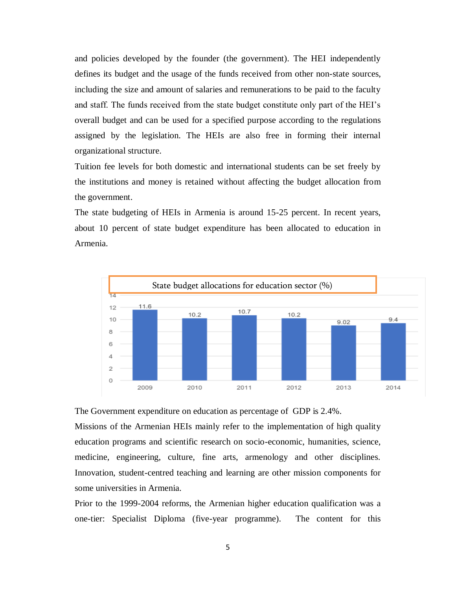and policies developed by the founder (the government). The HEI independently defines its budget and the usage of the funds received from other non-state sources, including the size and amount of salaries and remunerations to be paid to the faculty and staff. The funds received from the state budget constitute only part of the HEI's overall budget and can be used for a specified purpose according to the regulations assigned by the legislation. The HEIs are also free in forming their internal organizational structure.

Tuition fee levels for both domestic and international students can be set freely by the institutions and money is retained without affecting the budget allocation from the government.

The state budgeting of HEIs in Armenia is around 15-25 percent. In recent years, about 10 percent of state budget expenditure has been allocated to education in Armenia.



The Government expenditure on education as percentage of GDP is 2.4%.

Missions of the Armenian HEIs mainly refer to the implementation of high quality education programs and scientific research on socio-economic, humanities, science, medicine, engineering, culture, fine arts, armenology and other disciplines. Innovation, student-centred teaching and learning are other mission components for some universities in Armenia.

Prior to the 1999-2004 reforms, the Armenian higher education qualification was a one-tier: Specialist Diploma (five-year programme). The content for this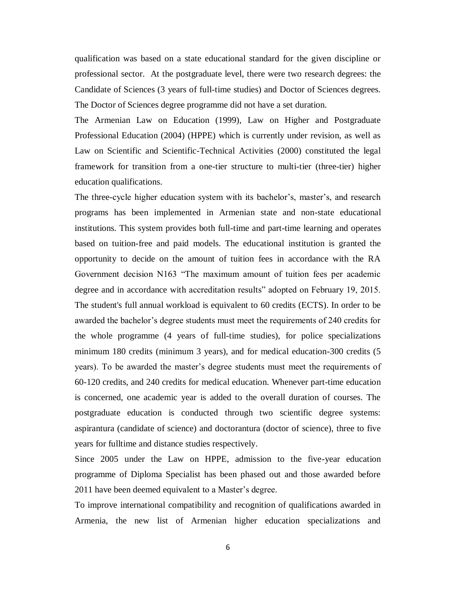qualification was based on a state educational standard for the given discipline or professional sector. At the postgraduate level, there were two research degrees: the Candidate of Sciences (3 years of full-time studies) and Doctor of Sciences degrees. The Doctor of Sciences degree programme did not have a set duration.

The Armenian Law on Education (1999), Law on Higher and Postgraduate Professional Education (2004) (HPPE) which is currently under revision, as well as Law on Scientific and Scientific-Technical Activities (2000) constituted the legal framework for transition from a one-tier structure to multi-tier (three-tier) higher education qualifications.

The three-cycle higher education system with its bachelor's, master's, and research programs has been implemented in Armenian state and non-state educational institutions. This system provides both full-time and part-time learning and operates based on tuition-free and paid models. The educational institution is granted the opportunity to decide on the amount of tuition fees in accordance with the RA Government decision N163 "The maximum amount of tuition fees per academic degree and in accordance with accreditation results" adopted on February 19, 2015. The student's full annual workload is equivalent to 60 credits (ECTS). In order to be awarded the bachelor's degree students must meet the requirements of 240 credits for the whole programme (4 years of full-time studies), for police specializations minimum 180 credits (minimum 3 years), and for medical education-300 credits (5 years). To be awarded the master's degree students must meet the requirements of 60-120 credits, and 240 credits for medical education. Whenever part-time education is concerned, one academic year is added to the overall duration of courses. The postgraduate education is conducted through two scientific degree systems: aspirantura (candidate of science) and doctorantura (doctor of science), three to five years for fulltime and distance studies respectively.

Since 2005 under the Law on HPPE, admission to the five-year education programme of Diploma Specialist has been phased out and those awarded before 2011 have been deemed equivalent to a Master's degree.

To improve international compatibility and recognition of qualifications awarded in Armenia, the new list of Armenian higher education specializations and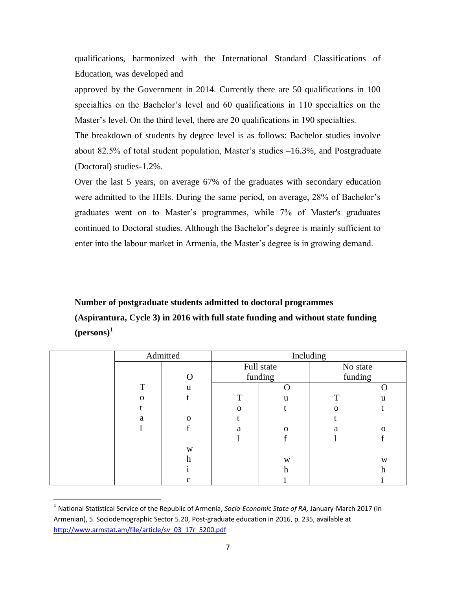qualifications, harmonized with the International Standard Classifications of Education, was developed and

approved by the Government in 2014. Currently there are 50 qualifications in 100 specialties on the Bachelor's level and 60 qualifications in 110 specialties on the Master's level. On the third level, there are 20 qualifications in 190 specialties.

The breakdown of students by degree level is as follows: Bachelor studies involve about 82.5% of total student population, Master's studies –16.3%, and Postgraduate (Doctoral) studies-1.2%.

Over the last 5 years, on average 67% of the graduates with secondary education were admitted to the HEIs. During the same period, on average, 28% of Bachelor's graduates went on to Master's programmes, while 7% of Master's graduates continued to Doctoral studies. Although the Bachelor's degree is mainly sufficient to enter into the labour market in Armenia, the Master's degree is in growing demand.

## **Number of postgraduate students admitted to doctoral programmes (Aspirantura, Cycle 3) in 2016 with full state funding and without state funding (persons)<sup>1</sup>**

|          | Admitted | Including |              |   |             |
|----------|----------|-----------|--------------|---|-------------|
|          |          |           | Full state   |   | No state    |
|          |          |           | funding      |   | funding     |
| T        | u        |           |              |   | $\mathbf C$ |
| $\Omega$ |          | T         | u            | T | u           |
|          |          |           |              | O |             |
| a        | $\Omega$ |           |              |   |             |
|          |          | a         | $\mathbf{O}$ | a | O           |
|          |          |           |              |   |             |
|          | W        |           |              |   |             |
|          | h        |           | W            |   | W           |
|          |          |           | h            |   | h           |
|          | c        |           |              |   |             |

<sup>&</sup>lt;sup>1</sup> National Statistical Service of the Republic of Armenia, *Socio-Economic State of RA, J*anuary-March 2017 (in Armenian), 5. Sociodemographic Sector 5.20, Post-graduate education in 2016, p. 235, available at [http://www.armstat.am/file/article/sv\\_03\\_17r\\_5200.pdf](http://www.armstat.am/file/article/sv_03_17r_5200.pdf)

 $\overline{\phantom{a}}$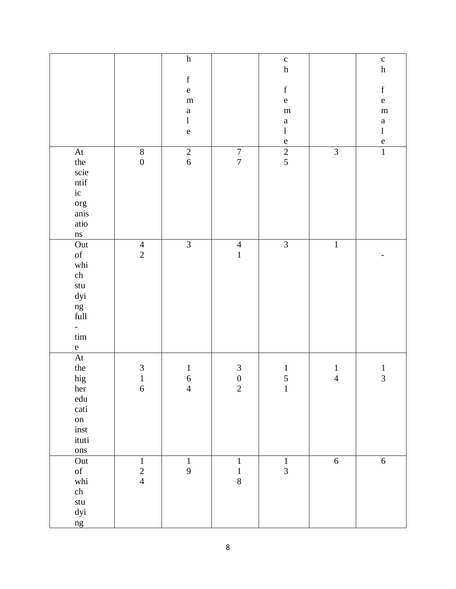|                                                                                                                                                                                                            |                                     | $\boldsymbol{\textbf{h}}$<br>$\mathbf f$<br>$\mathbf{e}% _{B}=\mathbf{e}_{B}+\mathbf{e}_{B}+\mathbf{e}_{B}+\mathbf{e}_{B}$<br>${\bf m}$<br>$\mathbf{a}$<br>$\bf{l}$<br>${\bf e}$ |                                           | $\mathbf c$<br>$\boldsymbol{\textbf{h}}$<br>$\mathbf f$<br>${\bf e}$<br>${\bf m}$<br>$\mathbf{a}$<br>$\bf{l}$<br>${\bf e}$ |                                | $\mathbf c$<br>$\boldsymbol{\textbf{h}}$<br>$\mathbf f$<br>$\mathbf e$<br>${\bf m}$<br>$\mathbf{a}$<br>$\bf{l}$<br>$\frac{e}{1}$ |
|------------------------------------------------------------------------------------------------------------------------------------------------------------------------------------------------------------|-------------------------------------|----------------------------------------------------------------------------------------------------------------------------------------------------------------------------------|-------------------------------------------|----------------------------------------------------------------------------------------------------------------------------|--------------------------------|----------------------------------------------------------------------------------------------------------------------------------|
| At<br>the<br>scie<br>$\mathop{\mathsf{ntif}}$<br>$\rm ic$<br>org<br>anis<br>atio<br>ns                                                                                                                     | $\overline{8}$<br>$\boldsymbol{0}$  | $\overline{2}$<br>$\sqrt{6}$                                                                                                                                                     | $\frac{7}{7}$                             | $\frac{1}{2}$                                                                                                              | $\overline{3}$                 |                                                                                                                                  |
| Out<br>$% \left( \left( \mathcal{A},\mathcal{A}\right) \right) =\left( \mathcal{A},\mathcal{A}\right)$ of<br>whi<br>ch<br>stu<br>$dyi$<br>ng<br>full<br>$\overline{\phantom{0}}$<br>$\lim$<br>$\mathbf{e}$ | $\overline{4}$<br>$\overline{2}$    | $\overline{3}$                                                                                                                                                                   | $\overline{4}$<br>$\mathbf{1}$            | $\overline{3}$                                                                                                             | $\overline{1}$                 |                                                                                                                                  |
| At<br>the<br>hig<br>her<br>${\rm edu}$<br>cati<br>on<br>$\operatorname{inst}$<br>ituti<br>ons                                                                                                              | $\mathfrak{Z}$<br>$\mathbf{1}$<br>6 | $\mathbf{1}$<br>$\sqrt{6}$<br>$\overline{4}$                                                                                                                                     | $\begin{matrix} 3 \\ 0 \end{matrix}$<br>2 | $\mathbf{1}$<br>5<br>$\mathbf{1}$                                                                                          | $\mathbf{1}$<br>$\overline{4}$ | $\frac{1}{3}$                                                                                                                    |
| Out<br>$\mathrm{of}$<br>whi<br>ch<br>$\operatorname{\mathsf{stu}}$<br>dyi<br>ng                                                                                                                            | $\,1\,$<br>$\frac{2}{4}$            | $\mathbf{1}$<br>$\mathbf{9}$                                                                                                                                                     | $\,1\,$<br>$\mathbf{1}$<br>$\,8\,$        | $\,1\,$<br>$\overline{3}$                                                                                                  | $\overline{6}$                 | $\sqrt{6}$                                                                                                                       |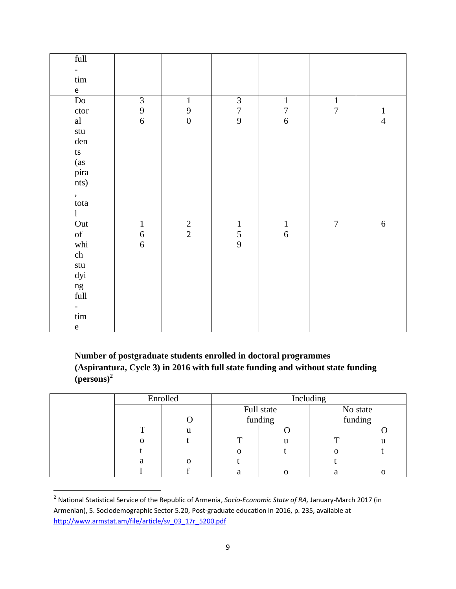| $\overline{\mathbf{full}}$                                                                         |                                       |                                       |                                            |                                       |                |               |
|----------------------------------------------------------------------------------------------------|---------------------------------------|---------------------------------------|--------------------------------------------|---------------------------------------|----------------|---------------|
| $\overline{\phantom{0}}$                                                                           |                                       |                                       |                                            |                                       |                |               |
| $\lim$                                                                                             |                                       |                                       |                                            |                                       |                |               |
| e                                                                                                  |                                       |                                       |                                            |                                       |                |               |
| $\operatorname{Do}$                                                                                | $\mathfrak{Z}$                        | $\mathbf 1$                           | $\begin{array}{c} 3 \\ 7 \\ 9 \end{array}$ | $\,1\,$                               | $\frac{1}{7}$  |               |
| ctor                                                                                               | $\frac{9}{6}$                         | $\begin{array}{c} 9 \\ 0 \end{array}$ |                                            | $\begin{array}{c} 7 \\ 6 \end{array}$ |                | $\frac{1}{4}$ |
| $\mathbf{a}\mathbf{l}$                                                                             |                                       |                                       |                                            |                                       |                |               |
| $\operatorname{\mathsf{stu}}$                                                                      |                                       |                                       |                                            |                                       |                |               |
| den                                                                                                |                                       |                                       |                                            |                                       |                |               |
| $\mathop{\text{ts}}$                                                                               |                                       |                                       |                                            |                                       |                |               |
| (as                                                                                                |                                       |                                       |                                            |                                       |                |               |
| pira                                                                                               |                                       |                                       |                                            |                                       |                |               |
| nts)                                                                                               |                                       |                                       |                                            |                                       |                |               |
| ,                                                                                                  |                                       |                                       |                                            |                                       |                |               |
| tota                                                                                               |                                       |                                       |                                            |                                       |                |               |
| $\mathbf{1}$                                                                                       |                                       |                                       |                                            |                                       |                |               |
| Out                                                                                                | $\mathbf 1$                           | $\frac{2}{2}$                         | $\begin{array}{c} 1 \\ 5 \\ 9 \end{array}$ | $\,1\,$                               | $\overline{7}$ | $\sqrt{6}$    |
| $% \left( \left( \mathcal{A},\mathcal{A}\right) \right) =\left( \mathcal{A},\mathcal{A}\right)$ of | $\begin{array}{c} 6 \\ 6 \end{array}$ |                                       |                                            | $\overline{6}$                        |                |               |
| whi                                                                                                |                                       |                                       |                                            |                                       |                |               |
| ch                                                                                                 |                                       |                                       |                                            |                                       |                |               |
| $\operatorname{\mathsf{stu}}$                                                                      |                                       |                                       |                                            |                                       |                |               |
| dyi                                                                                                |                                       |                                       |                                            |                                       |                |               |
| ng<br>full                                                                                         |                                       |                                       |                                            |                                       |                |               |
|                                                                                                    |                                       |                                       |                                            |                                       |                |               |
| $\overline{\phantom{a}}$                                                                           |                                       |                                       |                                            |                                       |                |               |
| $\ensuremath{\mathrm{tim}}$                                                                        |                                       |                                       |                                            |                                       |                |               |
| ${\bf e}$                                                                                          |                                       |                                       |                                            |                                       |                |               |

### **Number of postgraduate students enrolled in doctoral programmes (Aspirantura, Cycle 3) in 2016 with full state funding and without state funding (persons)<sup>2</sup>**

|   | Enrolled | Including  |   |   |          |
|---|----------|------------|---|---|----------|
|   |          | Full state |   |   | No state |
|   |          | funding    |   |   | funding  |
| ፐ | u        |            |   |   |          |
|   |          | m          | u | m | u        |
|   |          |            |   |   |          |
| а | Ω        |            |   |   |          |
|   |          |            |   |   |          |

 2 National Statistical Service of the Republic of Armenia, *Socio-Economic State of RA,* January-March 2017 (in Armenian), 5. Sociodemographic Sector 5.20, Post-graduate education in 2016, p. 235, available at [http://www.armstat.am/file/article/sv\\_03\\_17r\\_5200.pdf](http://www.armstat.am/file/article/sv_03_17r_5200.pdf)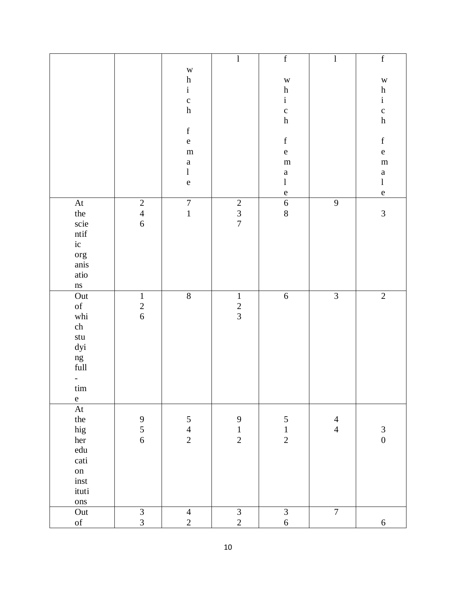|                            |                                            |                                   | $\mathbf{l}$                               | $\mathbf f$                                | $\mathbf{l}$   | $\mathbf f$                                                                                                                                                                                                                                                                                                                                                                                                                    |
|----------------------------|--------------------------------------------|-----------------------------------|--------------------------------------------|--------------------------------------------|----------------|--------------------------------------------------------------------------------------------------------------------------------------------------------------------------------------------------------------------------------------------------------------------------------------------------------------------------------------------------------------------------------------------------------------------------------|
|                            |                                            | W<br>$\boldsymbol{\textbf{h}}$    |                                            | $\mathbf W$                                |                | $\mathbf W$                                                                                                                                                                                                                                                                                                                                                                                                                    |
|                            |                                            | $\mathbf{i}$                      |                                            | $\boldsymbol{\textbf{h}}$                  |                |                                                                                                                                                                                                                                                                                                                                                                                                                                |
|                            |                                            | $\mathbf{C}$                      |                                            | $\mathbf{i}$                               |                | $\frac{h}{i}$                                                                                                                                                                                                                                                                                                                                                                                                                  |
|                            |                                            | $\boldsymbol{\textbf{h}}$         |                                            | $\mathbf c$                                |                |                                                                                                                                                                                                                                                                                                                                                                                                                                |
|                            |                                            |                                   |                                            | $\boldsymbol{\textbf{h}}$                  |                | $\frac{\rm c}{\rm h}$                                                                                                                                                                                                                                                                                                                                                                                                          |
|                            |                                            | $\mathbf f$                       |                                            |                                            |                |                                                                                                                                                                                                                                                                                                                                                                                                                                |
|                            |                                            | $\mathbf{e}% _{t}\left( t\right)$ |                                            | $\mathbf f$                                |                | $\mathbf f$                                                                                                                                                                                                                                                                                                                                                                                                                    |
|                            |                                            | ${\bf m}$                         |                                            | $\mathbf e$                                |                | $\mathbf{e}% _{B}=\mathbf{e}_{B}+\mathbf{e}_{B}+\mathbf{e}_{B}+\mathbf{e}_{B}+\mathbf{e}_{B}+\mathbf{e}_{B}+\mathbf{e}_{C}+\mathbf{e}_{C}+\mathbf{e}_{D}+\mathbf{e}_{D}+\mathbf{e}_{D}+\mathbf{e}_{D}+\mathbf{e}_{D}+\mathbf{e}_{D}+\mathbf{e}_{D}+\mathbf{e}_{D}+\mathbf{e}_{D}+\mathbf{e}_{D}+\mathbf{e}_{D}+\mathbf{e}_{D}+\mathbf{e}_{D}+\mathbf{e}_{D}+\mathbf{e}_{D}+\mathbf{e}_{D}+\mathbf{e}_{D}+\mathbf{e}_{D}+\math$ |
|                            |                                            | $\mathbf{a}$                      |                                            | ${\bf m}$                                  |                | ${\bf m}$                                                                                                                                                                                                                                                                                                                                                                                                                      |
|                            |                                            | $\bf{l}$                          |                                            | $\mathbf{a}$                               |                | $\mathbf{a}$                                                                                                                                                                                                                                                                                                                                                                                                                   |
|                            |                                            | ${\bf e}$                         |                                            | $\mathbf{l}$                               |                | $\bf{l}$                                                                                                                                                                                                                                                                                                                                                                                                                       |
|                            |                                            |                                   |                                            | $\mathbf e$                                |                | $\mathbf e$                                                                                                                                                                                                                                                                                                                                                                                                                    |
| $\mathop{\rm At}\nolimits$ | $\sqrt{2}$                                 | $\overline{7}$                    | $\begin{array}{c} 2 \\ 3 \\ 7 \end{array}$ | $\sqrt{6}$                                 | $\mathbf{9}$   |                                                                                                                                                                                                                                                                                                                                                                                                                                |
| the                        | $\frac{4}{6}$                              | $\mathbbm{1}$                     |                                            | $8\,$                                      |                | $\mathfrak{Z}$                                                                                                                                                                                                                                                                                                                                                                                                                 |
| scie                       |                                            |                                   |                                            |                                            |                |                                                                                                                                                                                                                                                                                                                                                                                                                                |
| $\mathop{\mathsf{ntif}}$   |                                            |                                   |                                            |                                            |                |                                                                                                                                                                                                                                                                                                                                                                                                                                |
| ic                         |                                            |                                   |                                            |                                            |                |                                                                                                                                                                                                                                                                                                                                                                                                                                |
| org<br>anis                |                                            |                                   |                                            |                                            |                |                                                                                                                                                                                                                                                                                                                                                                                                                                |
| atio                       |                                            |                                   |                                            |                                            |                |                                                                                                                                                                                                                                                                                                                                                                                                                                |
| $\rm ns$                   |                                            |                                   |                                            |                                            |                |                                                                                                                                                                                                                                                                                                                                                                                                                                |
| Out                        | $\,1\,$                                    | $\overline{8}$                    | $\mathbf 1$                                | $\sqrt{6}$                                 | $\overline{3}$ | $\overline{2}$                                                                                                                                                                                                                                                                                                                                                                                                                 |
| $\mathrm{of}$              |                                            |                                   |                                            |                                            |                |                                                                                                                                                                                                                                                                                                                                                                                                                                |
| whi                        | $\begin{array}{c} 2 \\ 6 \end{array}$      |                                   | $\frac{2}{3}$                              |                                            |                |                                                                                                                                                                                                                                                                                                                                                                                                                                |
| ch                         |                                            |                                   |                                            |                                            |                |                                                                                                                                                                                                                                                                                                                                                                                                                                |
| $\operatorname{stu}$       |                                            |                                   |                                            |                                            |                |                                                                                                                                                                                                                                                                                                                                                                                                                                |
| dyi                        |                                            |                                   |                                            |                                            |                |                                                                                                                                                                                                                                                                                                                                                                                                                                |
|                            |                                            |                                   |                                            |                                            |                |                                                                                                                                                                                                                                                                                                                                                                                                                                |
| ng<br>full                 |                                            |                                   |                                            |                                            |                |                                                                                                                                                                                                                                                                                                                                                                                                                                |
| $\overline{\phantom{0}}$   |                                            |                                   |                                            |                                            |                |                                                                                                                                                                                                                                                                                                                                                                                                                                |
| tim                        |                                            |                                   |                                            |                                            |                |                                                                                                                                                                                                                                                                                                                                                                                                                                |
| $\mathbf{e}$               |                                            |                                   |                                            |                                            |                |                                                                                                                                                                                                                                                                                                                                                                                                                                |
| At                         |                                            |                                   |                                            |                                            |                |                                                                                                                                                                                                                                                                                                                                                                                                                                |
| the                        |                                            | $\sqrt{5}$                        | 9                                          |                                            | $\overline{4}$ |                                                                                                                                                                                                                                                                                                                                                                                                                                |
| hig                        | $\begin{array}{c} 9 \\ 5 \\ 6 \end{array}$ | $\overline{4}$                    | $\mathbf 1$                                | $\begin{array}{c} 5 \\ 1 \\ 2 \end{array}$ | $\overline{4}$ | $\mathfrak{Z}$                                                                                                                                                                                                                                                                                                                                                                                                                 |
| her                        |                                            | $\overline{2}$                    | $\overline{2}$                             |                                            |                | $\overline{0}$                                                                                                                                                                                                                                                                                                                                                                                                                 |
| ${\rm edu}$                |                                            |                                   |                                            |                                            |                |                                                                                                                                                                                                                                                                                                                                                                                                                                |
| cati                       |                                            |                                   |                                            |                                            |                |                                                                                                                                                                                                                                                                                                                                                                                                                                |
| on                         |                                            |                                   |                                            |                                            |                |                                                                                                                                                                                                                                                                                                                                                                                                                                |
| inst                       |                                            |                                   |                                            |                                            |                |                                                                                                                                                                                                                                                                                                                                                                                                                                |
| ituti                      |                                            |                                   |                                            |                                            |                |                                                                                                                                                                                                                                                                                                                                                                                                                                |
| ons                        |                                            |                                   |                                            |                                            |                |                                                                                                                                                                                                                                                                                                                                                                                                                                |
| Out                        | $\frac{3}{3}$                              | $\overline{4}$                    | $\frac{1}{2}$                              | $\overline{3}$                             | $\overline{7}$ |                                                                                                                                                                                                                                                                                                                                                                                                                                |
| $\sigma f$                 |                                            | $\overline{2}$                    |                                            | $\boldsymbol{6}$                           |                | $6\phantom{.0}$                                                                                                                                                                                                                                                                                                                                                                                                                |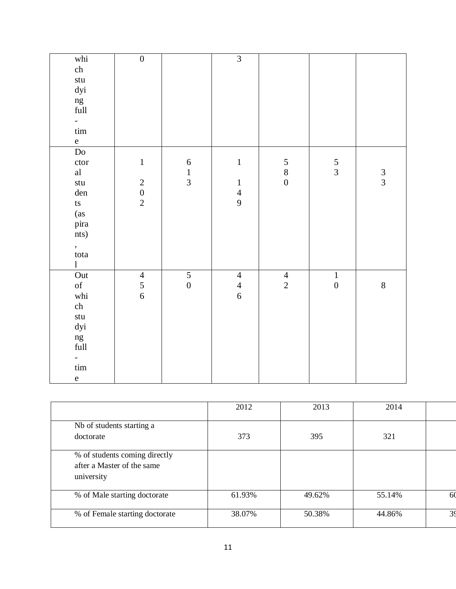| whi                        | $\overline{0}$                             |                  | $\overline{3}$                        |                                            |                  |               |
|----------------------------|--------------------------------------------|------------------|---------------------------------------|--------------------------------------------|------------------|---------------|
| ${\rm ch}$                 |                                            |                  |                                       |                                            |                  |               |
| stu                        |                                            |                  |                                       |                                            |                  |               |
| dyi                        |                                            |                  |                                       |                                            |                  |               |
|                            |                                            |                  |                                       |                                            |                  |               |
| ng<br>full                 |                                            |                  |                                       |                                            |                  |               |
| $\mathbb{Z}^{\mathbb{Z}}$  |                                            |                  |                                       |                                            |                  |               |
| $\lim$                     |                                            |                  |                                       |                                            |                  |               |
| $\mathbf{e}$               |                                            |                  |                                       |                                            |                  |               |
| $\overline{{\rm Do}}$      |                                            |                  |                                       |                                            |                  |               |
| ctor                       | $\,1\,$                                    | $\sqrt{6}$       | $\mathbf 1$                           |                                            | $rac{5}{3}$      |               |
| al                         |                                            | $\frac{1}{3}$    |                                       | $\begin{array}{c} 5 \\ 8 \\ 0 \end{array}$ |                  | $\frac{3}{3}$ |
| stu                        | $\begin{array}{c} 2 \\ 0 \\ 2 \end{array}$ |                  | $\boldsymbol{1}$                      |                                            |                  |               |
| den                        |                                            |                  | $\frac{4}{9}$                         |                                            |                  |               |
| $\mathop{\rm ts}\nolimits$ |                                            |                  |                                       |                                            |                  |               |
| (as<br>pira                |                                            |                  |                                       |                                            |                  |               |
|                            |                                            |                  |                                       |                                            |                  |               |
| nts)                       |                                            |                  |                                       |                                            |                  |               |
|                            |                                            |                  |                                       |                                            |                  |               |
| ,<br>tota                  |                                            |                  |                                       |                                            |                  |               |
| $\mathbf{l}$               |                                            |                  |                                       |                                            |                  |               |
| Out                        | $\begin{array}{c} 4 \\ 5 \\ 6 \end{array}$ | $\overline{5}$   | $\overline{4}$                        | $\frac{4}{2}$                              | $\,1\,$          |               |
| $\mathrm{of}$              |                                            | $\boldsymbol{0}$ | $\begin{array}{c} 4 \\ 6 \end{array}$ |                                            | $\boldsymbol{0}$ | $\,8\,$       |
| whi                        |                                            |                  |                                       |                                            |                  |               |
| ${\rm ch}$                 |                                            |                  |                                       |                                            |                  |               |
| stu                        |                                            |                  |                                       |                                            |                  |               |
| dyi                        |                                            |                  |                                       |                                            |                  |               |
| ng<br>full                 |                                            |                  |                                       |                                            |                  |               |
|                            |                                            |                  |                                       |                                            |                  |               |
| $\qquad \qquad -$          |                                            |                  |                                       |                                            |                  |               |
| $\lim$                     |                                            |                  |                                       |                                            |                  |               |
| $\mathbf e$                |                                            |                  |                                       |                                            |                  |               |

|                                                                           | 2012   | 2013   | 2014   |    |
|---------------------------------------------------------------------------|--------|--------|--------|----|
| Nb of students starting a<br>doctorate                                    | 373    | 395    | 321    |    |
| % of students coming directly<br>after a Master of the same<br>university |        |        |        |    |
| % of Male starting doctorate                                              | 61.93% | 49.62% | 55.14% | 60 |
| % of Female starting doctorate                                            | 38.07% | 50.38% | 44.86% | 39 |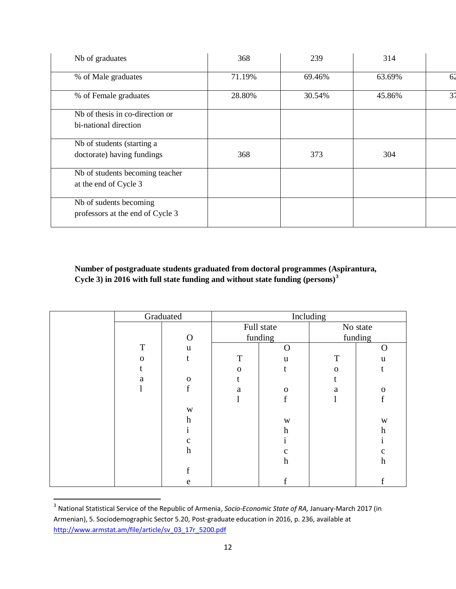| Nb of graduates                                            | 368    | 239    | 314    |                |
|------------------------------------------------------------|--------|--------|--------|----------------|
| % of Male graduates                                        | 71.19% | 69.46% | 63.69% | 62             |
| % of Female graduates                                      | 28.80% | 30.54% | 45.86% | 3 <sup>7</sup> |
| Nb of thesis in co-direction or<br>bi-national direction   |        |        |        |                |
| Nb of students (starting a<br>doctorate) having fundings   | 368    | 373    | 304    |                |
| Nb of students becoming teacher<br>at the end of Cycle 3   |        |        |        |                |
| Nb of sudents becoming<br>professors at the end of Cycle 3 |        |        |        |                |

**Number of postgraduate students graduated from doctoral programmes (Aspirantura, Cycle 3) in 2016 with full state funding and without state funding (persons)<sup>3</sup>**

|             |                           |              |                           |                       | No state         |
|-------------|---------------------------|--------------|---------------------------|-----------------------|------------------|
|             | $\Omega$                  |              |                           |                       | funding          |
| $\mathbf T$ | u                         |              | O                         |                       | O                |
| $\Omega$    |                           | T            | u                         | T                     | u                |
|             |                           | $\mathbf{O}$ | t                         | $\mathbf{O}$          |                  |
| a           | $\mathbf 0$               |              |                           |                       |                  |
|             |                           | a            | $\mathbf 0$               | a                     | $\mathbf{O}$     |
|             |                           |              | $\mathbf f$               |                       | f                |
|             | W                         |              |                           |                       |                  |
|             | h                         |              | W                         |                       | W                |
|             |                           |              | h                         |                       | h                |
|             | $\mathbf{C}$              |              |                           |                       |                  |
|             | $\boldsymbol{\mathrm{h}}$ |              | $\mathbf{C}$              |                       | c                |
|             |                           |              | $\boldsymbol{\mathrm{h}}$ |                       | $\boldsymbol{h}$ |
|             | £                         |              |                           |                       |                  |
|             | e                         |              |                           |                       |                  |
|             |                           | Graduated    |                           | Full state<br>funding | Including        |

 3 National Statistical Service of the Republic of Armenia, *Socio-Economic State of RA,* January-March 2017 (in Armenian), 5. Sociodemographic Sector 5.20, Post-graduate education in 2016, p. 236, available at [http://www.armstat.am/file/article/sv\\_03\\_17r\\_5200.pdf](http://www.armstat.am/file/article/sv_03_17r_5200.pdf)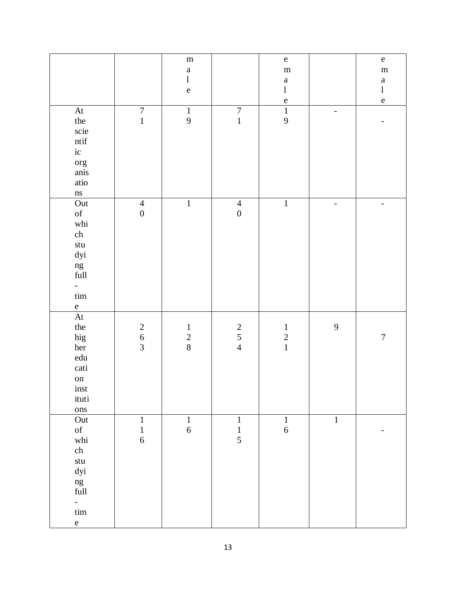|                                                                                                                                                                                                                                                                  |                                            | ${\bf m}$<br>$\mathbf{a}$<br>$\mathbf{l}$<br>${\bf e}$ |                                            | ${\bf e}$<br>${\bf m}$<br>$\mathbf{a}$<br>$\bf{l}$<br>${\bf e}$ |              | ${\bf e}$<br>${\bf m}$<br>$\mathbf{a}$<br>$\bf{l}$<br>$\mathbf{e}% _{B}=\mathbf{e}_{B}+\mathbf{e}_{B}+\mathbf{e}_{B}+\mathbf{e}_{B}+\mathbf{e}_{B}+\mathbf{e}_{B}+\mathbf{e}_{C}+\mathbf{e}_{C}+\mathbf{e}_{D}+\mathbf{e}_{D}+\mathbf{e}_{D}+\mathbf{e}_{D}+\mathbf{e}_{D}+\mathbf{e}_{D}+\mathbf{e}_{D}+\mathbf{e}_{D}+\mathbf{e}_{D}+\mathbf{e}_{D}+\mathbf{e}_{D}+\mathbf{e}_{D}+\mathbf{e}_{D}+\mathbf{e}_{D}+\mathbf{e}_{D}+\mathbf{e}_{D}+\mathbf{e}_{D}+\mathbf{e}_{D}+\math$ |
|------------------------------------------------------------------------------------------------------------------------------------------------------------------------------------------------------------------------------------------------------------------|--------------------------------------------|--------------------------------------------------------|--------------------------------------------|-----------------------------------------------------------------|--------------|--------------------------------------------------------------------------------------------------------------------------------------------------------------------------------------------------------------------------------------------------------------------------------------------------------------------------------------------------------------------------------------------------------------------------------------------------------------------------------------|
| $\mathop{\rm At}\nolimits$<br>the<br>scie<br>$\mathop{\mathsf{ntif}}$<br>ic<br>org<br>$\,$ anis<br>atio<br>$\rm ns$                                                                                                                                              | $\overline{7}$<br>$\mathbf 1$              | $\,1\,$<br>9                                           | $\begin{array}{c} 7 \\ 1 \end{array}$      | $\overline{1}$<br>$\mathbf{9}$                                  | -            |                                                                                                                                                                                                                                                                                                                                                                                                                                                                                      |
| Out<br>$% \left( \left( \mathcal{A},\mathcal{A}\right) \right) =\left( \mathcal{A},\mathcal{A}\right)$ of<br>whi<br>${\rm ch}$<br>$\operatorname{stu}$<br>dyi<br>ng<br>full<br>-<br>$\lim$<br>$\mathbf{e}% _{t}\left( t\right)$                                  | $\overline{4}$<br>$\overline{0}$           | $\,1\,$                                                | $\overline{4}$<br>$\boldsymbol{0}$         | $\mathbf 1$                                                     |              |                                                                                                                                                                                                                                                                                                                                                                                                                                                                                      |
| $\mathop{\rm At}\nolimits$<br>the<br>hig<br>her<br>${\rm edu}$<br>cati<br>${\rm on}$<br>inst<br>ituti<br>ons                                                                                                                                                     | $\begin{array}{c} 2 \\ 6 \\ 3 \end{array}$ | $\,1$<br>$\frac{2}{8}$                                 | $\begin{array}{c} 2 \\ 5 \\ 4 \end{array}$ | $\mathbf{1}$<br>$\begin{array}{c} 2 \\ 1 \end{array}$           | $\mathbf{9}$ | $\boldsymbol{7}$                                                                                                                                                                                                                                                                                                                                                                                                                                                                     |
| Out<br>$% \left( \left( \mathcal{A},\mathcal{A}\right) \right) =\left( \mathcal{A},\mathcal{A}\right)$ of<br>$\operatorname{whi}$<br>${\rm ch}$<br>$\operatorname{\mathsf{stu}}$<br>dyi<br>ng<br>$\operatorname{full}$<br>$\frac{1}{2}$<br>$\lim$<br>$\mathbf e$ | $\mathbf 1$<br>$\,1$<br>$\sqrt{6}$         | $\mathbf{1}$<br>$\sqrt{6}$                             | $\mathbf{1}$<br>$\,1\,$<br>5               | $1\,$<br>$\sqrt{6}$                                             | $\,1\,$      |                                                                                                                                                                                                                                                                                                                                                                                                                                                                                      |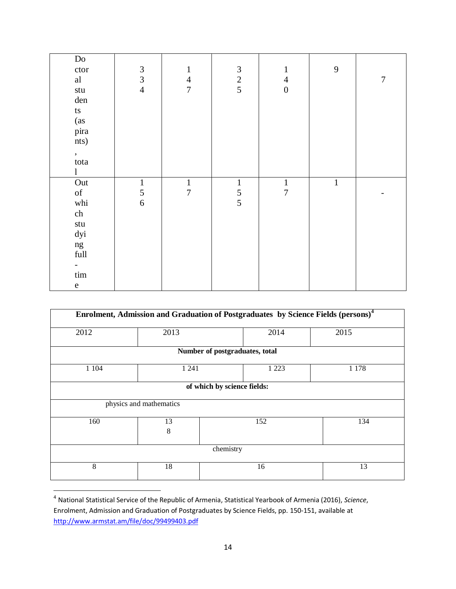| $\overline{\text{Do}}$        |                             |                  |                |                  |             |                  |
|-------------------------------|-----------------------------|------------------|----------------|------------------|-------------|------------------|
| ctor                          | $\ensuremath{\mathfrak{Z}}$ | $\mathbf{1}$     | $\mathfrak{Z}$ | $\mathbf{1}$     | 9           |                  |
| al                            | $\mathfrak{Z}$              | $\overline{4}$   | $\frac{2}{5}$  | $\overline{4}$   |             | $\boldsymbol{7}$ |
| $\operatorname{\mathsf{stu}}$ | $\overline{4}$              | $\overline{7}$   |                | $\boldsymbol{0}$ |             |                  |
| den                           |                             |                  |                |                  |             |                  |
| ts                            |                             |                  |                |                  |             |                  |
| (as                           |                             |                  |                |                  |             |                  |
| pira                          |                             |                  |                |                  |             |                  |
| nts)                          |                             |                  |                |                  |             |                  |
| $\bullet$                     |                             |                  |                |                  |             |                  |
| tota                          |                             |                  |                |                  |             |                  |
| $\mathbf{l}$                  |                             |                  |                |                  |             |                  |
| Out                           | $\mathbf 1$                 | $\,1$            | $\,1\,$        | $\,1\,$          | $\mathbf 1$ |                  |
| of                            | $\sqrt{5}$                  | $\boldsymbol{7}$ | $\frac{5}{5}$  | $\boldsymbol{7}$ |             |                  |
| whi                           | $\sqrt{6}$                  |                  |                |                  |             |                  |
| ch                            |                             |                  |                |                  |             |                  |
| $\operatorname{\mathsf{stu}}$ |                             |                  |                |                  |             |                  |
| dyi                           |                             |                  |                |                  |             |                  |
| ng                            |                             |                  |                |                  |             |                  |
| $\operatorname{full}$         |                             |                  |                |                  |             |                  |
|                               |                             |                  |                |                  |             |                  |
| $\ensuremath{\mathrm{tim}}$   |                             |                  |                |                  |             |                  |
| ${\bf e}$                     |                             |                  |                |                  |             |                  |

|         |                             | Enrolment, Admission and Graduation of Postgraduates by Science Fields (persons) <sup>4</sup> |         |  |  |  |
|---------|-----------------------------|-----------------------------------------------------------------------------------------------|---------|--|--|--|
| 2012    | 2013                        | 2014                                                                                          | 2015    |  |  |  |
|         |                             | Number of postgraduates, total                                                                |         |  |  |  |
| 1 1 0 4 | 1 2 4 1                     | 1 2 2 3                                                                                       | 1 1 7 8 |  |  |  |
|         | of which by science fields: |                                                                                               |         |  |  |  |
|         | physics and mathematics     |                                                                                               |         |  |  |  |
| 160     | 13<br>8                     | 152                                                                                           | 134     |  |  |  |
|         |                             | chemistry                                                                                     |         |  |  |  |
| 8       | 18                          | 16                                                                                            | 13      |  |  |  |

 4 National Statistical Service of the Republic of Armenia, Statistical Yearbook of Armenia (2016), *Science*, Enrolment, Admission and Graduation of Postgraduates by Science Fields, pp. 150-151, available at <http://www.armstat.am/file/doc/99499403.pdf>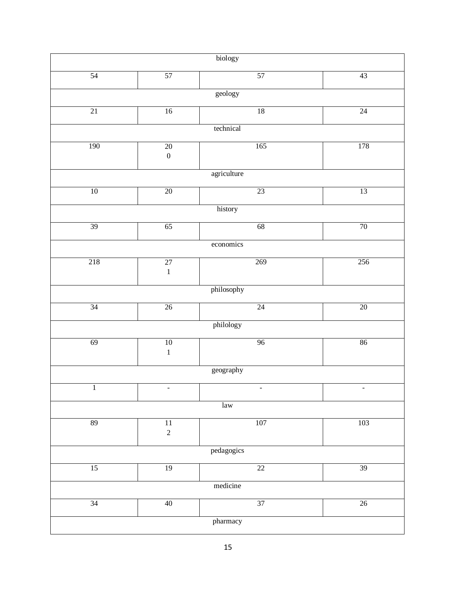| biology      |                                |                           |                 |  |  |  |  |  |
|--------------|--------------------------------|---------------------------|-----------------|--|--|--|--|--|
| 54           | 57                             | 57                        | 43              |  |  |  |  |  |
| geology      |                                |                           |                 |  |  |  |  |  |
| 21           | 16                             | 18                        | 24              |  |  |  |  |  |
|              |                                | technical                 |                 |  |  |  |  |  |
| 190          | $20\,$<br>$\boldsymbol{0}$     | 165                       | 178             |  |  |  |  |  |
|              |                                | agriculture               |                 |  |  |  |  |  |
| 10           | 20                             | 23                        | 13              |  |  |  |  |  |
|              |                                | history                   |                 |  |  |  |  |  |
| 39           | 65                             | 68                        | 70              |  |  |  |  |  |
|              |                                | economics                 |                 |  |  |  |  |  |
| 218          | $\overline{27}$<br>$\mathbf 1$ | 269                       | 256             |  |  |  |  |  |
|              |                                | philosophy                |                 |  |  |  |  |  |
| 34           | $26\,$                         | 24                        | 20              |  |  |  |  |  |
|              |                                | philology                 |                 |  |  |  |  |  |
| 69           | $\overline{10}$<br>$\mathbf 1$ | 96                        | 86              |  |  |  |  |  |
|              |                                | geography                 |                 |  |  |  |  |  |
| $\mathbf{1}$ |                                |                           |                 |  |  |  |  |  |
|              |                                | $\ensuremath{\text{law}}$ |                 |  |  |  |  |  |
| 89           | 11<br>$\overline{c}$           | 107                       | 103             |  |  |  |  |  |
| pedagogics   |                                |                           |                 |  |  |  |  |  |
| 15           | 19                             | 22                        | 39              |  |  |  |  |  |
| medicine     |                                |                           |                 |  |  |  |  |  |
| 34           | $40\,$                         | 37                        | $\overline{26}$ |  |  |  |  |  |
|              | pharmacy                       |                           |                 |  |  |  |  |  |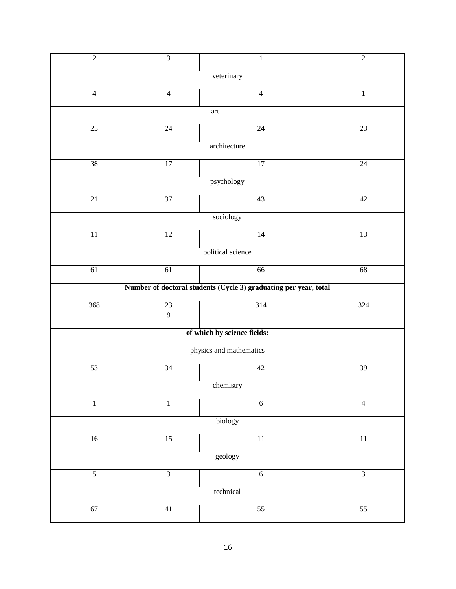| $\overline{2}$                                                                                                                       | $\overline{3}$  | $\,1$                                                            | $\overline{2}$  |  |  |  |  |  |
|--------------------------------------------------------------------------------------------------------------------------------------|-----------------|------------------------------------------------------------------|-----------------|--|--|--|--|--|
| veterinary                                                                                                                           |                 |                                                                  |                 |  |  |  |  |  |
| $\overline{4}$                                                                                                                       | $\overline{4}$  | $\overline{4}$                                                   | 1               |  |  |  |  |  |
| $\operatorname*{art}% \nolimits_{\mathbb{Z}}\left( \mathbb{Z}^{\Sigma\left( 1\right) }% ,\mathbb{Z}^{\Sigma\left( 2\right) }\right)$ |                 |                                                                  |                 |  |  |  |  |  |
| 25                                                                                                                                   | 24              | 24                                                               | $\overline{23}$ |  |  |  |  |  |
|                                                                                                                                      |                 | architecture                                                     |                 |  |  |  |  |  |
| $\overline{38}$                                                                                                                      | $\overline{17}$ | $\overline{17}$                                                  | $\overline{24}$ |  |  |  |  |  |
|                                                                                                                                      |                 | psychology                                                       |                 |  |  |  |  |  |
| 21                                                                                                                                   | 37              | 43                                                               | $\overline{42}$ |  |  |  |  |  |
|                                                                                                                                      |                 | sociology                                                        |                 |  |  |  |  |  |
| $\overline{11}$                                                                                                                      | $\overline{12}$ | 14                                                               | $\overline{13}$ |  |  |  |  |  |
|                                                                                                                                      |                 | political science                                                |                 |  |  |  |  |  |
| 61                                                                                                                                   | 61              | 66                                                               | 68              |  |  |  |  |  |
|                                                                                                                                      |                 | Number of doctoral students (Cycle 3) graduating per year, total |                 |  |  |  |  |  |
| 368                                                                                                                                  | 23              | 314                                                              | 324             |  |  |  |  |  |
|                                                                                                                                      | $\overline{9}$  |                                                                  |                 |  |  |  |  |  |
|                                                                                                                                      |                 | of which by science fields:                                      |                 |  |  |  |  |  |
|                                                                                                                                      |                 | physics and mathematics                                          |                 |  |  |  |  |  |
| 53                                                                                                                                   | 34              | 42                                                               | 39              |  |  |  |  |  |
|                                                                                                                                      |                 | chemistry                                                        |                 |  |  |  |  |  |
| $\mathbf{1}$                                                                                                                         | $\mathbf{1}$    | 6                                                                | $\overline{4}$  |  |  |  |  |  |
| biology                                                                                                                              |                 |                                                                  |                 |  |  |  |  |  |
| 16                                                                                                                                   | 15              | 11                                                               | $\overline{11}$ |  |  |  |  |  |
| geology                                                                                                                              |                 |                                                                  |                 |  |  |  |  |  |
| $\overline{5}$                                                                                                                       | $\overline{3}$  | $\overline{6}$                                                   | $\overline{3}$  |  |  |  |  |  |
|                                                                                                                                      |                 | technical                                                        |                 |  |  |  |  |  |
| 67                                                                                                                                   | 41              | 55                                                               | 55              |  |  |  |  |  |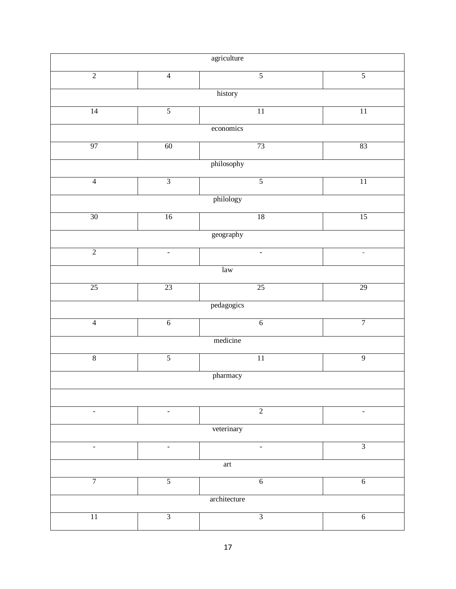| agriculture              |                     |                          |                |  |  |  |
|--------------------------|---------------------|--------------------------|----------------|--|--|--|
| $\overline{2}$           | $\overline{4}$      | $\overline{5}$           | $\overline{5}$ |  |  |  |
|                          |                     | history                  |                |  |  |  |
|                          | $\overline{5}$      | 11                       |                |  |  |  |
| 14                       |                     |                          | 11             |  |  |  |
|                          |                     | economics                |                |  |  |  |
| 97                       | 60                  | 73                       | 83             |  |  |  |
|                          |                     | $\,$ philosophy          |                |  |  |  |
| $\overline{4}$           | $\overline{3}$      | $\overline{5}$           | 11             |  |  |  |
|                          |                     | philology                |                |  |  |  |
| $30\,$                   | 16                  | 18                       | 15             |  |  |  |
|                          |                     | $\,$ geography           |                |  |  |  |
| $\overline{2}$           | $\bar{\phantom{a}}$ | $\bar{\phantom{a}}$      | ä,             |  |  |  |
| law                      |                     |                          |                |  |  |  |
| 25                       | 23                  | $\overline{25}$          | 29             |  |  |  |
|                          |                     | pedagogics               |                |  |  |  |
| $\overline{4}$           | $\overline{6}$      | $\overline{6}$           | $\overline{7}$ |  |  |  |
|                          |                     | medicine                 |                |  |  |  |
| $\overline{8}$           | $\overline{5}$      | $\overline{11}$          | $\overline{9}$ |  |  |  |
|                          |                     | pharmacy                 |                |  |  |  |
|                          |                     |                          |                |  |  |  |
| $\blacksquare$           | $\blacksquare$      | $\overline{2}$           | ÷              |  |  |  |
| veterinary               |                     |                          |                |  |  |  |
| $\blacksquare$           | $\blacksquare$      | $\overline{\phantom{a}}$ | $\overline{3}$ |  |  |  |
| $\operatorname{\sf art}$ |                     |                          |                |  |  |  |
| $\overline{7}$           | $\overline{5}$      | 6                        | $6\,$          |  |  |  |
| architecture             |                     |                          |                |  |  |  |
| $\overline{11}$          | $\overline{3}$      | $\overline{3}$           | $\overline{6}$ |  |  |  |
|                          |                     |                          |                |  |  |  |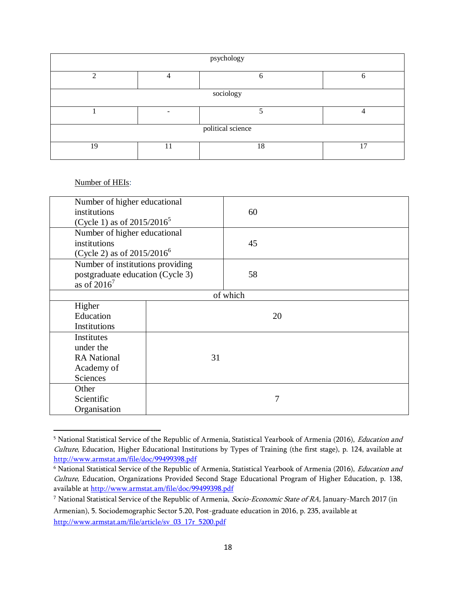| psychology        |    |    |    |  |  |
|-------------------|----|----|----|--|--|
|                   |    | h  | O  |  |  |
| sociology         |    |    |    |  |  |
|                   |    |    |    |  |  |
| political science |    |    |    |  |  |
| 19                | 11 | 18 | 17 |  |  |

#### Number of HEIs:

 $\overline{a}$ 

| Number of higher educational     |                                  |          |    |
|----------------------------------|----------------------------------|----------|----|
| institutions                     |                                  | 60       |    |
| (Cycle 1) as of $2015/2016^5$    |                                  |          |    |
| Number of higher educational     |                                  |          |    |
| institutions                     |                                  | 45       |    |
| (Cycle 2) as of $2015/2016^6$    |                                  |          |    |
| Number of institutions providing |                                  |          |    |
|                                  | postgraduate education (Cycle 3) |          |    |
| as of $2016^7$                   |                                  |          |    |
|                                  |                                  | of which |    |
| Higher                           |                                  |          |    |
| Education                        |                                  |          | 20 |
| Institutions                     |                                  |          |    |
| Institutes                       |                                  |          |    |
| under the                        |                                  |          |    |
| <b>RA</b> National               | 31                               |          |    |
| Academy of                       |                                  |          |    |
| <b>Sciences</b>                  |                                  |          |    |
| Other                            |                                  |          |    |
| Scientific                       |                                  | 7        |    |
| Organisation                     |                                  |          |    |

<sup>&</sup>lt;sup>5</sup> National Statistical Service of the Republic of Armenia, Statistical Yearbook of Armenia (2016), Education and Culture, Education, Higher Educational Institutions by Types of Training (the first stage), p. 124, available at <http://www.armstat.am/file/doc/99499398.pdf>

<sup>&</sup>lt;sup>6</sup> National Statistical Service of the Republic of Armenia, Statistical Yearbook of Armenia (2016), Education and Culture, Education, Organizations Provided Second Stage Educational Program of Higher Education, p. 138, available a[t http://www.armstat.am/file/doc/99499398.pdf](http://www.armstat.am/file/doc/99499398.pdf)

<sup>&</sup>lt;sup>7</sup> National Statistical Service of the Republic of Armenia, Socio-Economic State of RA, January-March 2017 (in Armenian), 5. Sociodemographic Sector 5.20, Post-graduate education in 2016, p. 235, available at [http://www.armstat.am/file/article/sv\\_03\\_17r\\_5200.pdf](http://www.armstat.am/file/article/sv_03_17r_5200.pdf)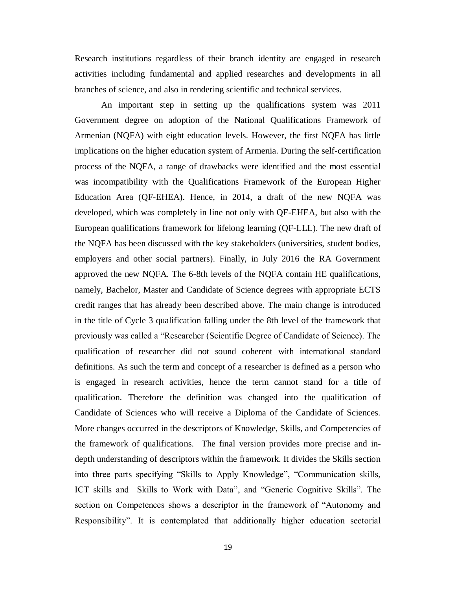Research institutions regardless of their branch identity are engaged in research activities including fundamental and applied researches and developments in all branches of science, and also in rendering scientific and technical services.

An important step in setting up the qualifications system was 2011 Government degree on adoption of the National Qualifications Framework of Armenian (NQFA) with eight education levels. However, the first NQFA has little implications on the higher education system of Armenia. During the self-certification process of the NQFA, a range of drawbacks were identified and the most essential was incompatibility with the Qualifications Framework of the European Higher Education Area (QF-EHEA). Hence, in 2014, a draft of the new NQFA was developed, which was completely in line not only with QF-EHEA, but also with the European qualifications framework for lifelong learning (QF-LLL). The new draft of the NQFA has been discussed with the key stakeholders (universities, student bodies, employers and other social partners). Finally, in July 2016 the RA Government approved the new NQFA. The 6-8th levels of the NQFA contain HE qualifications, namely, Bachelor, Master and Candidate of Science degrees with appropriate ECTS credit ranges that has already been described above. The main change is introduced in the title of Cycle 3 qualification falling under the 8th level of the framework that previously was called a "Researcher (Scientific Degree of Candidate of Science). The qualification of researcher did not sound coherent with international standard definitions. As such the term and concept of a researcher is defined as a person who is engaged in research activities, hence the term cannot stand for a title of qualification. Therefore the definition was changed into the qualification of Candidate of Sciences who will receive a Diploma of the Candidate of Sciences. More changes occurred in the descriptors of Knowledge, Skills, and Competencies of the framework of qualifications. The final version provides more precise and indepth understanding of descriptors within the framework. It divides the Skills section into three parts specifying "Skills to Apply Knowledge", "Communication skills, ICT skills and Skills to Work with Data", and "Generic Cognitive Skills". The section on Competences shows a descriptor in the framework of "Autonomy and Responsibility". It is contemplated that additionally higher education sectorial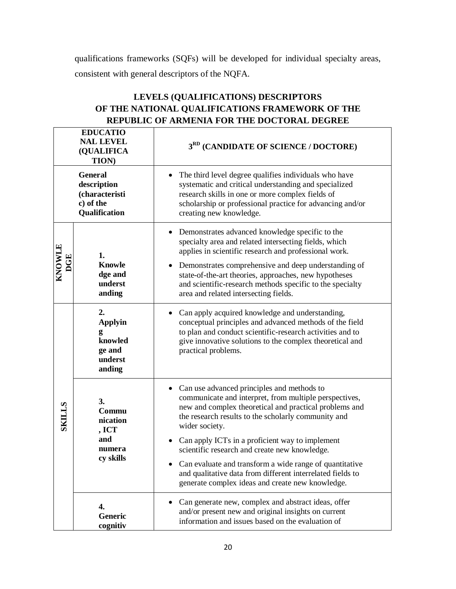qualifications frameworks (SQFs) will be developed for individual specialty areas, consistent with general descriptors of the NQFA.

|                      | REPUBLIC OF ARMENIA FOR THE DOCTORAL DEGREE                                   |                                                                                                                                                                                                                                                                                                                                                                                                                                                                                                                          |  |  |  |  |
|----------------------|-------------------------------------------------------------------------------|--------------------------------------------------------------------------------------------------------------------------------------------------------------------------------------------------------------------------------------------------------------------------------------------------------------------------------------------------------------------------------------------------------------------------------------------------------------------------------------------------------------------------|--|--|--|--|
|                      | <b>EDUCATIO</b><br><b>NAL LEVEL</b><br>(QUALIFICA<br><b>TION</b> )            | 3 <sup>RD</sup> (CANDIDATE OF SCIENCE / DOCTORE)                                                                                                                                                                                                                                                                                                                                                                                                                                                                         |  |  |  |  |
|                      | <b>General</b><br>description<br>(characteristi<br>c) of the<br>Qualification | The third level degree qualifies individuals who have<br>systematic and critical understanding and specialized<br>research skills in one or more complex fields of<br>scholarship or professional practice for advancing and/or<br>creating new knowledge.                                                                                                                                                                                                                                                               |  |  |  |  |
| KNOWLE<br><b>DGE</b> | 1.<br><b>Knowle</b><br>dge and<br>underst<br>anding                           | Demonstrates advanced knowledge specific to the<br>specialty area and related intersecting fields, which<br>applies in scientific research and professional work.<br>Demonstrates comprehensive and deep understanding of<br>state-of-the-art theories, approaches, new hypotheses<br>and scientific-research methods specific to the specialty<br>area and related intersecting fields.                                                                                                                                 |  |  |  |  |
|                      | 2.<br><b>Applyin</b><br>g<br>knowled<br>ge and<br>underst<br>anding           | Can apply acquired knowledge and understanding,<br>$\bullet$<br>conceptual principles and advanced methods of the field<br>to plan and conduct scientific-research activities and to<br>give innovative solutions to the complex theoretical and<br>practical problems.                                                                                                                                                                                                                                                  |  |  |  |  |
| <b>SKILLS</b>        | 3.<br>Commu<br>nication<br>, ICT<br>and<br>numera<br>cy skills                | Can use advanced principles and methods to<br>communicate and interpret, from multiple perspectives,<br>new and complex theoretical and practical problems and<br>the research results to the scholarly community and<br>wider society.<br>Can apply ICTs in a proficient way to implement<br>scientific research and create new knowledge.<br>Can evaluate and transform a wide range of quantitative<br>and qualitative data from different interrelated fields to<br>generate complex ideas and create new knowledge. |  |  |  |  |
|                      | 4.<br><b>Generic</b><br>cognitiv                                              | Can generate new, complex and abstract ideas, offer<br>and/or present new and original insights on current<br>information and issues based on the evaluation of                                                                                                                                                                                                                                                                                                                                                          |  |  |  |  |

## **LEVELS (QUALIFICATIONS) DESCRIPTORS OF THE NATIONAL QUALIFICATIONS FRAMEWORK OF THE REPUBLIC OF ARMENIA FOR THE DOCTORAL DEGREE**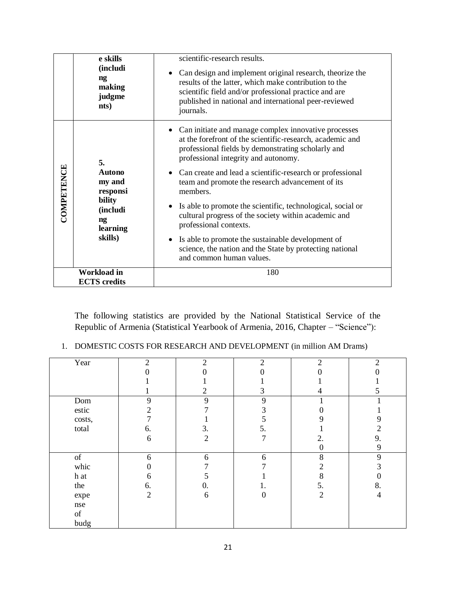|            | e skills<br>(includi<br>$\mathbf{ng}$<br>making<br>judgme<br>nts) | scientific-research results.<br>Can design and implement original research, theorize the<br>$\bullet$<br>results of the latter, which make contribution to the<br>scientific field and/or professional practice and are<br>published in national and international peer-reviewed<br>journals. |
|------------|-------------------------------------------------------------------|-----------------------------------------------------------------------------------------------------------------------------------------------------------------------------------------------------------------------------------------------------------------------------------------------|
|            | 5.<br><b>Autono</b>                                               | • Can initiate and manage complex innovative processes<br>at the forefront of the scientific-research, academic and<br>professional fields by demonstrating scholarly and<br>professional integrity and autonomy.<br>• Can create and lead a scientific-research or professional              |
| COMPETENCE | my and<br>responsi                                                | team and promote the research advancement of its<br>members.                                                                                                                                                                                                                                  |
|            | bility<br>(includi<br>$\mathbf{n}\mathbf{g}$<br>learning          | Is able to promote the scientific, technological, social or<br>cultural progress of the society within academic and<br>professional contexts.                                                                                                                                                 |
|            | skills)                                                           | • Is able to promote the sustainable development of<br>science, the nation and the State by protecting national<br>and common human values.                                                                                                                                                   |
|            | Workload in<br><b>ECTS</b> credits                                | 180                                                                                                                                                                                                                                                                                           |

The following statistics are provided by the National Statistical Service of the Republic of Armenia (Statistical Yearbook of Armenia, 2016, Chapter – "Science"):

1. DOMESTIC COSTS FOR RESEARCH AND DEVELOPMENT (in million AM Drams)

| Year                                                                                               | $\overline{2}$ | $\overline{2}$ | $\overline{2}$ | $\overline{2}$ | $\overline{2}$ |
|----------------------------------------------------------------------------------------------------|----------------|----------------|----------------|----------------|----------------|
|                                                                                                    |                |                | 0              |                |                |
|                                                                                                    |                |                |                |                |                |
|                                                                                                    |                | $\overline{2}$ | 3              | 4              | 5              |
| Dom                                                                                                | 9              | 9              | 9              |                |                |
| estic                                                                                              | 2              |                | 3              |                |                |
| costs,                                                                                             |                |                | 5              |                | 9              |
| total                                                                                              | 6.             | 3.             | 5.             |                | $\overline{c}$ |
|                                                                                                    | 6              | $\overline{2}$ | 7              | 2.             | 9.             |
|                                                                                                    |                |                |                | $\Omega$       | 9              |
| $% \left( \left( \mathcal{A},\mathcal{A}\right) \right) =\left( \mathcal{A},\mathcal{A}\right)$ of | 6              | 6              | 6              | 8              | 9              |
| whic                                                                                               | 0              |                |                | 2              |                |
| h at                                                                                               | 6              |                |                | 8              |                |
| the                                                                                                | 6.             | 0.             |                | 5.             | 8.             |
| expe                                                                                               | $\overline{2}$ | 6              | $\Omega$       | $\overline{2}$ | 4              |
| nse                                                                                                |                |                |                |                |                |
| $\sigma$                                                                                           |                |                |                |                |                |
| budg                                                                                               |                |                |                |                |                |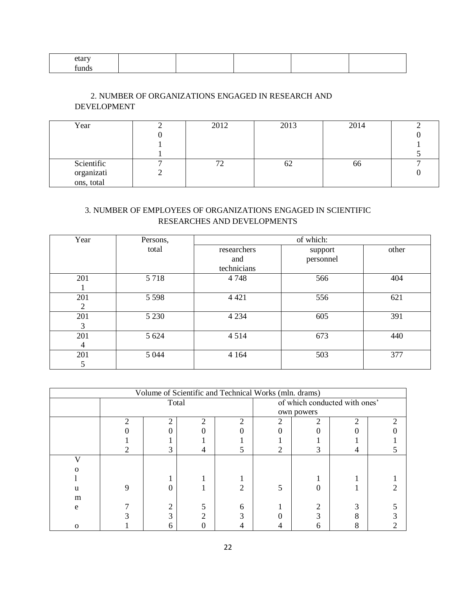| ыаг   |  |  |  |
|-------|--|--|--|
| funds |  |  |  |

### 2. NUMBER OF ORGANIZATIONS ENGAGED IN RESEARCH AND DEVELOPMENT

| Year                     | 2012 | 2013 | 2014          |  |
|--------------------------|------|------|---------------|--|
|                          |      |      |               |  |
|                          |      |      |               |  |
|                          |      |      |               |  |
| Scientific               |      | UZ   | <sub>00</sub> |  |
|                          |      |      |               |  |
| organizati<br>ons, total |      |      |               |  |

### 3. NUMBER OF EMPLOYEES OF ORGANIZATIONS ENGAGED IN SCIENTIFIC RESEARCHES AND DEVELOPMENTS

| Year | Persons, | of which:   |           |       |  |  |
|------|----------|-------------|-----------|-------|--|--|
|      | total    | researchers | support   | other |  |  |
|      |          | and         | personnel |       |  |  |
|      |          | technicians |           |       |  |  |
| 201  | 5 7 1 8  | 4748        | 566       | 404   |  |  |
|      |          |             |           |       |  |  |
| 201  | 5 5 9 8  | 4 4 2 1     | 556       | 621   |  |  |
| 2    |          |             |           |       |  |  |
| 201  | 5 2 3 0  | 4 2 3 4     | 605       | 391   |  |  |
| 3    |          |             |           |       |  |  |
| 201  | 5 6 24   | 4 5 1 4     | 673       | 440   |  |  |
| 4    |          |             |           |       |  |  |
| 201  | 5 0 4 4  | 4 1 6 4     | 503       | 377   |  |  |
| 5    |          |             |           |       |  |  |

|   | Volume of Scientific and Technical Works (mln. drams) |   |                               |            |   |  |
|---|-------------------------------------------------------|---|-------------------------------|------------|---|--|
|   | Total                                                 |   | of which conducted with ones' |            |   |  |
|   |                                                       |   |                               | own powers |   |  |
|   |                                                       | ↑ |                               |            | າ |  |
|   |                                                       |   |                               |            |   |  |
|   |                                                       |   |                               |            |   |  |
|   |                                                       |   |                               |            |   |  |
|   |                                                       |   |                               |            |   |  |
|   |                                                       |   |                               |            |   |  |
|   |                                                       |   |                               |            |   |  |
|   |                                                       |   |                               |            |   |  |
| m |                                                       |   |                               |            |   |  |
| e |                                                       |   |                               |            |   |  |
|   |                                                       |   |                               |            |   |  |
|   |                                                       |   |                               |            |   |  |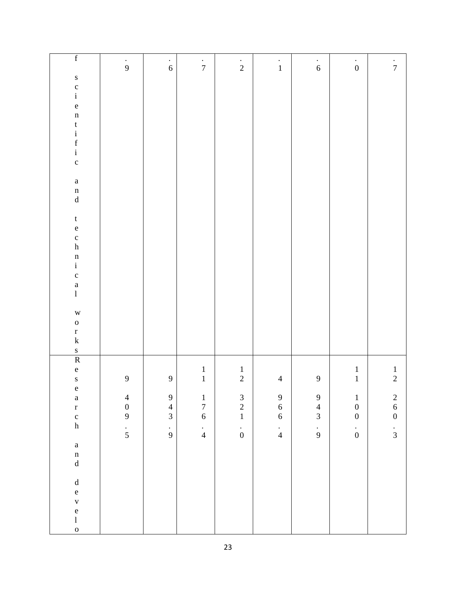| $\overline{\mathbf{f}}$                                                                      | $\frac{1}{9}$                              | $\frac{1}{6}$    | $\frac{1}{7}$                              | $\frac{1}{2}$                              | $\overset{\cdot}{\mathbf{1}}$              | $\frac{1}{6}$                              | $\stackrel{\cdot}{0}$                      | $\frac{1}{7}$                              |
|----------------------------------------------------------------------------------------------|--------------------------------------------|------------------|--------------------------------------------|--------------------------------------------|--------------------------------------------|--------------------------------------------|--------------------------------------------|--------------------------------------------|
|                                                                                              |                                            |                  |                                            |                                            |                                            |                                            |                                            |                                            |
| $\begin{array}{c} 0 \\ c \\ i \end{array}$                                                   |                                            |                  |                                            |                                            |                                            |                                            |                                            |                                            |
|                                                                                              |                                            |                  |                                            |                                            |                                            |                                            |                                            |                                            |
| $\frac{e}{n}$                                                                                |                                            |                  |                                            |                                            |                                            |                                            |                                            |                                            |
|                                                                                              |                                            |                  |                                            |                                            |                                            |                                            |                                            |                                            |
|                                                                                              |                                            |                  |                                            |                                            |                                            |                                            |                                            |                                            |
|                                                                                              |                                            |                  |                                            |                                            |                                            |                                            |                                            |                                            |
| $\begin{array}{c}\n t \\  i \\  f \\  i\n \end{array}$                                       |                                            |                  |                                            |                                            |                                            |                                            |                                            |                                            |
|                                                                                              |                                            |                  |                                            |                                            |                                            |                                            |                                            |                                            |
| $\mathbf{a}$                                                                                 |                                            |                  |                                            |                                            |                                            |                                            |                                            |                                            |
| $\begin{matrix} n \\ d \end{matrix}$                                                         |                                            |                  |                                            |                                            |                                            |                                            |                                            |                                            |
|                                                                                              |                                            |                  |                                            |                                            |                                            |                                            |                                            |                                            |
| $\mathbf{t}$                                                                                 |                                            |                  |                                            |                                            |                                            |                                            |                                            |                                            |
| $\frac{e}{c}$<br>h                                                                           |                                            |                  |                                            |                                            |                                            |                                            |                                            |                                            |
|                                                                                              |                                            |                  |                                            |                                            |                                            |                                            |                                            |                                            |
|                                                                                              |                                            |                  |                                            |                                            |                                            |                                            |                                            |                                            |
| $\begin{array}{c}\nn \\ i \\ c\n\end{array}$                                                 |                                            |                  |                                            |                                            |                                            |                                            |                                            |                                            |
|                                                                                              |                                            |                  |                                            |                                            |                                            |                                            |                                            |                                            |
| $\begin{matrix} a \\ l \end{matrix}$                                                         |                                            |                  |                                            |                                            |                                            |                                            |                                            |                                            |
|                                                                                              |                                            |                  |                                            |                                            |                                            |                                            |                                            |                                            |
| $\mathbf W$                                                                                  |                                            |                  |                                            |                                            |                                            |                                            |                                            |                                            |
| $\mathbf{o}$                                                                                 |                                            |                  |                                            |                                            |                                            |                                            |                                            |                                            |
| $\frac{r}{k}$                                                                                |                                            |                  |                                            |                                            |                                            |                                            |                                            |                                            |
|                                                                                              |                                            |                  |                                            |                                            |                                            |                                            |                                            |                                            |
| $\frac{s}{R}$                                                                                |                                            |                  |                                            |                                            |                                            |                                            |                                            |                                            |
| $\mathbf{e}$                                                                                 |                                            |                  | $\frac{1}{1}$                              | $\frac{1}{2}$                              |                                            |                                            | $\begin{smallmatrix}1\\1\end{smallmatrix}$ | $\frac{1}{2}$                              |
| $\mathbf S$                                                                                  | $\overline{9}$                             | $\boldsymbol{9}$ |                                            |                                            | $\overline{4}$                             | $\mathbf{9}$                               |                                            |                                            |
| e a<br>r c<br>h                                                                              |                                            | $\overline{9}$   |                                            |                                            |                                            |                                            |                                            |                                            |
|                                                                                              | $\begin{array}{c} 4 \\ 0 \\ 9 \end{array}$ |                  | $\begin{array}{c} 1 \\ 7 \\ 6 \end{array}$ | $\begin{array}{c} 3 \\ 2 \\ 1 \end{array}$ | $\begin{array}{c} 9 \\ 6 \\ 6 \end{array}$ | $\begin{array}{c} 9 \\ 4 \\ 3 \end{array}$ | $\begin{array}{c} 1 \\ 0 \\ 0 \end{array}$ | $\begin{array}{c} 2 \\ 6 \\ 0 \end{array}$ |
|                                                                                              |                                            | $\frac{4}{3}$    |                                            |                                            |                                            |                                            |                                            |                                            |
|                                                                                              | $\frac{1}{5}$                              | $\frac{1}{9}$    | $\frac{1}{4}$                              | $\frac{1}{0}$                              | $\frac{1}{4}$                              | $\frac{1}{9}$                              | $\overset{\cdot}{0}$                       | $\frac{1}{3}$                              |
|                                                                                              |                                            |                  |                                            |                                            |                                            |                                            |                                            |                                            |
| $\mathbf{a}$                                                                                 |                                            |                  |                                            |                                            |                                            |                                            |                                            |                                            |
| $\begin{matrix} n \\ d \end{matrix}$                                                         |                                            |                  |                                            |                                            |                                            |                                            |                                            |                                            |
|                                                                                              |                                            |                  |                                            |                                            |                                            |                                            |                                            |                                            |
| $\mathrm{d}% \left\vert \mathcal{H}\right\vert =\mathrm{d}\left\vert \mathcal{H}\right\vert$ |                                            |                  |                                            |                                            |                                            |                                            |                                            |                                            |
|                                                                                              |                                            |                  |                                            |                                            |                                            |                                            |                                            |                                            |
|                                                                                              |                                            |                  |                                            |                                            |                                            |                                            |                                            |                                            |
| e<br>v<br>e<br>l                                                                             |                                            |                  |                                            |                                            |                                            |                                            |                                            |                                            |
| $\mathbf{o}$                                                                                 |                                            |                  |                                            |                                            |                                            |                                            |                                            |                                            |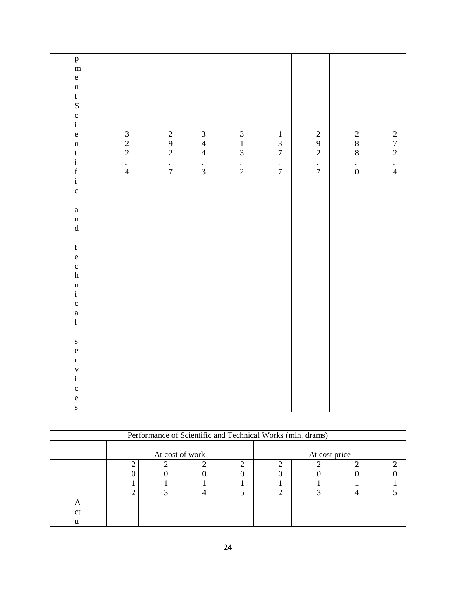| $_{\rm m}^{\rm p}$                                   |                                                 |                                       |                                            |                                            |                                            |                                            |                                            |                                            |
|------------------------------------------------------|-------------------------------------------------|---------------------------------------|--------------------------------------------|--------------------------------------------|--------------------------------------------|--------------------------------------------|--------------------------------------------|--------------------------------------------|
|                                                      |                                                 |                                       |                                            |                                            |                                            |                                            |                                            |                                            |
| $\mathbf e$                                          |                                                 |                                       |                                            |                                            |                                            |                                            |                                            |                                            |
| $\mathbf n$                                          |                                                 |                                       |                                            |                                            |                                            |                                            |                                            |                                            |
|                                                      |                                                 |                                       |                                            |                                            |                                            |                                            |                                            |                                            |
| $rac{t}{S}$<br>c i                                   |                                                 |                                       |                                            |                                            |                                            |                                            |                                            |                                            |
|                                                      |                                                 |                                       |                                            |                                            |                                            |                                            |                                            |                                            |
|                                                      |                                                 |                                       |                                            |                                            |                                            |                                            |                                            |                                            |
| $\mathbf{e}$                                         |                                                 |                                       |                                            |                                            |                                            |                                            |                                            |                                            |
| $\mathbf n$                                          | $\frac{3}{2}$<br>$\frac{2}{1}$<br>$\frac{1}{4}$ | $\begin{array}{c} 2 \\ 9 \end{array}$ | $\begin{array}{c} 3 \\ 4 \\ 4 \end{array}$ | $\begin{array}{c} 3 \\ 1 \\ 3 \end{array}$ | $\begin{array}{c} 1 \\ 3 \\ 7 \end{array}$ | $\begin{array}{c} 2 \\ 9 \\ 2 \end{array}$ | $\begin{array}{c} 2 \\ 8 \\ 8 \end{array}$ | $\begin{array}{c} 2 \\ 7 \\ 2 \end{array}$ |
|                                                      |                                                 | $\sqrt{2}$                            |                                            |                                            |                                            |                                            |                                            |                                            |
|                                                      |                                                 |                                       |                                            |                                            |                                            |                                            |                                            |                                            |
|                                                      |                                                 | $\frac{1}{7}$                         | $\frac{1}{3}$                              | $\frac{1}{2}$                              | $\frac{1}{7}$                              | $\frac{1}{7}$                              | $\frac{1}{0}$                              | $\frac{1}{4}$                              |
| $\begin{array}{c} t \\ i \\ f \\ i \end{array}$      |                                                 |                                       |                                            |                                            |                                            |                                            |                                            |                                            |
| $\mathbf{c}$                                         |                                                 |                                       |                                            |                                            |                                            |                                            |                                            |                                            |
|                                                      |                                                 |                                       |                                            |                                            |                                            |                                            |                                            |                                            |
| $\mathbf{a}$                                         |                                                 |                                       |                                            |                                            |                                            |                                            |                                            |                                            |
|                                                      |                                                 |                                       |                                            |                                            |                                            |                                            |                                            |                                            |
| $\begin{matrix} n \\ d \end{matrix}$                 |                                                 |                                       |                                            |                                            |                                            |                                            |                                            |                                            |
|                                                      |                                                 |                                       |                                            |                                            |                                            |                                            |                                            |                                            |
| $\mathfrak{t}$                                       |                                                 |                                       |                                            |                                            |                                            |                                            |                                            |                                            |
| $\mathbf{e}$                                         |                                                 |                                       |                                            |                                            |                                            |                                            |                                            |                                            |
|                                                      |                                                 |                                       |                                            |                                            |                                            |                                            |                                            |                                            |
| $\frac{c}{h}$                                        |                                                 |                                       |                                            |                                            |                                            |                                            |                                            |                                            |
|                                                      |                                                 |                                       |                                            |                                            |                                            |                                            |                                            |                                            |
| $\begin{array}{c} n \\ i \\ c \\ a \\ 1 \end{array}$ |                                                 |                                       |                                            |                                            |                                            |                                            |                                            |                                            |
|                                                      |                                                 |                                       |                                            |                                            |                                            |                                            |                                            |                                            |
|                                                      |                                                 |                                       |                                            |                                            |                                            |                                            |                                            |                                            |
|                                                      |                                                 |                                       |                                            |                                            |                                            |                                            |                                            |                                            |
|                                                      |                                                 |                                       |                                            |                                            |                                            |                                            |                                            |                                            |
| $\mathbf S$                                          |                                                 |                                       |                                            |                                            |                                            |                                            |                                            |                                            |
| $\mathbf{e}$                                         |                                                 |                                       |                                            |                                            |                                            |                                            |                                            |                                            |
| $\mathbf{r}$                                         |                                                 |                                       |                                            |                                            |                                            |                                            |                                            |                                            |
|                                                      |                                                 |                                       |                                            |                                            |                                            |                                            |                                            |                                            |
| $\frac{v}{i}$                                        |                                                 |                                       |                                            |                                            |                                            |                                            |                                            |                                            |
|                                                      |                                                 |                                       |                                            |                                            |                                            |                                            |                                            |                                            |
| c<br>e<br>s                                          |                                                 |                                       |                                            |                                            |                                            |                                            |                                            |                                            |
|                                                      |                                                 |                                       |                                            |                                            |                                            |                                            |                                            |                                            |
|                                                      |                                                 |                                       |                                            |                                            |                                            |                                            |                                            |                                            |

| Performance of Scientific and Technical Works (mln. drams) |  |  |                 |  |               |  |  |  |
|------------------------------------------------------------|--|--|-----------------|--|---------------|--|--|--|
|                                                            |  |  | At cost of work |  | At cost price |  |  |  |
|                                                            |  |  |                 |  |               |  |  |  |
|                                                            |  |  |                 |  |               |  |  |  |
|                                                            |  |  |                 |  |               |  |  |  |
|                                                            |  |  |                 |  |               |  |  |  |
|                                                            |  |  |                 |  |               |  |  |  |
| сt                                                         |  |  |                 |  |               |  |  |  |
|                                                            |  |  |                 |  |               |  |  |  |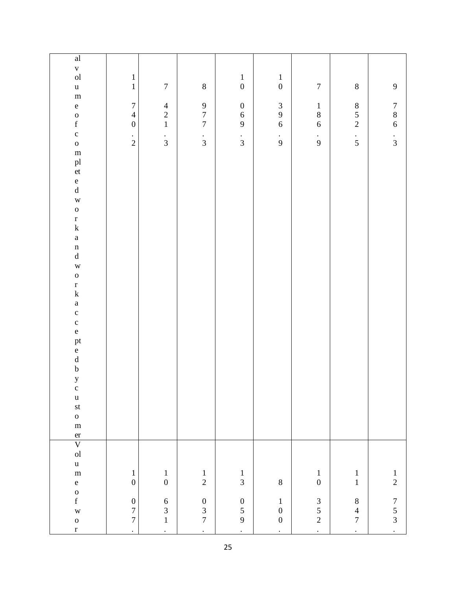| $\overline{\text{al}}$                         |                                  |                                            |                                            |                                            |                                            |                                            |                                            |                                            |
|------------------------------------------------|----------------------------------|--------------------------------------------|--------------------------------------------|--------------------------------------------|--------------------------------------------|--------------------------------------------|--------------------------------------------|--------------------------------------------|
|                                                |                                  |                                            |                                            |                                            |                                            |                                            |                                            |                                            |
| $\frac{v}{\text{ol}}$                          | $\,1\,$                          |                                            |                                            |                                            |                                            |                                            |                                            |                                            |
| $\mathbf u$                                    | $\mathbf{1}$                     | $\boldsymbol{7}$                           | $8\,$                                      | $\begin{array}{c} 1 \\ 0 \end{array}$      | $\begin{array}{c} 1 \\ 0 \end{array}$      | $\boldsymbol{7}$                           | $\,8\,$                                    | $\boldsymbol{9}$                           |
| ${\bf m}$                                      |                                  |                                            |                                            |                                            |                                            |                                            |                                            |                                            |
| $\mathbf{e}$                                   | $\boldsymbol{7}$                 |                                            |                                            | $\boldsymbol{0}$                           |                                            |                                            |                                            |                                            |
|                                                | $\overline{4}$                   | $\begin{array}{c} 4 \\ 2 \\ 1 \end{array}$ | $\begin{array}{c} 9 \\ 7 \\ 7 \end{array}$ |                                            | $\begin{array}{c} 3 \\ 9 \\ 6 \end{array}$ | $\begin{array}{c} 1 \\ 8 \\ 6 \end{array}$ | $\begin{array}{c} 8 \\ 5 \\ 2 \end{array}$ | $\begin{array}{c} 7 \\ 8 \\ 6 \end{array}$ |
| $\begin{matrix} 0 \\ f \end{matrix}$           | $\boldsymbol{0}$                 |                                            |                                            | $\begin{array}{c} 6 \\ 9 \end{array}$      |                                            |                                            |                                            |                                            |
| $\mathbf c$                                    |                                  |                                            |                                            |                                            |                                            |                                            |                                            |                                            |
| $\mathbf{o}$                                   | $\frac{1}{2}$                    | $\frac{1}{3}$                              | $\frac{1}{3}$                              | $\frac{1}{3}$                              | $\frac{1}{9}$                              | $\frac{1}{9}$                              | $\frac{1}{5}$                              | $\frac{1}{3}$                              |
| ${\bf m}$                                      |                                  |                                            |                                            |                                            |                                            |                                            |                                            |                                            |
|                                                |                                  |                                            |                                            |                                            |                                            |                                            |                                            |                                            |
| pl<br>et                                       |                                  |                                            |                                            |                                            |                                            |                                            |                                            |                                            |
|                                                |                                  |                                            |                                            |                                            |                                            |                                            |                                            |                                            |
| $\mathbf{e}$<br>$\rm d$                        |                                  |                                            |                                            |                                            |                                            |                                            |                                            |                                            |
|                                                |                                  |                                            |                                            |                                            |                                            |                                            |                                            |                                            |
| $\overline{W}$                                 |                                  |                                            |                                            |                                            |                                            |                                            |                                            |                                            |
| $\mathbf{o}$                                   |                                  |                                            |                                            |                                            |                                            |                                            |                                            |                                            |
| $\mathbf r$                                    |                                  |                                            |                                            |                                            |                                            |                                            |                                            |                                            |
| ${\bf k}$                                      |                                  |                                            |                                            |                                            |                                            |                                            |                                            |                                            |
| $\mathbf{a}$                                   |                                  |                                            |                                            |                                            |                                            |                                            |                                            |                                            |
| $\mathbf n$                                    |                                  |                                            |                                            |                                            |                                            |                                            |                                            |                                            |
| $\mathrm{d}% \left\  \mathcal{H}\right\  _{A}$ |                                  |                                            |                                            |                                            |                                            |                                            |                                            |                                            |
| $\mathbf{W}$                                   |                                  |                                            |                                            |                                            |                                            |                                            |                                            |                                            |
| $\mathbf{o}$                                   |                                  |                                            |                                            |                                            |                                            |                                            |                                            |                                            |
| $\frac{r}{k}$                                  |                                  |                                            |                                            |                                            |                                            |                                            |                                            |                                            |
|                                                |                                  |                                            |                                            |                                            |                                            |                                            |                                            |                                            |
| $\mathbf{a}$                                   |                                  |                                            |                                            |                                            |                                            |                                            |                                            |                                            |
| $\mathbf c$                                    |                                  |                                            |                                            |                                            |                                            |                                            |                                            |                                            |
| $\mathbf c$                                    |                                  |                                            |                                            |                                            |                                            |                                            |                                            |                                            |
| $\mathbf{e}$                                   |                                  |                                            |                                            |                                            |                                            |                                            |                                            |                                            |
|                                                |                                  |                                            |                                            |                                            |                                            |                                            |                                            |                                            |
|                                                |                                  |                                            |                                            |                                            |                                            |                                            |                                            |                                            |
| pt<br>e<br>d<br>b<br>y                         |                                  |                                            |                                            |                                            |                                            |                                            |                                            |                                            |
|                                                |                                  |                                            |                                            |                                            |                                            |                                            |                                            |                                            |
|                                                |                                  |                                            |                                            |                                            |                                            |                                            |                                            |                                            |
| $\mathbf c$                                    |                                  |                                            |                                            |                                            |                                            |                                            |                                            |                                            |
| $\mathbf u$                                    |                                  |                                            |                                            |                                            |                                            |                                            |                                            |                                            |
| st                                             |                                  |                                            |                                            |                                            |                                            |                                            |                                            |                                            |
| $\mathbf{o}$                                   |                                  |                                            |                                            |                                            |                                            |                                            |                                            |                                            |
| ${\bf m}$                                      |                                  |                                            |                                            |                                            |                                            |                                            |                                            |                                            |
|                                                |                                  |                                            |                                            |                                            |                                            |                                            |                                            |                                            |
| $\frac{er}{V}$                                 |                                  |                                            |                                            |                                            |                                            |                                            |                                            |                                            |
| ${\rm ol}$                                     |                                  |                                            |                                            |                                            |                                            |                                            |                                            |                                            |
|                                                |                                  |                                            |                                            |                                            |                                            |                                            |                                            |                                            |
| $\mathbf u$                                    |                                  |                                            |                                            |                                            |                                            |                                            |                                            |                                            |
| ${\bf m}$                                      | $\mathbf{1}$<br>$\boldsymbol{0}$ | $\mathbf{1}$<br>$\boldsymbol{0}$           | $\frac{1}{2}%$                             | $\frac{1}{3}$                              |                                            | $\begin{array}{c} 1 \\ 0 \end{array}$      | $\begin{array}{c} 1 \\ 1 \end{array}$      | $\frac{1}{2}$                              |
| $\mathbf{e}$                                   |                                  |                                            |                                            |                                            | $\,$ $\,$                                  |                                            |                                            |                                            |
| $\frac{0}{f}$                                  |                                  |                                            |                                            |                                            |                                            |                                            |                                            |                                            |
|                                                | $\boldsymbol{0}$                 |                                            |                                            |                                            |                                            |                                            |                                            |                                            |
| $\mathbf{w}$                                   | $\overline{7}$                   | $\begin{array}{c} 6 \\ 3 \\ 1 \end{array}$ | $\begin{array}{c} 0 \\ 3 \\ 7 \end{array}$ | $\begin{array}{c} 0 \\ 5 \\ 9 \end{array}$ | $\begin{array}{c} 1 \\ 0 \\ 0 \end{array}$ | $\begin{array}{c} 3 \\ 5 \\ 2 \end{array}$ | $\begin{array}{c} 8 \\ 4 \\ 7 \end{array}$ | $\begin{array}{c} 7 \\ 5 \\ 3 \end{array}$ |
| $\mathbf{o}$                                   | $\boldsymbol{7}$                 |                                            |                                            |                                            |                                            |                                            |                                            |                                            |
| $\mathbf r$                                    | $\ddot{\phantom{0}}$             | $\ddot{\phantom{0}}$                       | $\ddot{\cdot}$                             | $\ddot{\phantom{0}}$                       | $\ddot{\phantom{0}}$                       | $\ddot{\phantom{0}}$                       | $\ddot{\phantom{0}}$                       | $\ddot{\phantom{0}}$                       |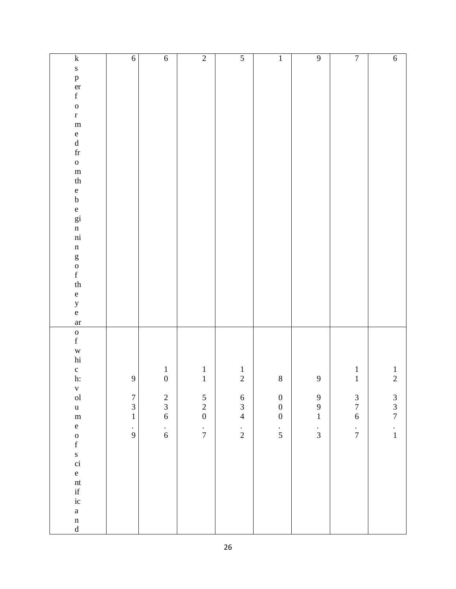| $\mathbf k$<br>$\mathbf S$<br>p<br>er<br>f<br>$\mathbf{o}$<br>$\mathbf{r}$<br>${\bf m}$<br>e<br>d<br>fr<br>$\mathbf{o}$<br>${\bf m}$                                                                                                                    | $\sqrt{6}$                                                                            | $\overline{6}$                                                                                       | $\overline{2}$                                                               | $\overline{5}$                                                               | $\overline{1}$                                                         | $\overline{9}$                                                              | $\overline{7}$                                                                                            | $\overline{6}$                                                               |
|---------------------------------------------------------------------------------------------------------------------------------------------------------------------------------------------------------------------------------------------------------|---------------------------------------------------------------------------------------|------------------------------------------------------------------------------------------------------|------------------------------------------------------------------------------|------------------------------------------------------------------------------|------------------------------------------------------------------------|-----------------------------------------------------------------------------|-----------------------------------------------------------------------------------------------------------|------------------------------------------------------------------------------|
| $^{\mbox{th}}$<br>e b<br>e gi<br>n<br>ni<br>$\mathbf n$<br>go f<br>f<br>th<br>e<br>y<br>e                                                                                                                                                               |                                                                                       |                                                                                                      |                                                                              |                                                                              |                                                                        |                                                                             |                                                                                                           |                                                                              |
| ar<br>$\begin{matrix} 0 \\ f \end{matrix}$<br>w<br>hi<br>$\frac{c}{h}$ :<br>$_{\rm ol}^{\rm v}$<br>$\mathbf u$<br>${\bf m}$<br>$\mathbf{e}$<br>$\frac{0}{f}$<br>s<br>ci<br>$\mathbf{e}$<br>nt<br>if<br>ic<br>$\mathbf{a}$<br>$\mathbf n$<br>$\mathbf d$ | $\overline{9}$<br>$\boldsymbol{7}$<br>$\overline{3}$<br>$\mathbf{1}$<br>$\frac{1}{9}$ | $\begin{array}{c} 1 \\ 0 \end{array}$<br>$\begin{array}{c} 2 \\ 3 \\ 6 \end{array}$<br>$\frac{1}{6}$ | $\frac{1}{1}$<br>$\begin{array}{c} 5 \\ 2 \\ 0 \end{array}$<br>$\frac{1}{7}$ | $\frac{1}{2}$<br>$\begin{array}{c} 6 \\ 3 \\ 4 \end{array}$<br>$\frac{1}{2}$ | $\,8\,$<br>$\begin{array}{c} 0 \\ 0 \\ 0 \end{array}$<br>$\frac{1}{5}$ | $\mathbf{9}$<br>$\begin{array}{c} 9 \\ 9 \\ 1 \end{array}$<br>$\frac{1}{3}$ | $\begin{smallmatrix}1\\1\end{smallmatrix}$<br>$\begin{array}{c} 3 \\ 7 \\ 6 \end{array}$<br>$\frac{1}{7}$ | $\frac{1}{2}$<br>$\begin{array}{c} 3 \\ 3 \\ 7 \end{array}$<br>$\frac{1}{1}$ |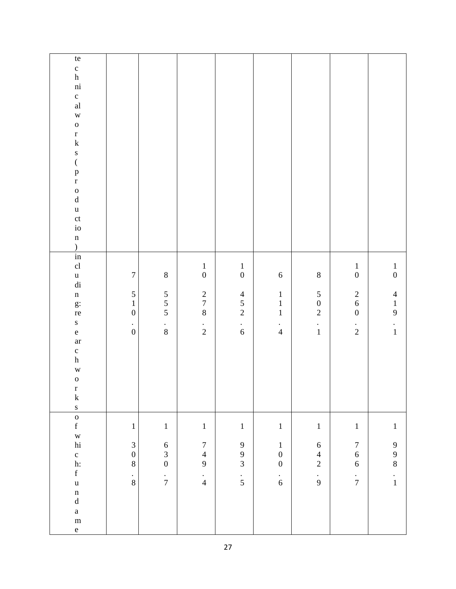| $\,$ te<br>$\frac{c}{h}$<br>ni<br>$\frac{c}{al}$<br>$\overline{W}$<br>$\mathbf{o}$<br>$\frac{r}{k}$<br>$\frac{s}{(}$<br>$\frac{p}{r}$<br>$\begin{matrix} 0 \\ d \end{matrix}$<br>$\mathbf{u}$<br>ct<br>io<br>$\mathbf n$<br>$\overline{)}$ |                                                                            |                                                                          |                                                                                                      |                                                                                                      |                                                                                 |                                                                        |                                                                                               |                                                                                                      |
|--------------------------------------------------------------------------------------------------------------------------------------------------------------------------------------------------------------------------------------------|----------------------------------------------------------------------------|--------------------------------------------------------------------------|------------------------------------------------------------------------------------------------------|------------------------------------------------------------------------------------------------------|---------------------------------------------------------------------------------|------------------------------------------------------------------------|-----------------------------------------------------------------------------------------------|------------------------------------------------------------------------------------------------------|
| $\overline{\text{in}}$<br>cl<br>$\frac{u}{di}$<br>$\mathbf n$<br>g:<br>re<br>$\mathbf{s}$<br>$\mathbf{e}$<br>ar<br>$\frac{c}{h}$<br>$\overline{W}$<br>$\mathbf{o}$<br>$\frac{r}{k}$<br>$\mathbf S$                                         | $\boldsymbol{7}$<br>5<br>$\mathbf{1}$<br>$\boldsymbol{0}$<br>$\frac{1}{0}$ | $\,$ $\,$<br>$\begin{array}{c} 5 \\ 5 \\ 5 \end{array}$<br>$\frac{1}{8}$ | $\begin{array}{c} 1 \\ 0 \end{array}$<br>$\begin{array}{c} 2 \\ 7 \\ 8 \end{array}$<br>$\frac{1}{2}$ | $\begin{array}{c} 1 \\ 0 \end{array}$<br>$\begin{array}{c} 4 \\ 5 \\ 2 \end{array}$<br>$\frac{1}{6}$ | $\boldsymbol{6}$<br>$\begin{array}{c} 1 \\ 1 \\ 1 \end{array}$<br>$\frac{1}{4}$ | $\,8\,$<br>$\begin{array}{c} 5 \\ 0 \\ 2 \end{array}$<br>$\frac{1}{1}$ | $\mathbf{1}$<br>$\overline{0}$<br>$\begin{array}{c} 2 \\ 6 \\ 0 \end{array}$<br>$\frac{1}{2}$ | $\begin{array}{c} 1 \\ 0 \end{array}$<br>$\begin{array}{c} 4 \\ 1 \\ 9 \end{array}$<br>$\frac{1}{1}$ |
| $\begin{matrix} 0 \\ f \end{matrix}$<br>$_{\rm hi}^{\rm w}$<br>$\frac{c}{h}$ :<br>$\mathbf f$<br>$\mathbf{u}$<br>$\mathbf n$<br>$\rm d$<br>$\mathbf{a}$<br>${\bf m}$<br>$\mathbf{e}$                                                       | $\,1\,$<br>$\mathfrak{Z}$<br>$\boldsymbol{0}$<br>$8\,$<br>$\frac{1}{8}$    | $\,1\,$<br>$\begin{array}{c} 6 \\ 3 \\ 0 \end{array}$<br>$\frac{1}{7}$   | $\,1$<br>$\begin{array}{c} 7 \\ 4 \end{array}$<br>9<br>$\frac{1}{4}$                                 | $\,1$<br>$\begin{array}{c} 9 \\ 9 \\ 3 \end{array}$<br>$\frac{1}{5}$                                 | $\,1$<br>$\,1$<br>$\boldsymbol{0}$<br>$\overline{0}$<br>$\frac{1}{6}$           | $\,1\,$<br>$\sqrt{6}$<br>$\frac{4}{2}$<br>$\frac{1}{9}$                | $\,1$<br>$\begin{array}{c} 7 \\ 6 \end{array}$<br>$\overline{6}$<br>$\frac{1}{7}$             | $\,1\,$<br>$\begin{array}{c} 9 \\ 9 \\ 8 \end{array}$<br>$\frac{1}{1}$                               |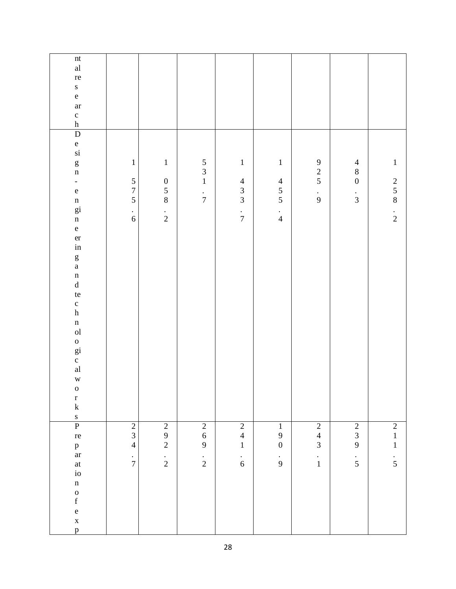| $\mathop{\hbox{\rm nt}}$<br>$\operatorname{al}$<br>re<br>${\bf S}$<br>$\mathbf{e}$<br>$\operatorname{ar}$<br>$\frac{c}{h}$                                                                                                                                                                         |                                                                                 |                                                                        |                                                                 |                                                                                                           |                                                                        |                                                                               |                                                             |                                                                            |
|----------------------------------------------------------------------------------------------------------------------------------------------------------------------------------------------------------------------------------------------------------------------------------------------------|---------------------------------------------------------------------------------|------------------------------------------------------------------------|-----------------------------------------------------------------|-----------------------------------------------------------------------------------------------------------|------------------------------------------------------------------------|-------------------------------------------------------------------------------|-------------------------------------------------------------|----------------------------------------------------------------------------|
| $\overline{D}$<br>e<br>si<br>$\frac{g}{n}$<br>÷,<br>$\rm e$<br>n<br>gi<br>n<br>$\mathbf{e}% _{t}\left( t\right)$<br>er<br>in<br>$_{\rm a}^{\rm g}$<br>$\begin{matrix} n \\ d \end{matrix}$<br>te<br>$\frac{c}{h}$<br>n<br>ol<br>o<br>gi<br>c<br>al<br>$\mathbf w$<br>$\mathbf{o}$<br>$\frac{r}{k}$ | $\,1\,$<br>$\frac{5}{7}$<br>5<br>$\bullet$<br>$\sqrt{6}$                        | $\,1\,$<br>$\begin{array}{c} 0 \\ 5 \\ 8 \end{array}$<br>$\frac{1}{2}$ | $\begin{array}{c} 5 \\ 3 \\ 1 \end{array}$<br>$\frac{1}{7}$     | $\mathbf{1}% _{T}\left( \mathbf{1}\right)$<br>$\begin{array}{c} 4 \\ 3 \\ 3 \end{array}$<br>$\frac{1}{7}$ | $\,1\,$<br>$\begin{array}{c} 4 \\ 5 \\ 5 \end{array}$<br>$\frac{1}{4}$ | $\begin{array}{c} 9 \\ 2 \\ 5 \end{array}$<br>$\frac{1}{9}$                   | $\begin{array}{c} 4 \\ 8 \\ 0 \end{array}$<br>$\frac{1}{3}$ | $\mathbf 1$<br>$\begin{array}{c} 2 \\ 5 \\ 8 \end{array}$<br>$\frac{1}{2}$ |
| $\frac{s}{P}$<br>re<br>$_{\mathrm{a}\mathrm{r}}^{\mathrm{p}}$<br>$\operatorname{at}$<br>$\mathrm{i}\mathrm{o}$<br>$\mathbf n$<br>$\begin{matrix} 0 \\ f \end{matrix}$<br>$\mathbf{e}$<br>$\mathbf X$<br>$\mathbf{p}$                                                                               | $\sqrt{2}$<br>$\mathfrak{Z}$<br>$\overline{4}$<br>$\bullet$<br>$\boldsymbol{7}$ | $\sqrt{2}$<br>$\boldsymbol{9}$<br>$\overline{c}$<br>$\frac{1}{2}$      | $\overline{2}$<br>$\sqrt{6}$<br>$\overline{9}$<br>$\frac{1}{2}$ | $\overline{2}$<br>$\overline{4}$<br>$\mathbf 1$<br>$\frac{1}{6}$                                          | $\,1$<br>9<br>$\boldsymbol{0}$<br>$\frac{1}{9}$                        | $\overline{2}$<br>$\overline{\mathcal{L}}$<br>$\overline{3}$<br>$\frac{1}{1}$ | $\frac{2}{3}$<br>$\mathbf{9}$<br>$\frac{1}{5}$              | $\begin{array}{c} 2 \\ 1 \end{array}$<br>$\mathbf{1}$<br>$\frac{1}{5}$     |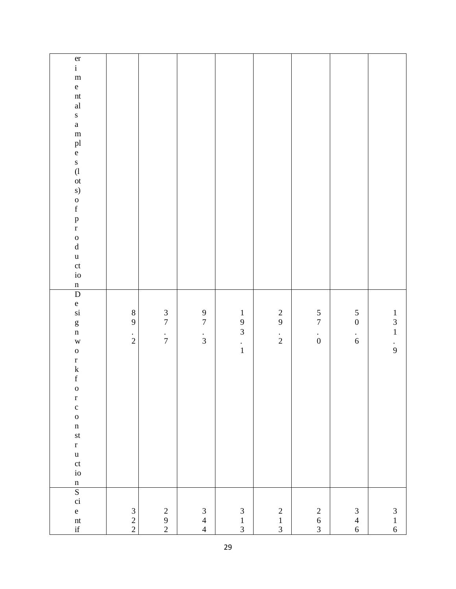| $\frac{1}{i}$<br>${\bf m}$<br>$\mathbf{e}$<br>nt<br>$\mathbf{a} \mathbf{l}$<br>$\mathbf{s}$<br>$\mathbf{a}$<br>${\bf m}$<br>pl<br>e<br>$\begin{array}{c} s \\ (l \\ \text{ot} \end{array}$<br>s)<br>$\begin{matrix} 0 \\ f \end{matrix}$<br>$\frac{p}{r}$<br>$\begin{matrix} 0 \\ d \end{matrix}$<br>$\mathbf{u}$<br>ct<br>io |                                            |                                            |                                            |                                                             |                                            |                                            |                                                        |                                                             |
|-------------------------------------------------------------------------------------------------------------------------------------------------------------------------------------------------------------------------------------------------------------------------------------------------------------------------------|--------------------------------------------|--------------------------------------------|--------------------------------------------|-------------------------------------------------------------|--------------------------------------------|--------------------------------------------|--------------------------------------------------------|-------------------------------------------------------------|
| $\frac{n}{D}$<br>e<br>si<br>$\frac{g}{n}$<br>$\mathbf w$<br>$\mathbf{o}$<br>$\begin{array}{c} r \\ k \\ f \end{array}$<br>$\mathbf 0$<br>$\frac{r}{c}$<br>$\mathbf{o}$<br>$\mathbf n$<br>st<br>$\bf r$<br>$\mathbf u$<br>ct<br>io<br>$\mathbf n$                                                                              | $\,8\,$<br>$\mathbf{9}$<br>$\frac{1}{2}$   | $\frac{3}{7}$<br>$\frac{1}{7}$             | $\frac{9}{7}$<br>$\frac{1}{3}$             | $\begin{array}{c} 1 \\ 9 \\ 3 \end{array}$<br>$\frac{1}{1}$ | $\frac{2}{9}$<br>$\frac{1}{2}$             | $\frac{5}{7}$<br>$\stackrel{\cdot}{0}$     | $\begin{array}{c} 5 \\ 0 \end{array}$<br>$\frac{1}{6}$ | $\begin{array}{c} 1 \\ 3 \\ 1 \end{array}$<br>$\frac{1}{9}$ |
| $rac{S}{\dot{c}i}$<br>$\mathbf{e}$<br>$\frac{nt}{if}$                                                                                                                                                                                                                                                                         | $\begin{array}{c} 3 \\ 2 \\ 2 \end{array}$ | $\begin{array}{c} 2 \\ 9 \\ 2 \end{array}$ | $\begin{array}{c} 3 \\ 4 \\ 4 \end{array}$ | $\begin{array}{c} 3 \\ 1 \\ 3 \end{array}$                  | $\begin{array}{c} 2 \\ 1 \\ 3 \end{array}$ | $\begin{array}{c} 2 \\ 6 \\ 3 \end{array}$ | $\begin{array}{c} 3 \\ 4 \\ 6 \end{array}$             | $\begin{array}{c} 3 \\ 1 \\ 6 \end{array}$                  |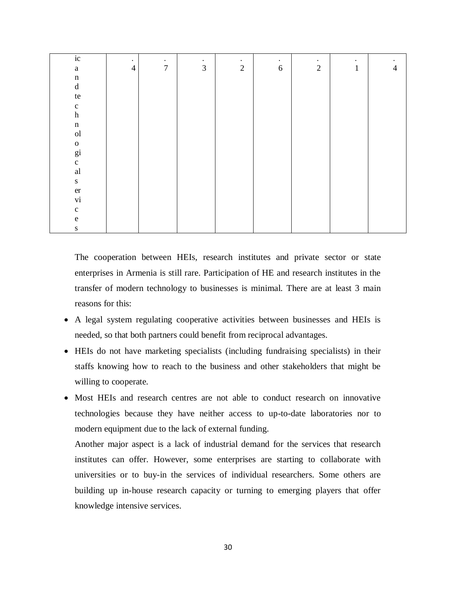| ic                         | $\bullet$      | $\bullet$        | $\bullet$      | $\bullet$      | $\bullet$  | $\bullet$  | $\bullet$    | $\bullet$      |
|----------------------------|----------------|------------------|----------------|----------------|------------|------------|--------------|----------------|
| $\mathbf{a}$               | $\overline{4}$ | $\boldsymbol{7}$ | $\mathfrak{Z}$ | $\overline{2}$ | $\sqrt{6}$ | $\sqrt{2}$ | $\mathbf{1}$ | $\overline{4}$ |
| $\mathbf n$                |                |                  |                |                |            |            |              |                |
| $\mathbf d$                |                |                  |                |                |            |            |              |                |
| $\,$ te                    |                |                  |                |                |            |            |              |                |
| $\mathbf c$                |                |                  |                |                |            |            |              |                |
| $\boldsymbol{\textbf{h}}$  |                |                  |                |                |            |            |              |                |
| $\mathbf n$                |                |                  |                |                |            |            |              |                |
| ${\rm ol}$                 |                |                  |                |                |            |            |              |                |
| $\mathbf 0$                |                |                  |                |                |            |            |              |                |
| $_{c}^{\text{gi}}$         |                |                  |                |                |            |            |              |                |
|                            |                |                  |                |                |            |            |              |                |
| $\mathop{\rm al}\nolimits$ |                |                  |                |                |            |            |              |                |
| ${\bf S}$                  |                |                  |                |                |            |            |              |                |
| $\operatorname{\sf er}$    |                |                  |                |                |            |            |              |                |
| $\mathbf{vi}$              |                |                  |                |                |            |            |              |                |
| $\mathbf c$                |                |                  |                |                |            |            |              |                |
| ${\bf e}$                  |                |                  |                |                |            |            |              |                |
| ${\bf S}$                  |                |                  |                |                |            |            |              |                |

The cooperation between HEIs, research institutes and private sector or state enterprises in Armenia is still rare. Participation of HE and research institutes in the transfer of modern technology to businesses is minimal. There are at least 3 main reasons for this:

- A legal system regulating cooperative activities between businesses and HEIs is needed, so that both partners could benefit from reciprocal advantages.
- HEIs do not have marketing specialists (including fundraising specialists) in their staffs knowing how to reach to the business and other stakeholders that might be willing to cooperate.
- Most HEIs and research centres are not able to conduct research on innovative technologies because they have neither access to up-to-date laboratories nor to modern equipment due to the lack of external funding.

Another major aspect is a lack of industrial demand for the services that research institutes can offer. However, some enterprises are starting to collaborate with universities or to buy-in the services of individual researchers. Some others are building up in-house research capacity or turning to emerging players that offer knowledge intensive services.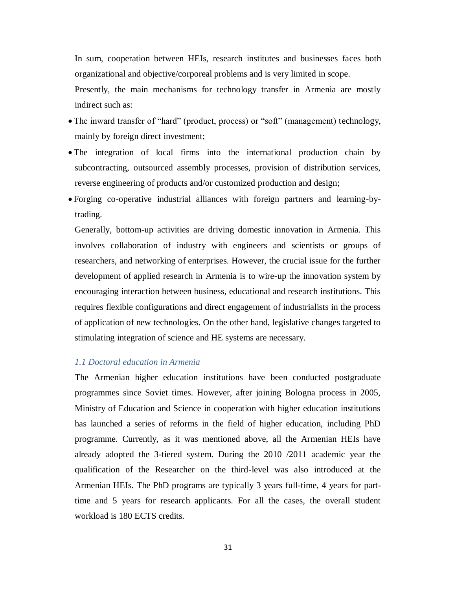In sum, cooperation between HEIs, research institutes and businesses faces both organizational and objective/corporeal problems and is very limited in scope.

Presently, the main mechanisms for technology transfer in Armenia are mostly indirect such as:

- The inward transfer of "hard" (product, process) or "soft" (management) technology, mainly by foreign direct investment;
- The integration of local firms into the international production chain by subcontracting, outsourced assembly processes, provision of distribution services, reverse engineering of products and/or customized production and design;
- Forging co-operative industrial alliances with foreign partners and learning-bytrading.

Generally, bottom-up activities are driving domestic innovation in Armenia. This involves collaboration of industry with engineers and scientists or groups of researchers, and networking of enterprises. However, the crucial issue for the further development of applied research in Armenia is to wire-up the innovation system by encouraging interaction between business, educational and research institutions. This requires flexible configurations and direct engagement of industrialists in the process of application of new technologies. On the other hand, legislative changes targeted to stimulating integration of science and HE systems are necessary.

### <span id="page-30-0"></span>*1.1 Doctoral education in Armenia*

The Armenian higher education institutions have been conducted postgraduate programmes since Soviet times. However, after joining Bologna process in 2005, Ministry of Education and Science in cooperation with higher education institutions has launched a series of reforms in the field of higher education, including PhD programme. Currently, as it was mentioned above, all the Armenian HEIs have already adopted the 3-tiered system. During the 2010 /2011 academic year the qualification of the Researcher on the third-level was also introduced at the Armenian HEIs. The PhD programs are typically 3 years full-time, 4 years for parttime and 5 years for research applicants. For all the cases, the overall student workload is 180 ECTS credits.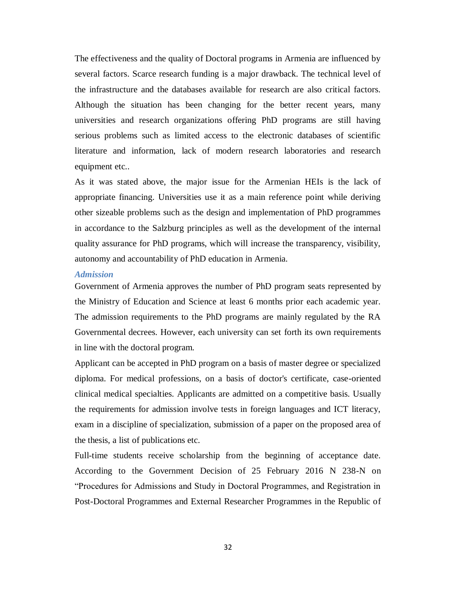The effectiveness and the quality of Doctoral programs in Armenia are influenced by several factors. Scarce research funding is a major drawback. The technical level of the infrastructure and the databases available for research are also critical factors. Although the situation has been changing for the better recent years, many universities and research organizations offering PhD programs are still having serious problems such as limited access to the electronic databases of scientific literature and information, lack of modern research laboratories and research equipment etc..

As it was stated above, the major issue for the Armenian HEIs is the lack of appropriate financing. Universities use it as a main reference point while deriving other sizeable problems such as the design and implementation of PhD programmes in accordance to the Salzburg principles as well as the development of the internal quality assurance for PhD programs, which will increase the transparency, visibility, autonomy and accountability of PhD education in Armenia.

#### *Admission*

Government of Armenia approves the number of PhD program seats represented by the Ministry of Education and Science at least 6 months prior each academic year. The admission requirements to the PhD programs are mainly regulated by the RA Governmental decrees. However, each university can set forth its own requirements in line with the doctoral program.

Applicant can be accepted in PhD program on a basis of master degree or specialized diploma. For medical professions, on a basis of doctor's certificate, case-oriented clinical medical specialties. Applicants are admitted on a competitive basis. Usually the requirements for admission involve tests in foreign languages and ICT literacy, exam in a discipline of specialization, submission of a paper on the proposed area of the thesis, a list of publications etc.

Full-time students receive scholarship from the beginning of acceptance date. According to the Government Decision of 25 February 2016 N 238-N on "Procedures for Admissions and Study in Doctoral Programmes, and Registration in Post-Doctoral Programmes and External Researcher Programmes in the Republic of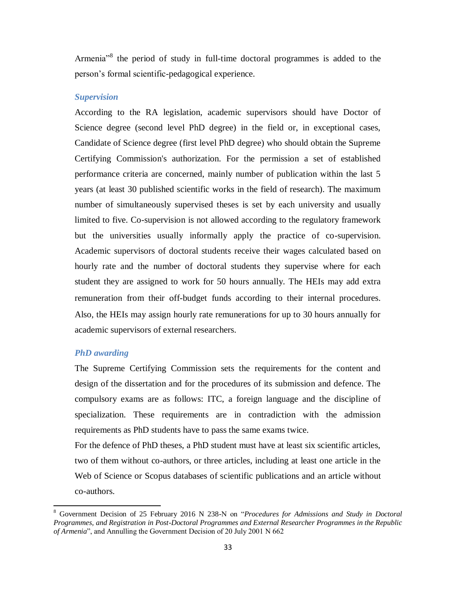Armenia<sup>38</sup> the period of study in full-time doctoral programmes is added to the person's formal scientific-pedagogical experience.

#### *Supervision*

According to the RA legislation, academic supervisors should have Doctor of Science degree (second level PhD degree) in the field or, in exceptional cases, Candidate of Science degree (first level PhD degree) who should obtain the Supreme Certifying Commission's authorization. For the permission a set of established performance criteria are concerned, mainly number of publication within the last 5 years (at least 30 published scientific works in the field of research). The maximum number of simultaneously supervised theses is set by each university and usually limited to five. Co-supervision is not allowed according to the regulatory framework but the universities usually informally apply the practice of co-supervision. Academic supervisors of doctoral students receive their wages calculated based on hourly rate and the number of doctoral students they supervise where for each student they are assigned to work for 50 hours annually. The HEIs may add extra remuneration from their օff-budget funds according to their internal procedures. Also, the HEIs may assign hourly rate remunerations for up to 30 hours annually for academic supervisors of external researchers.

### *PhD awarding*

 $\overline{a}$ 

The Supreme Certifying Commission sets the requirements for the content and design of the dissertation and for the procedures of its submission and defence. The compulsory exams are as follows: ITC, a foreign language and the discipline of specialization. These requirements are in contradiction with the admission requirements as PhD students have to pass the same exams twice.

For the defence of PhD theses, a PhD student must have at least six scientific articles, two of them without co-authors, or three articles, including at least one article in the Web of Science or Scopus databases of scientific publications and an article without co-authors.

<sup>8</sup> Government Decision of 25 February 2016 N 238-N on "*Procedures for Admissions and Study in Doctoral Programmes, and Registration in Post-Doctoral Programmes and External Researcher Programmes in the Republic of Armenia*", and Annulling the Government Decision of 20 July 2001 N 662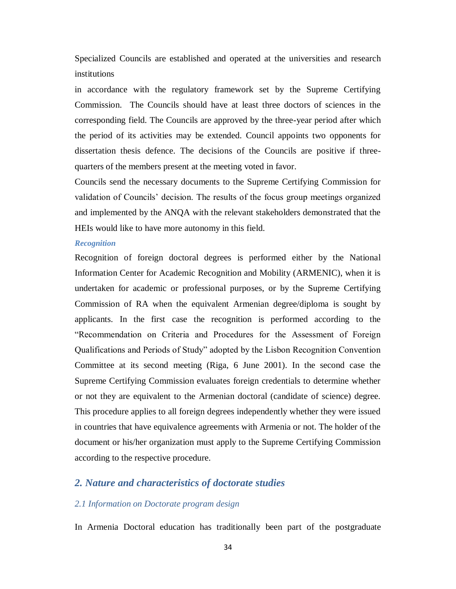Specialized Councils are established and operated at the universities and research institutions

in accordance with the regulatory framework set by the Supreme Certifying Commission. The Councils should have at least three doctors of sciences in the corresponding field. The Councils are approved by the three-year period after which the period of its activities may be extended. Council appoints two opponents for dissertation thesis defence. The decisions of the Councils are positive if threequarters of the members present at the meeting voted in favor.

Councils send the necessary documents to the Supreme Certifying Commission for validation of Councils' decision. The results of the focus group meetings organized and implemented by the ANQA with the relevant stakeholders demonstrated that the HEIs would like to have more autonomy in this field.

#### *Recognition*

Recognition of foreign doctoral degrees is performed either by the National Information Center for Academic Recognition and Mobility (ARMENIC), when it is undertaken for academic or professional purposes, or by the Supreme Certifying Commission of RA when the equivalent Armenian degree/diploma is sought by applicants. In the first case the recognition is performed according to the "Recommendation on Criteria and Procedures for the Assessment of Foreign Qualifications and Periods of Study" adopted by the Lisbon Recognition Convention Committee at its second meeting (Riga, 6 June 2001). In the second case the Supreme Certifying Commission evaluates foreign credentials to determine whether or not they are equivalent to the Armenian doctoral (candidate of science) degree. This procedure applies to all foreign degrees independently whether they were issued in countries that have equivalence agreements with Armenia or not. The holder of the document or his/her organization must apply to the Supreme Certifying Commission according to the respective procedure.

### <span id="page-33-1"></span><span id="page-33-0"></span>*2. Nature and characteristics of doctorate studies*

#### *2.1 Information on Doctorate program design*

In Armenia Doctoral education has traditionally been part of the postgraduate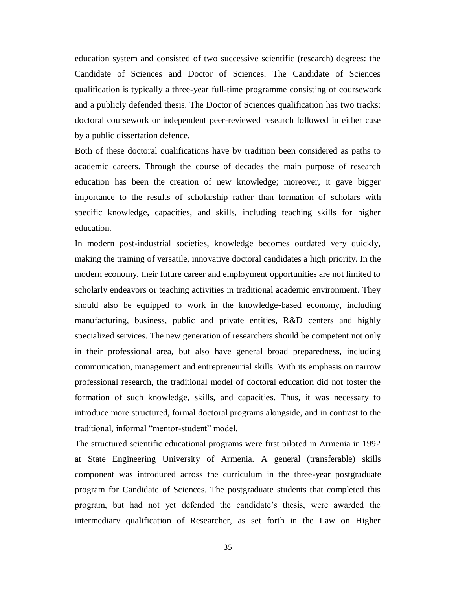education system and consisted of two successive scientific (research) degrees: the Candidate of Sciences and Doctor of Sciences. The Candidate of Sciences qualification is typically a three-year full-time programme consisting of coursework and a publicly defended thesis. The Doctor of Sciences qualification has two tracks: doctoral coursework or independent peer-reviewed research followed in either case by a public dissertation defence.

Both of these doctoral qualifications have by tradition been considered as paths to academic careers. Through the course of decades the main purpose of research education has been the creation of new knowledge; moreover, it gave bigger importance to the results of scholarship rather than formation of scholars with specific knowledge, capacities, and skills, including teaching skills for higher education.

In modern post-industrial societies, knowledge becomes outdated very quickly, making the training of versatile, innovative doctoral candidates a high priority. In the modern economy, their future career and employment opportunities are not limited to scholarly endeavors or teaching activities in traditional academic environment. They should also be equipped to work in the knowledge-based economy, including manufacturing, business, public and private entities, R&D centers and highly specialized services. The new generation of researchers should be competent not only in their professional area, but also have general broad preparedness, including communication, management and entrepreneurial skills. With its emphasis on narrow professional research, the traditional model of doctoral education did not foster the formation of such knowledge, skills, and capacities. Thus, it was necessary to introduce more structured, formal doctoral programs alongside, and in contrast to the traditional, informal "mentor-student" model.

The structured scientific educational programs were first piloted in Armenia in 1992 at State Engineering University of Armenia. A general (transferable) skills component was introduced across the curriculum in the three-year postgraduate program for Candidate of Sciences. The postgraduate students that completed this program, but had not yet defended the candidate's thesis, were awarded the intermediary qualification of Researcher, as set forth in the Law on Higher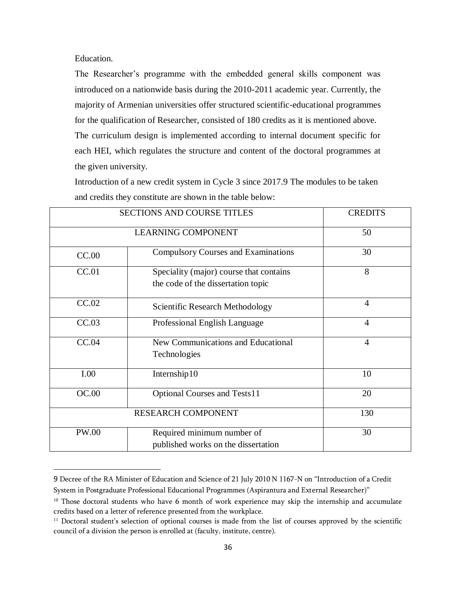Education.

 $\overline{a}$ 

The Researcher's programme with the embedded general skills component was introduced on a nationwide basis during the 2010-2011 academic year. Currently, the majority of Armenian universities offer structured scientific-educational programmes for the qualification of Researcher, consisted of 180 credits as it is mentioned above. The curriculum design is implemented according to internal document specific for each HEI, which regulates the structure and content of the doctoral programmes at the given university.

Introduction of a new credit system in Cycle 3 since 2017.9 The modules to be taken and credits they constitute are shown in the table below:

|              | <b>SECTIONS AND COURSE TITLES</b>                                             | <b>CREDITS</b> |
|--------------|-------------------------------------------------------------------------------|----------------|
|              | <b>LEARNING COMPONENT</b>                                                     | 50             |
| CC.00        | <b>Compulsory Courses and Examinations</b>                                    | 30             |
| CC.01        | Speciality (major) course that contains<br>the code of the dissertation topic | 8              |
| CC.02        | Scientific Research Methodology                                               | $\overline{4}$ |
| CC.03        | Professional English Language                                                 | $\overline{4}$ |
| CC.04        | New Communications and Educational<br>Technologies                            | $\overline{4}$ |
| I.00         | Internship10                                                                  | 10             |
| OC.00        | <b>Optional Courses and Tests11</b>                                           | 20             |
|              | RESEARCH COMPONENT                                                            | 130            |
| <b>PW.00</b> | Required minimum number of<br>published works on the dissertation             | 30             |

<sup>9</sup> Decree of the RA Minister of Education and Science of 21 July 2010 N 1167-N on "Introduction of a Credit System in Postgraduate Professional Educational Programmes (Aspirantura and External Researcher)"

<sup>&</sup>lt;sup>10</sup> Those doctoral students who have 6 month of work experience may skip the internship and accumulate credits based on a letter of reference presented from the workplace.

<sup>&</sup>lt;sup>11</sup> Doctoral student's selection of optional courses is made from the list of courses approved by the scientific council of a division the person is enrolled at (faculty, institute, centre).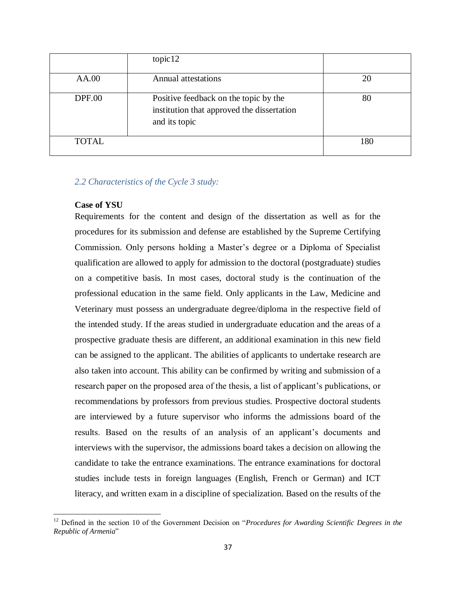|               | topic 12                                                                                             |     |
|---------------|------------------------------------------------------------------------------------------------------|-----|
| AA.00         | <b>Annual attestations</b>                                                                           | 20  |
| <b>DPF.00</b> | Positive feedback on the topic by the<br>institution that approved the dissertation<br>and its topic | 80  |
| <b>TOTAL</b>  |                                                                                                      | 180 |

#### *2.2 Characteristics of the Cycle 3 study:*

#### **Case of YSU**

 $\overline{a}$ 

Requirements for the content and design of the dissertation as well as for the procedures for its submission and defense are established by the Supreme Certifying Commission. Only persons holding a Master's degree or a Diploma of Specialist qualification are allowed to apply for admission to the doctoral (postgraduate) studies on a competitive basis. In most cases, doctoral study is the continuation of the professional education in the same field. Only applicants in the Law, Medicine and Veterinary must possess an undergraduate degree/diploma in the respective field of the intended study. If the areas studied in undergraduate education and the areas of a prospective graduate thesis are different, an additional examination in this new field can be assigned to the applicant. The abilities of applicants to undertake research are also taken into account. This ability can be confirmed by writing and submission of a research paper on the proposed area of the thesis, a list of applicant's publications, or recommendations by professors from previous studies. Prospective doctoral students are interviewed by a future supervisor who informs the admissions board of the results. Based on the results of an analysis of an applicant's documents and interviews with the supervisor, the admissions board takes a decision on allowing the candidate to take the entrance examinations. The entrance examinations for doctoral studies include tests in foreign languages (English, French or German) and ICT literacy, and written exam in a discipline of specialization. Based on the results of the

<sup>&</sup>lt;sup>12</sup> Defined in the section 10 of the Government Decision on "*Procedures for Awarding Scientific Degrees in the Republic of Armenia*"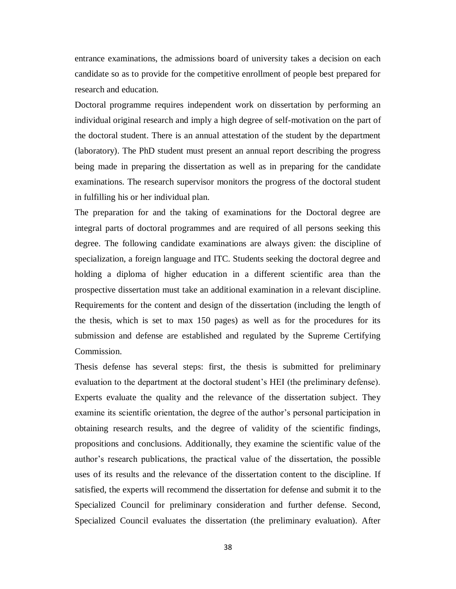entrance examinations, the admissions board of university takes a decision on each candidate so as to provide for the competitive enrollment of people best prepared for research and education.

Doctoral programme requires independent work on dissertation by performing an individual original research and imply a high degree of self-motivation on the part of the doctoral student. There is an annual attestation of the student by the department (laboratory). The PhD student must present an annual report describing the progress being made in preparing the dissertation as well as in preparing for the candidate examinations. The research supervisor monitors the progress of the doctoral student in fulfilling his or her individual plan.

The preparation for and the taking of examinations for the Doctoral degree are integral parts of doctoral programmes and are required of all persons seeking this degree. The following candidate examinations are always given: the discipline of specialization, a foreign language and ITC. Students seeking the doctoral degree and holding a diploma of higher education in a different scientific area than the prospective dissertation must take an additional examination in a relevant discipline. Requirements for the content and design of the dissertation (including the length of the thesis, which is set to max 150 pages) as well as for the procedures for its submission and defense are established and regulated by the Supreme Certifying Commission.

Thesis defense has several steps: first, the thesis is submitted for preliminary evaluation to the department at the doctoral student's HEI (the preliminary defense). Experts evaluate the quality and the relevance of the dissertation subject. They examine its scientific orientation, the degree of the author's personal participation in obtaining research results, and the degree of validity of the scientific findings, propositions and conclusions. Additionally, they examine the scientific value of the author's research publications, the practical value of the dissertation, the possible uses of its results and the relevance of the dissertation content to the discipline. If satisfied, the experts will recommend the dissertation for defense and submit it to the Specialized Council for preliminary consideration and further defense. Second, Specialized Council evaluates the dissertation (the preliminary evaluation). After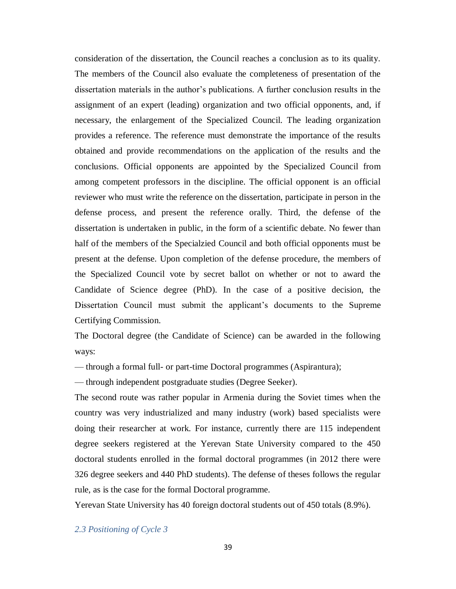consideration of the dissertation, the Council reaches a conclusion as to its quality. The members of the Council also evaluate the completeness of presentation of the dissertation materials in the author's publications. A further conclusion results in the assignment of an expert (leading) organization and two official opponents, and, if necessary, the enlargement of the Specialized Council. The leading organization provides a reference. The reference must demonstrate the importance of the results obtained and provide recommendations on the application of the results and the conclusions. Official opponents are appointed by the Specialized Council from among competent professors in the discipline. The official opponent is an official reviewer who must write the reference on the dissertation, participate in person in the defense process, and present the reference orally. Third, the defense of the dissertation is undertaken in public, in the form of a scientific debate. No fewer than half of the members of the Specialzied Council and both official opponents must be present at the defense. Upon completion of the defense procedure, the members of the Specialized Council vote by secret ballot on whether or not to award the Candidate of Science degree (PhD). In the case of a positive decision, the Dissertation Council must submit the applicant's documents to the Supreme Certifying Commission.

The Doctoral degree (the Candidate of Science) can be awarded in the following ways:

— through a formal full- or part-time Doctoral programmes (Aspirantura);

— through independent postgraduate studies (Degree Seeker).

The second route was rather popular in Armenia during the Soviet times when the country was very industrialized and many industry (work) based specialists were doing their researcher at work. For instance, currently there are 115 independent degree seekers registered at the Yerevan State University compared to the 450 doctoral students enrolled in the formal doctoral programmes (in 2012 there were 326 degree seekers and 440 PhD students). The defense of theses follows the regular rule, as is the case for the formal Doctoral programme.

Yerevan State University has 40 foreign doctoral students out of 450 totals (8.9%).

*2.3 Positioning of Cycle 3*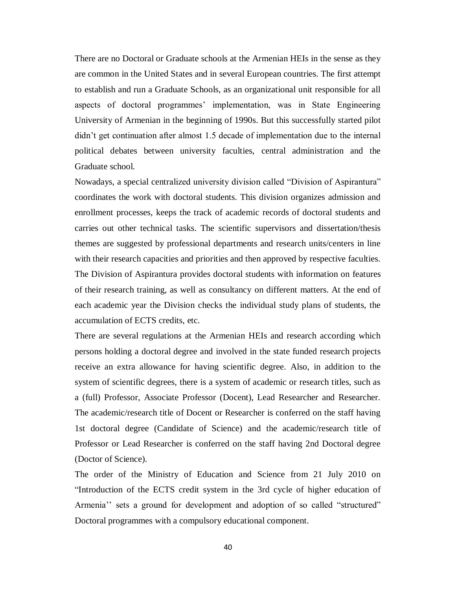There are no Doctoral or Graduate schools at the Armenian HEIs in the sense as they are common in the United States and in several European countries. The first attempt to establish and run a Graduate Schools, as an organizational unit responsible for all aspects of doctoral programmes' implementation, was in State Engineering University of Armenian in the beginning of 1990s. But this successfully started pilot didn't get continuation after almost 1.5 decade of implementation due to the internal political debates between university faculties, central administration and the Graduate school.

Nowadays, a special centralized university division called "Division of Aspirantura" coordinates the work with doctoral students. This division organizes admission and enrollment processes, keeps the track of academic records of doctoral students and carries out other technical tasks. The scientific supervisors and dissertation/thesis themes are suggested by professional departments and research units/centers in line with their research capacities and priorities and then approved by respective faculties. The Division of Aspirantura provides doctoral students with information on features of their research training, as well as consultancy on different matters. At the end of each academic year the Division checks the individual study plans of students, the accumulation of ECTS credits, etc.

There are several regulations at the Armenian HEIs and research according which persons holding a doctoral degree and involved in the state funded research projects receive an extra allowance for having scientific degree. Also, in addition to the system of scientific degrees, there is a system of academic or research titles, such as a (full) Professor, Associate Professor (Docent), Lead Researcher and Researcher. The academic/research title of Docent or Researcher is conferred on the staff having 1st doctoral degree (Candidate of Science) and the academic/research title of Professor or Lead Researcher is conferred on the staff having 2nd Doctoral degree (Doctor of Science).

The order of the Ministry of Education and Science from 21 July 2010 on "Introduction of the ECTS credit system in the 3rd cycle of higher education of Armenia'' sets a ground for development and adoption of so called "structured" Doctoral programmes with a compulsory educational component.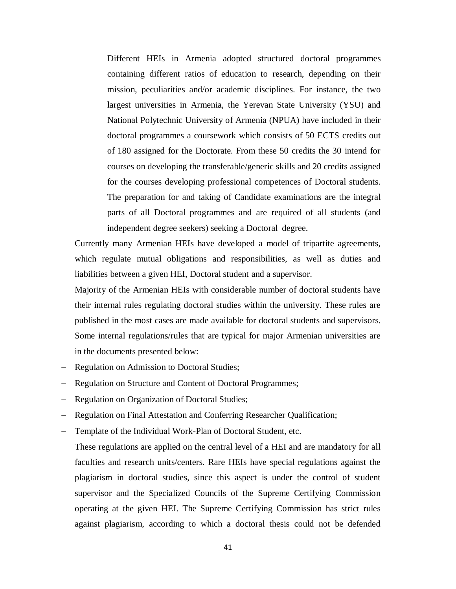Different HEIs in Armenia adopted structured doctoral programmes containing different ratios of education to research, depending on their mission, peculiarities and/or academic disciplines. For instance, the two largest universities in Armenia, the Yerevan State University (YSU) and National Polytechnic University of Armenia (NPUA) have included in their doctoral programmes a coursework which consists of 50 ECTS credits out of 180 assigned for the Doctorate. From these 50 credits the 30 intend for courses on developing the transferable/generic skills and 20 credits assigned for the courses developing professional competences of Doctoral students. The preparation for and taking of Candidate examinations are the integral parts of all Doctoral programmes and are required of all students (and independent degree seekers) seeking a Doctoral degree.

Currently many Armenian HEIs have developed a model of tripartite agreements, which regulate mutual obligations and responsibilities, as well as duties and liabilities between a given HEI, Doctoral student and a supervisor.

Majority of the Armenian HEIs with considerable number of doctoral students have their internal rules regulating doctoral studies within the university. These rules are published in the most cases are made available for doctoral students and supervisors. Some internal regulations/rules that are typical for major Armenian universities are in the documents presented below:

- Regulation on Admission to Doctoral Studies;
- Regulation on Structure and Content of Doctoral Programmes;
- Regulation on Organization of Doctoral Studies;
- Regulation on Final Attestation and Conferring Researcher Qualification;
- Template of the Individual Work-Plan of Doctoral Student, etc.

These regulations are applied on the central level of a HEI and are mandatory for all faculties and research units/centers. Rare HEIs have special regulations against the plagiarism in doctoral studies, since this aspect is under the control of student supervisor and the Specialized Councils of the Supreme Certifying Commission operating at the given HEI. The Supreme Certifying Commission has strict rules against plagiarism, according to which a doctoral thesis could not be defended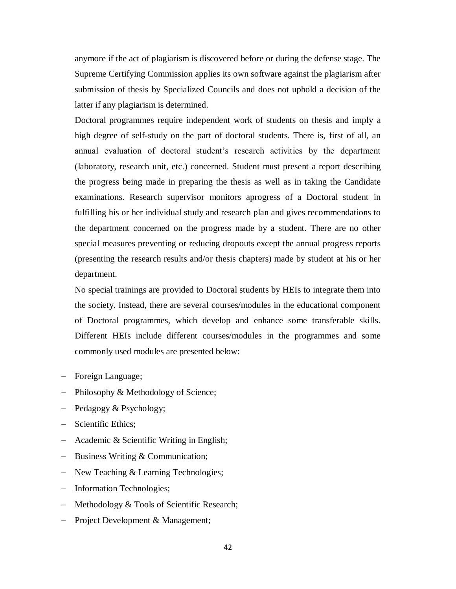anymore if the act of plagiarism is discovered before or during the defense stage. The Supreme Certifying Commission applies its own software against the plagiarism after submission of thesis by Specialized Councils and does not uphold a decision of the latter if any plagiarism is determined.

Doctoral programmes require independent work of students on thesis and imply a high degree of self-study on the part of doctoral students. There is, first of all, an annual evaluation of doctoral student's research activities by the department (laboratory, research unit, etc.) concerned. Student must present a report describing the progress being made in preparing the thesis as well as in taking the Candidate examinations. Research supervisor monitors aprogress of a Doctoral student in fulfilling his or her individual study and research plan and gives recommendations to the department concerned on the progress made by a student. There are no other special measures preventing or reducing dropouts except the annual progress reports (presenting the research results and/or thesis chapters) made by student at his or her department.

No special trainings are provided to Doctoral students by HEIs to integrate them into the society. Instead, there are several courses/modules in the educational component of Doctoral programmes, which develop and enhance some transferable skills. Different HEIs include different courses/modules in the programmes and some commonly used modules are presented below:

- Foreign Language;
- Philosophy & Methodology of Science;
- Pedagogy & Psychology;
- Scientific Ethics;
- Academic & Scientific Writing in English;
- Business Writing & Communication;
- New Teaching & Learning Technologies;
- Information Technologies;
- Methodology & Tools of Scientific Research;
- Project Development & Management;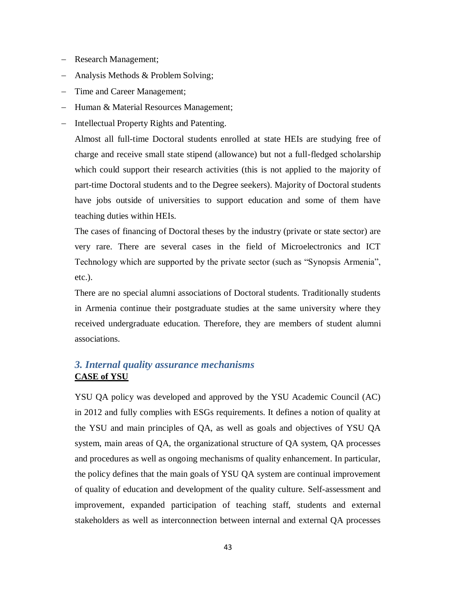- Research Management;
- Analysis Methods & Problem Solving;
- Time and Career Management;
- Human & Material Resources Management;
- Intellectual Property Rights and Patenting.

Almost all full-time Doctoral students enrolled at state HEIs are studying free of charge and receive small state stipend (allowance) but not a full-fledged scholarship which could support their research activities (this is not applied to the majority of part-time Doctoral students and to the Degree seekers). Majority of Doctoral students have jobs outside of universities to support education and some of them have teaching duties within HEIs.

The cases of financing of Doctoral theses by the industry (private or state sector) are very rare. There are several cases in the field of Microelectronics and ICT Technology which are supported by the private sector (such as "Synopsis Armenia", etc.).

There are no special alumni associations of Doctoral students. Traditionally students in Armenia continue their postgraduate studies at the same university where they received undergraduate education. Therefore, they are members of student alumni associations.

## *3. Internal quality assurance mechanisms* **CASE of YSU**

YSU QA policy was developed and approved by the YSU Academic Council (AC) in 2012 and fully complies with ESGs requirements. It defines a notion of quality at the YSU and main principles of QA, as well as goals and objectives of YSU QA system, main areas of QA, the organizational structure of QA system, QA processes and procedures as well as ongoing mechanisms of quality enhancement. In particular, the policy defines that the main goals of YSU QA system are continual improvement of quality of education and development of the quality culture. Self-assessment and improvement, expanded participation of teaching staff, students and external stakeholders as well as interconnection between internal and external QA processes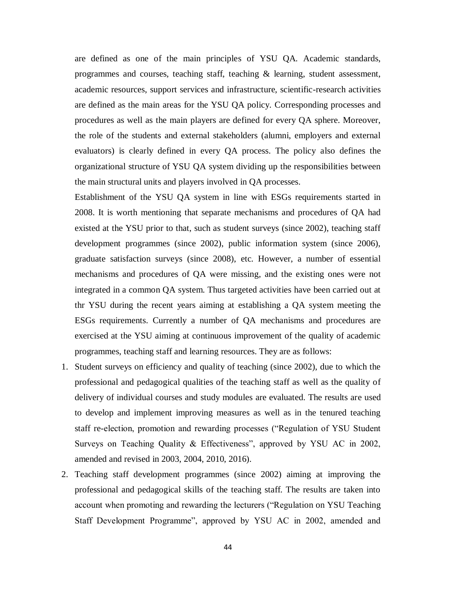are defined as one of the main principles of YSU QA. Academic standards, programmes and courses, teaching staff, teaching & learning, student assessment, academic resources, support services and infrastructure, scientific-research activities are defined as the main areas for the YSU QA policy. Corresponding processes and procedures as well as the main players are defined for every QA sphere. Moreover, the role of the students and external stakeholders (alumni, employers and external evaluators) is clearly defined in every QA process. The policy also defines the organizational structure of YSU QA system dividing up the responsibilities between the main structural units and players involved in QA processes.

Establishment of the YSU QA system in line with ESGs requirements started in 2008. It is worth mentioning that separate mechanisms and procedures of QA had existed at the YSU prior to that, such as student surveys (since 2002), teaching staff development programmes (since 2002), public information system (since 2006), graduate satisfaction surveys (since 2008), etc. However, a number of essential mechanisms and procedures of QA were missing, and the existing ones were not integrated in a common QA system. Thus targeted activities have been carried out at thr YSU during the recent years aiming at establishing a QA system meeting the ESGs requirements. Currently a number of QA mechanisms and procedures are exercised at the YSU aiming at continuous improvement of the quality of academic programmes, teaching staff and learning resources. They are as follows:

- 1. Student surveys on efficiency and quality of teaching (since 2002), due to which the professional and pedagogical qualities of the teaching staff as well as the quality of delivery of individual courses and study modules are evaluated. The results are used to develop and implement improving measures as well as in the tenured teaching staff re-election, promotion and rewarding processes ("Regulation of YSU Student Surveys on Teaching Quality & Effectiveness", approved by YSU AC in 2002, amended and revised in 2003, 2004, 2010, 2016).
- 2. Teaching staff development programmes (since 2002) aiming at improving the professional and pedagogical skills of the teaching staff. The results are taken into account when promoting and rewarding the lecturers ("Regulation on YSU Teaching Staff Development Programme", approved by YSU AC in 2002, amended and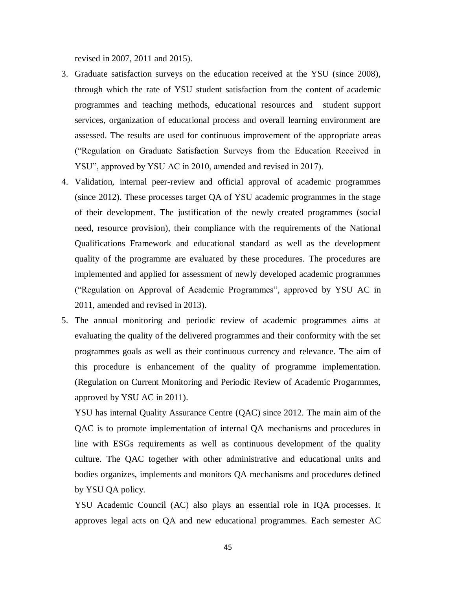revised in 2007, 2011 and 2015).

- 3. Graduate satisfaction surveys on the education received at the YSU (since 2008), through which the rate of YSU student satisfaction from the content of academic programmes and teaching methods, educational resources and student support services, organization of educational process and overall learning environment are assessed. The results are used for continuous improvement of the appropriate areas ("Regulation on Graduate Satisfaction Surveys from the Education Received in YSU", approved by YSU AC in 2010, amended and revised in 2017).
- 4. Validation, internal peer-review and official approval of academic programmes (since 2012). These processes target QA of YSU academic programmes in the stage of their development. The justification of the newly created programmes (social need, resource provision), their compliance with the requirements of the National Qualifications Framework and educational standard as well as the development quality of the programme are evaluated by these procedures. The procedures are implemented and applied for assessment of newly developed academic programmes ("Regulation on Approval of Academic Programmes", approved by YSU AC in 2011, amended and revised in 2013).
- 5. The annual monitoring and periodic review of academic programmes aims at evaluating the quality of the delivered programmes and their conformity with the set programmes goals as well as their continuous currency and relevance. The aim of this procedure is enhancement of the quality of programme implementation. (Regulation on Current Monitoring and Periodic Review of Academic Progarmmes, approved by YSU AC in 2011).

YSU has internal Quality Assurance Centre (QAC) since 2012. The main aim of the QAC is to promote implementation of internal QA mechanisms and procedures in line with ESGs requirements as well as continuous development of the quality culture. The QAC together with other administrative and educational units and bodies organizes, implements and monitors QA mechanisms and procedures defined by YSU QA policy.

YSU Academic Council (AC) also plays an essential role in IQA processes. It approves legal acts on QA and new educational programmes. Each semester AC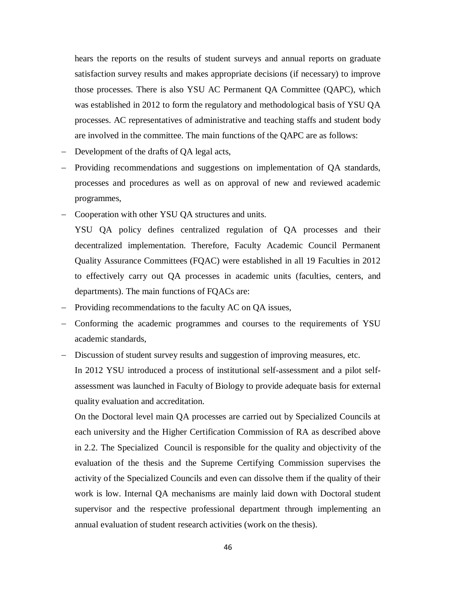hears the reports on the results of student surveys and annual reports on graduate satisfaction survey results and makes appropriate decisions (if necessary) to improve those processes. There is also YSU AC Permanent QA Committee (QAPC), which was established in 2012 to form the regulatory and methodological basis of YSU QA processes. AC representatives of administrative and teaching staffs and student body are involved in the committee. The main functions of the QAPC are as follows:

- Development of the drafts of QA legal acts,
- Providing recommendations and suggestions on implementation of QA standards, processes and procedures as well as on approval of new and reviewed academic programmes,
- Cooperation with other YSU QA structures and units.
- YSU QA policy defines centralized regulation of QA processes and their decentralized implementation. Therefore, Faculty Academic Council Permanent Quality Assurance Committees (FQAC) were established in all 19 Faculties in 2012 to effectively carry out QA processes in academic units (faculties, centers, and departments). The main functions of FQACs are:
- Providing recommendations to the faculty AC on QA issues,
- Conforming the academic programmes and courses to the requirements of YSU academic standards,
- Discussion of student survey results and suggestion of improving measures, etc. In 2012 YSU introduced a process of institutional self-assessment and a pilot selfassessment was launched in Faculty of Biology to provide adequate basis for external quality evaluation and accreditation.

On the Doctoral level main QA processes are carried out by Specialized Councils at each university and the Higher Certification Commission of RA as described above in 2.2. The Specialized Council is responsible for the quality and objectivity of the evaluation of the thesis and the Supreme Certifying Commission supervises the activity of the Specialized Councils and even can dissolve them if the quality of their work is low. Internal QA mechanisms are mainly laid down with Doctoral student supervisor and the respective professional department through implementing an annual evaluation of student research activities (work on the thesis).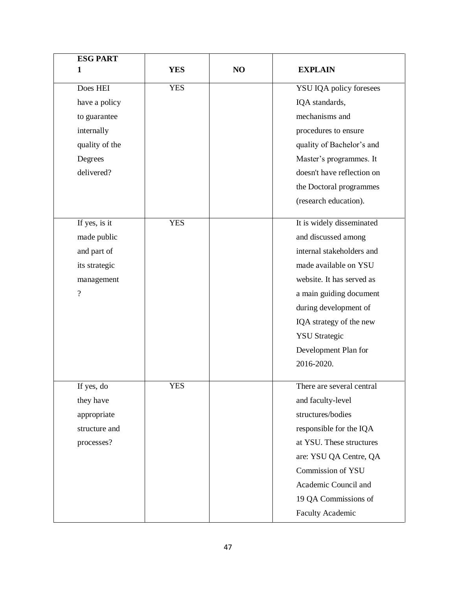| <b>ESG PART</b> |            |    |                            |
|-----------------|------------|----|----------------------------|
| 1               | <b>YES</b> | NO | <b>EXPLAIN</b>             |
| Does HEI        | <b>YES</b> |    | YSU IQA policy foresees    |
| have a policy   |            |    | IQA standards,             |
| to guarantee    |            |    | mechanisms and             |
| internally      |            |    | procedures to ensure       |
| quality of the  |            |    | quality of Bachelor's and  |
| Degrees         |            |    | Master's programmes. It    |
| delivered?      |            |    | doesn't have reflection on |
|                 |            |    | the Doctoral programmes    |
|                 |            |    | (research education).      |
| If yes, is it   | <b>YES</b> |    | It is widely disseminated  |
| made public     |            |    | and discussed among        |
| and part of     |            |    | internal stakeholders and  |
| its strategic   |            |    | made available on YSU      |
| management      |            |    | website. It has served as  |
| ?               |            |    | a main guiding document    |
|                 |            |    | during development of      |
|                 |            |    | IQA strategy of the new    |
|                 |            |    | <b>YSU</b> Strategic       |
|                 |            |    | Development Plan for       |
|                 |            |    | 2016-2020.                 |
| If yes, do      | <b>YES</b> |    | There are several central  |
| they have       |            |    | and faculty-level          |
| appropriate     |            |    | structures/bodies          |
| structure and   |            |    | responsible for the IQA    |
| processes?      |            |    | at YSU. These structures   |
|                 |            |    | are: YSU QA Centre, QA     |
|                 |            |    | Commission of YSU          |
|                 |            |    | Academic Council and       |
|                 |            |    | 19 QA Commissions of       |
|                 |            |    | <b>Faculty Academic</b>    |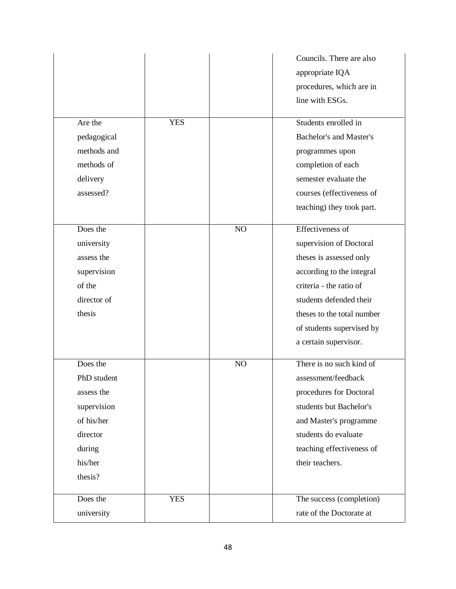|             |            |    | Councils. There are also       |
|-------------|------------|----|--------------------------------|
|             |            |    | appropriate IQA                |
|             |            |    | procedures, which are in       |
|             |            |    | line with ESGs.                |
| Are the     | <b>YES</b> |    | Students enrolled in           |
| pedagogical |            |    | <b>Bachelor's and Master's</b> |
| methods and |            |    | programmes upon                |
| methods of  |            |    | completion of each             |
| delivery    |            |    | semester evaluate the          |
| assessed?   |            |    | courses (effectiveness of      |
|             |            |    | teaching) they took part.      |
|             |            |    |                                |
| Does the    |            | NO | Effectiveness of               |
| university  |            |    | supervision of Doctoral        |
| assess the  |            |    | theses is assessed only        |
| supervision |            |    | according to the integral      |
| of the      |            |    | criteria - the ratio of        |
| director of |            |    | students defended their        |
| thesis      |            |    | theses to the total number     |
|             |            |    | of students supervised by      |
|             |            |    | a certain supervisor.          |
| Does the    |            | NO | There is no such kind of       |
| PhD student |            |    | assessment/feedback            |
| assess the  |            |    | procedures for Doctoral        |
| supervision |            |    | students but Bachelor's        |
| of his/her  |            |    | and Master's programme         |
| director    |            |    | students do evaluate           |
| during      |            |    | teaching effectiveness of      |
| his/her     |            |    | their teachers.                |
| thesis?     |            |    |                                |
| Does the    | <b>YES</b> |    | The success (completion)       |
| university  |            |    | rate of the Doctorate at       |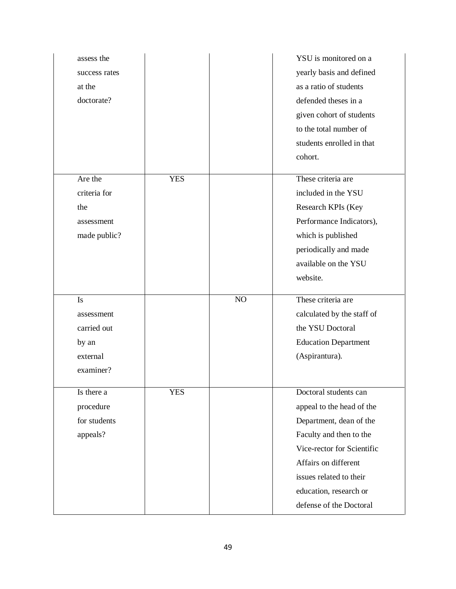| assess the    |            |    | YSU is monitored on a       |
|---------------|------------|----|-----------------------------|
| success rates |            |    | yearly basis and defined    |
| at the        |            |    | as a ratio of students      |
| doctorate?    |            |    | defended theses in a        |
|               |            |    | given cohort of students    |
|               |            |    | to the total number of      |
|               |            |    | students enrolled in that   |
|               |            |    | cohort.                     |
| Are the       | <b>YES</b> |    | These criteria are          |
| criteria for  |            |    | included in the YSU         |
| the           |            |    | Research KPIs (Key          |
| assessment    |            |    | Performance Indicators),    |
| made public?  |            |    | which is published          |
|               |            |    | periodically and made       |
|               |            |    | available on the YSU        |
|               |            |    | website.                    |
|               |            |    |                             |
|               |            |    |                             |
| Is            |            | NO | These criteria are          |
| assessment    |            |    | calculated by the staff of  |
| carried out   |            |    | the YSU Doctoral            |
| by an         |            |    | <b>Education Department</b> |
| external      |            |    | (Aspirantura).              |
| examiner?     |            |    |                             |
| Is there a    | <b>YES</b> |    | Doctoral students can       |
| procedure     |            |    | appeal to the head of the   |
| for students  |            |    | Department, dean of the     |
| appeals?      |            |    | Faculty and then to the     |
|               |            |    | Vice-rector for Scientific  |
|               |            |    | Affairs on different        |
|               |            |    | issues related to their     |
|               |            |    | education, research or      |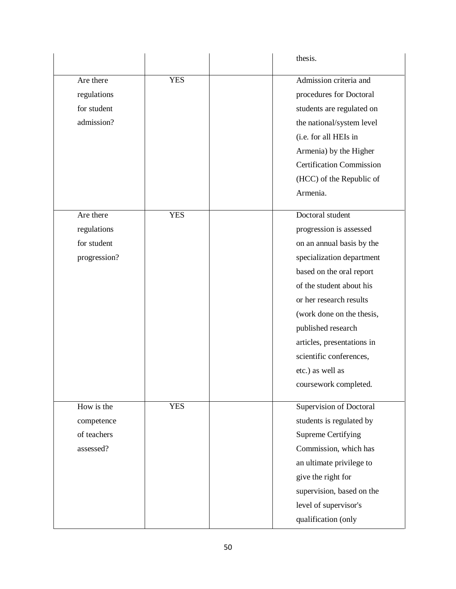|                                                       |            | thesis.                                                                                                                                                                                                                                   |
|-------------------------------------------------------|------------|-------------------------------------------------------------------------------------------------------------------------------------------------------------------------------------------------------------------------------------------|
| Are there<br>regulations<br>for student<br>admission? | <b>YES</b> | Admission criteria and<br>procedures for Doctoral<br>students are regulated on<br>the national/system level<br>(i.e. for all HEIs in<br>Armenia) by the Higher<br><b>Certification Commission</b><br>(HCC) of the Republic of<br>Armenia. |
| Are there<br>regulations<br>for student               | <b>YES</b> | Doctoral student<br>progression is assessed<br>on an annual basis by the                                                                                                                                                                  |
| progression?                                          |            | specialization department<br>based on the oral report<br>of the student about his                                                                                                                                                         |
|                                                       |            | or her research results<br>(work done on the thesis,<br>published research                                                                                                                                                                |
|                                                       |            | articles, presentations in<br>scientific conferences,<br>etc.) as well as                                                                                                                                                                 |
| How is the                                            | <b>YES</b> | coursework completed.<br>Supervision of Doctoral                                                                                                                                                                                          |
| competence                                            |            | students is regulated by                                                                                                                                                                                                                  |
| of teachers                                           |            | <b>Supreme Certifying</b>                                                                                                                                                                                                                 |
| assessed?                                             |            | Commission, which has                                                                                                                                                                                                                     |
|                                                       |            | an ultimate privilege to                                                                                                                                                                                                                  |
|                                                       |            | give the right for                                                                                                                                                                                                                        |
|                                                       |            | supervision, based on the                                                                                                                                                                                                                 |
|                                                       |            | level of supervisor's                                                                                                                                                                                                                     |
|                                                       |            | qualification (only                                                                                                                                                                                                                       |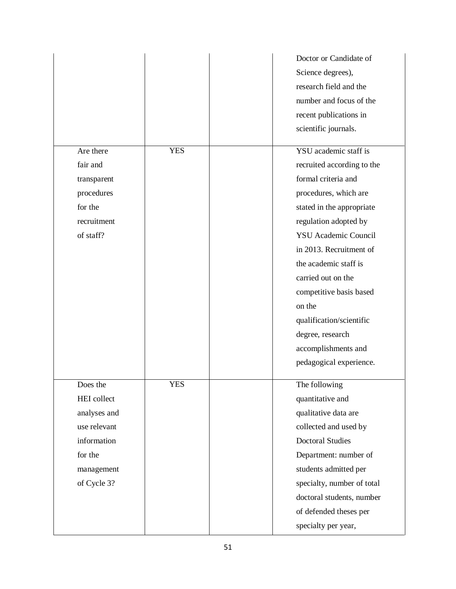|                    |            | Doctor or Candidate of      |
|--------------------|------------|-----------------------------|
|                    |            | Science degrees),           |
|                    |            | research field and the      |
|                    |            | number and focus of the     |
|                    |            | recent publications in      |
|                    |            | scientific journals.        |
|                    |            |                             |
| Are there          | <b>YES</b> | YSU academic staff is       |
| fair and           |            | recruited according to the  |
| transparent        |            | formal criteria and         |
| procedures         |            | procedures, which are       |
| for the            |            | stated in the appropriate   |
| recruitment        |            | regulation adopted by       |
| of staff?          |            | <b>YSU</b> Academic Council |
|                    |            | in 2013. Recruitment of     |
|                    |            | the academic staff is       |
|                    |            | carried out on the          |
|                    |            | competitive basis based     |
|                    |            | on the                      |
|                    |            | qualification/scientific    |
|                    |            | degree, research            |
|                    |            | accomplishments and         |
|                    |            | pedagogical experience.     |
|                    |            |                             |
| Does the           | <b>YES</b> | The following               |
| <b>HEI</b> collect |            | quantitative and            |
| analyses and       |            | qualitative data are        |
| use relevant       |            | collected and used by       |
| information        |            | <b>Doctoral Studies</b>     |
| for the            |            | Department: number of       |
| management         |            | students admitted per       |
| of Cycle 3?        |            | specialty, number of total  |
|                    |            | doctoral students, number   |
|                    |            | of defended theses per      |
|                    |            | specialty per year,         |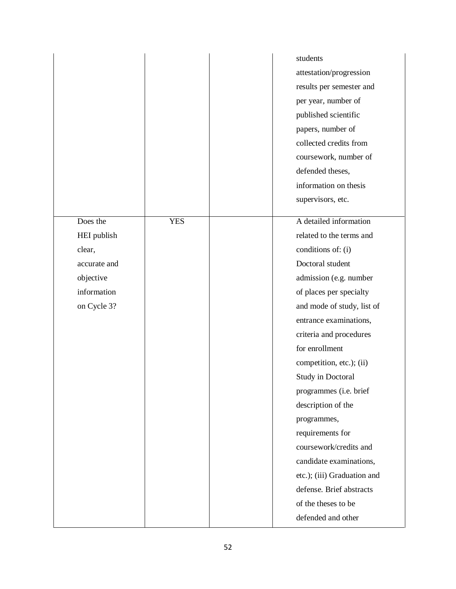|              |            | students                    |
|--------------|------------|-----------------------------|
|              |            | attestation/progression     |
|              |            | results per semester and    |
|              |            | per year, number of         |
|              |            | published scientific        |
|              |            | papers, number of           |
|              |            | collected credits from      |
|              |            | coursework, number of       |
|              |            | defended theses,            |
|              |            | information on thesis       |
|              |            | supervisors, etc.           |
|              |            |                             |
| Does the     | <b>YES</b> | A detailed information      |
| HEI publish  |            | related to the terms and    |
| clear,       |            | conditions of: (i)          |
| accurate and |            | Doctoral student            |
| objective    |            | admission (e.g. number      |
| information  |            | of places per specialty     |
| on Cycle 3?  |            | and mode of study, list of  |
|              |            | entrance examinations,      |
|              |            | criteria and procedures     |
|              |            | for enrollment              |
|              |            | competition, etc.); (ii)    |
|              |            | <b>Study in Doctoral</b>    |
|              |            | programmes (i.e. brief      |
|              |            | description of the          |
|              |            | programmes,                 |
|              |            | requirements for            |
|              |            | coursework/credits and      |
|              |            | candidate examinations,     |
|              |            | etc.); (iii) Graduation and |
|              |            | defense. Brief abstracts    |
|              |            | of the theses to be         |
|              |            | defended and other          |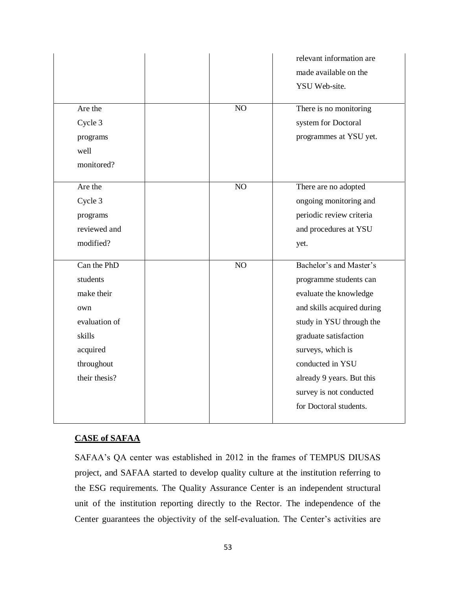|               |    | relevant information are<br>made available on the<br>YSU Web-site. |
|---------------|----|--------------------------------------------------------------------|
| Are the       | NO | There is no monitoring                                             |
| Cycle 3       |    | system for Doctoral                                                |
| programs      |    | programmes at YSU yet.                                             |
| well          |    |                                                                    |
| monitored?    |    |                                                                    |
| Are the       | NO | There are no adopted                                               |
| Cycle 3       |    | ongoing monitoring and                                             |
| programs      |    | periodic review criteria                                           |
| reviewed and  |    | and procedures at YSU                                              |
| modified?     |    | yet.                                                               |
| Can the PhD   | NO | Bachelor's and Master's                                            |
| students      |    | programme students can                                             |
| make their    |    | evaluate the knowledge                                             |
| own           |    | and skills acquired during                                         |
| evaluation of |    | study in YSU through the                                           |
| skills        |    | graduate satisfaction                                              |
| acquired      |    | surveys, which is                                                  |
| throughout    |    | conducted in YSU                                                   |
| their thesis? |    | already 9 years. But this                                          |
|               |    | survey is not conducted                                            |
|               |    | for Doctoral students.                                             |
|               |    |                                                                    |

### **CASE of SAFAA**

SAFAA's QA center was established in 2012 in the frames of TEMPUS DIUSAS project, and SAFAA started to develop quality culture at the institution referring to the ESG requirements. The Quality Assurance Center is an independent structural unit of the institution reporting directly to the Rector. The independence of the Center guarantees the objectivity of the self-evaluation. The Center's activities are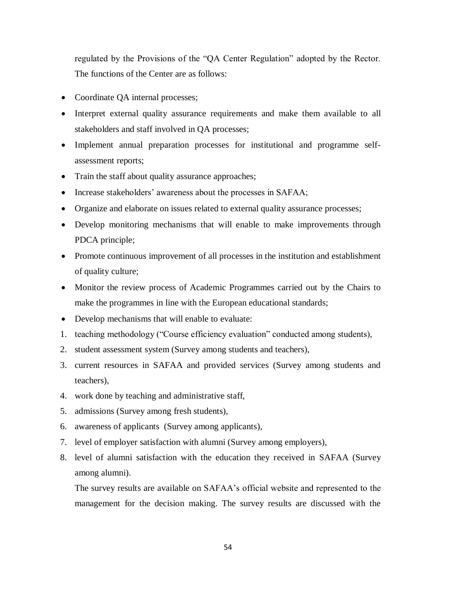regulated by the Provisions of the "QA Center Regulation" adopted by the Rector. The functions of the Center are as follows:

- Coordinate QA internal processes;
- Interpret external quality assurance requirements and make them available to all stakeholders and staff involved in QA processes;
- Implement annual preparation processes for institutional and programme selfassessment reports;
- Train the staff about quality assurance approaches;
- Increase stakeholders' awareness about the processes in SAFAA;
- Organize and elaborate on issues related to external quality assurance processes;
- Develop monitoring mechanisms that will enable to make improvements through PDCA principle;
- Promote continuous improvement of all processes in the institution and establishment of quality culture;
- Monitor the review process of Academic Programmes carried out by the Chairs to make the programmes in line with the European educational standards;
- Develop mechanisms that will enable to evaluate:
- 1. teaching methodology ("Course efficiency evaluation" conducted among students),
- 2. student assessment system (Survey among students and teachers),
- 3. current resources in SAFAA and provided services (Survey among students and teachers),
- 4. work done by teaching and administrative staff,
- 5. admissions (Survey among fresh students),
- 6. awareness of applicants (Survey among applicants),
- 7. level of employer satisfaction with alumni (Survey among employers),
- 8. level of alumni satisfaction with the education they received in SAFAA (Survey among alumni).

The survey results are available on SAFAA's official website and represented to the management for the decision making. The survey results are discussed with the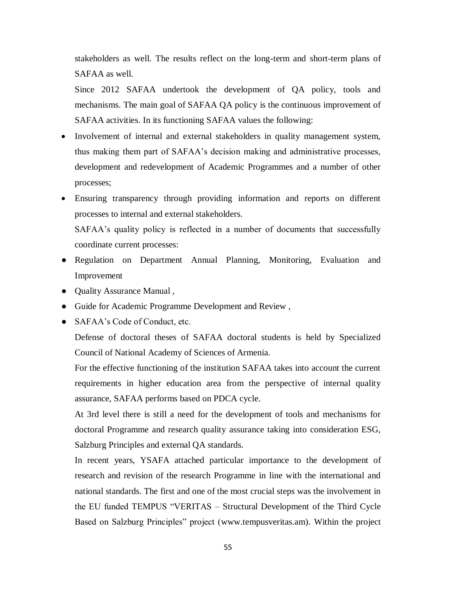stakeholders as well. The results reflect on the long-term and short-term plans of SAFAA as well.

Since 2012 SAFAA undertook the development of QA policy, tools and mechanisms. The main goal of SAFAA QA policy is the continuous improvement of SAFAA activities. In its functioning SAFAA values the following:

- Involvement of internal and external stakeholders in quality management system, thus making them part of SAFAA's decision making and administrative processes, development and redevelopment of Academic Programmes and a number of other processes;
- Ensuring transparency through providing information and reports on different processes to internal and external stakeholders.

SAFAA's quality policy is reflected in a number of documents that successfully coordinate current processes:

- Regulation on Department Annual Planning, Monitoring, Evaluation and Improvement
- Quality Assurance Manual ,
- Guide for Academic Programme Development and Review ,
- SAFAA's Code of Conduct, etc.

Defense of doctoral theses of SAFAA doctoral students is held by Specialized Council of National Academy of Sciences of Armenia.

For the effective functioning of the institution SAFAA takes into account the current requirements in higher education area from the perspective of internal quality assurance, SAFAA performs based on PDCA cycle.

At 3rd level there is still a need for the development of tools and mechanisms for doctoral Programme and research quality assurance taking into consideration ESG, Salzburg Principles and external QA standards.

In recent years, YSAFA attached particular importance to the development of research and revision of the research Programme in line with the international and national standards. The first and one of the most crucial steps was the involvement in the EU funded TEMPUS "VERITAS – Structural Development of the Third Cycle Based on Salzburg Principles" project [\(www.tempusveritas.am\)](http://www.tempusveritas.am/). Within the project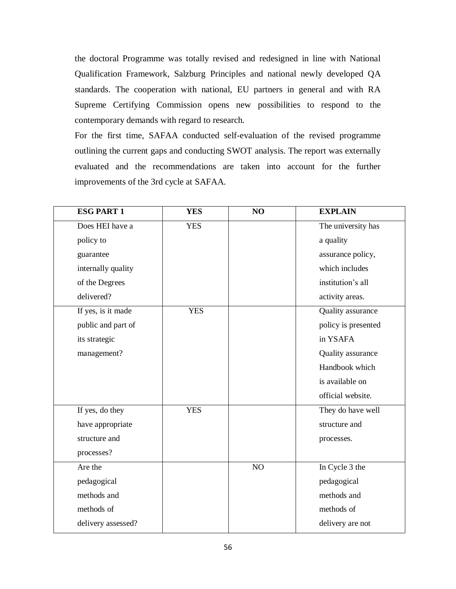the doctoral Programme was totally revised and redesigned in line with National Qualification Framework, Salzburg Principles and national newly developed QA standards. The cooperation with national, EU partners in general and with RA Supreme Certifying Commission opens new possibilities to respond to the contemporary demands with regard to research.

For the first time, SAFAA conducted self-evaluation of the revised programme outlining the current gaps and conducting SWOT analysis. The report was externally evaluated and the recommendations are taken into account for the further improvements of the 3rd cycle at SAFAA.

| <b>ESG PART 1</b>  | <b>YES</b> | NO | <b>EXPLAIN</b>      |
|--------------------|------------|----|---------------------|
| Does HEI have a    | <b>YES</b> |    | The university has  |
| policy to          |            |    | a quality           |
| guarantee          |            |    | assurance policy,   |
| internally quality |            |    | which includes      |
| of the Degrees     |            |    | institution's all   |
| delivered?         |            |    | activity areas.     |
| If yes, is it made | <b>YES</b> |    | Quality assurance   |
| public and part of |            |    | policy is presented |
| its strategic      |            |    | in YSAFA            |
| management?        |            |    | Quality assurance   |
|                    |            |    | Handbook which      |
|                    |            |    | is available on     |
|                    |            |    | official website.   |
| If yes, do they    | <b>YES</b> |    | They do have well   |
| have appropriate   |            |    | structure and       |
| structure and      |            |    | processes.          |
| processes?         |            |    |                     |
| Are the            |            | NO | In Cycle 3 the      |
| pedagogical        |            |    | pedagogical         |
| methods and        |            |    | methods and         |
| methods of         |            |    | methods of          |
| delivery assessed? |            |    | delivery are not    |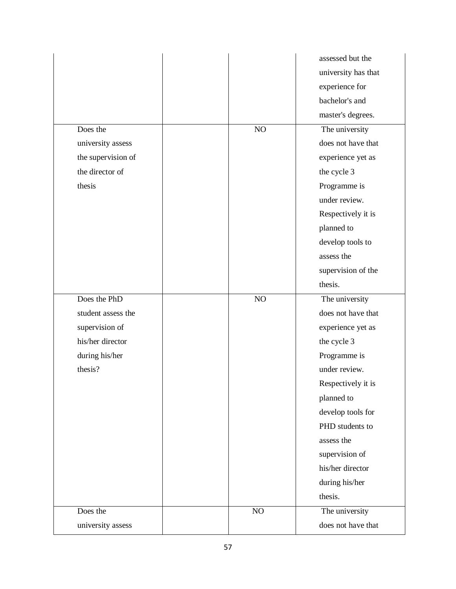|                    |          | assessed but the    |
|--------------------|----------|---------------------|
|                    |          | university has that |
|                    |          | experience for      |
|                    |          | bachelor's and      |
|                    |          | master's degrees.   |
| Does the           | NO       | The university      |
| university assess  |          | does not have that  |
| the supervision of |          | experience yet as   |
| the director of    |          | the cycle 3         |
| thesis             |          | Programme is        |
|                    |          | under review.       |
|                    |          | Respectively it is  |
|                    |          | planned to          |
|                    |          | develop tools to    |
|                    |          | assess the          |
|                    |          | supervision of the  |
|                    |          | thesis.             |
|                    |          |                     |
| Does the PhD       | NO       | The university      |
| student assess the |          | does not have that  |
| supervision of     |          | experience yet as   |
| his/her director   |          | the cycle 3         |
| during his/her     |          | Programme is        |
| thesis?            |          | under review.       |
|                    |          | Respectively it is  |
|                    |          | planned to          |
|                    |          | develop tools for   |
|                    |          | PHD students to     |
|                    |          | assess the          |
|                    |          | supervision of      |
|                    |          | his/her director    |
|                    |          | during his/her      |
|                    |          | thesis.             |
| Does the           | $\rm NO$ | The university      |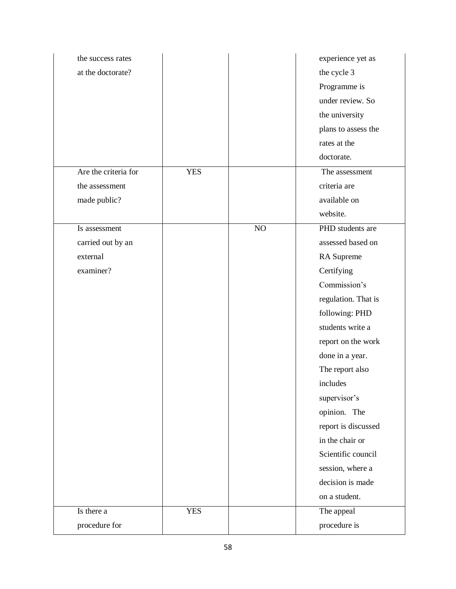| the success rates    |            |          | experience yet as   |
|----------------------|------------|----------|---------------------|
| at the doctorate?    |            |          | the cycle 3         |
|                      |            |          | Programme is        |
|                      |            |          | under review. So    |
|                      |            |          | the university      |
|                      |            |          | plans to assess the |
|                      |            |          | rates at the        |
|                      |            |          | doctorate.          |
| Are the criteria for | <b>YES</b> |          | The assessment      |
| the assessment       |            |          | criteria are        |
| made public?         |            |          | available on        |
|                      |            |          | website.            |
| Is assessment        |            | $\rm NO$ | PHD students are    |
| carried out by an    |            |          | assessed based on   |
| external             |            |          | RA Supreme          |
| examiner?            |            |          | Certifying          |
|                      |            |          | Commission's        |
|                      |            |          | regulation. That is |
|                      |            |          | following: PHD      |
|                      |            |          | students write a    |
|                      |            |          | report on the work  |
|                      |            |          | done in a year.     |
|                      |            |          | The report also     |
|                      |            |          | includes            |
|                      |            |          | supervisor's        |
|                      |            |          | opinion. The        |
|                      |            |          | report is discussed |
|                      |            |          | in the chair or     |
|                      |            |          | Scientific council  |
|                      |            |          | session, where a    |
|                      |            |          | decision is made    |
|                      |            |          | on a student.       |
| Is there a           | <b>YES</b> |          | The appeal          |
| procedure for        |            |          | procedure is        |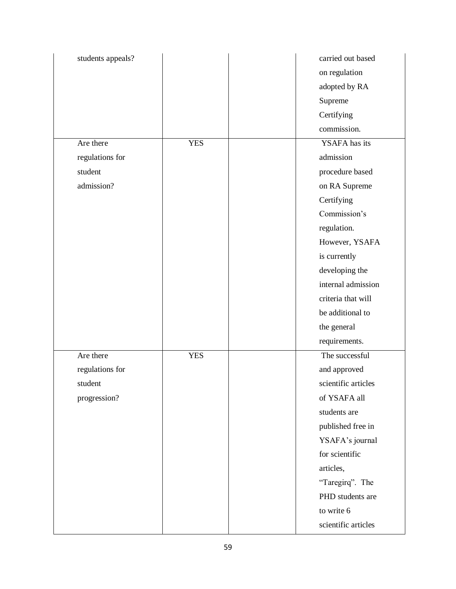| students appeals? |            | carried out based   |
|-------------------|------------|---------------------|
|                   |            | on regulation       |
|                   |            | adopted by RA       |
|                   |            | Supreme             |
|                   |            | Certifying          |
|                   |            | commission.         |
| Are there         | <b>YES</b> | YSAFA has its       |
| regulations for   |            | admission           |
| student           |            | procedure based     |
| admission?        |            | on RA Supreme       |
|                   |            | Certifying          |
|                   |            | Commission's        |
|                   |            | regulation.         |
|                   |            | However, YSAFA      |
|                   |            | is currently        |
|                   |            | developing the      |
|                   |            | internal admission  |
|                   |            | criteria that will  |
|                   |            | be additional to    |
|                   |            | the general         |
|                   |            | requirements.       |
| Are there         | <b>YES</b> | The successful      |
| regulations for   |            | and approved        |
| student           |            | scientific articles |
| progression?      |            | of YSAFA all        |
|                   |            | students are        |
|                   |            | published free in   |
|                   |            | YSAFA's journal     |
|                   |            | for scientific      |
|                   |            | articles,           |
|                   |            | "Taregirq". The     |
|                   |            | PHD students are    |
|                   |            | to write 6          |
|                   |            | scientific articles |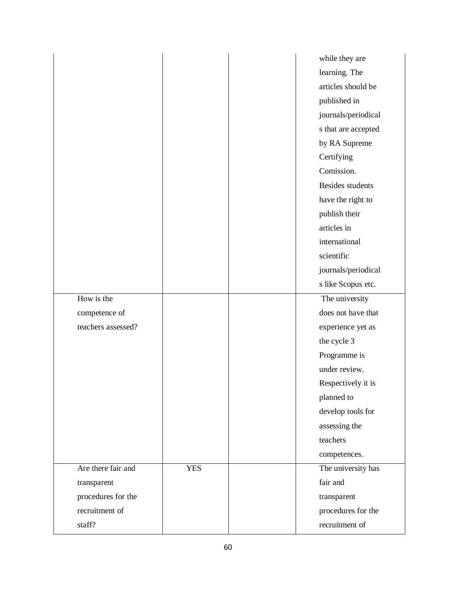|                    |            | while they are          |
|--------------------|------------|-------------------------|
|                    |            | learning. The           |
|                    |            | articles should be      |
|                    |            | published in            |
|                    |            | journals/periodical     |
|                    |            | s that are accepted     |
|                    |            | by RA Supreme           |
|                    |            | Certifying              |
|                    |            | Comission.              |
|                    |            | <b>Besides students</b> |
|                    |            | have the right to       |
|                    |            | publish their           |
|                    |            | articles in             |
|                    |            | international           |
|                    |            | scientific              |
|                    |            | journals/periodical     |
|                    |            | s like Scopus etc.      |
| How is the         |            | The university          |
| competence of      |            | does not have that      |
| teachers assessed? |            | experience yet as       |
|                    |            | the cycle 3             |
|                    |            | Programme is            |
|                    |            | under review.           |
|                    |            | Respectively it is      |
|                    |            | planned to              |
|                    |            | develop tools for       |
|                    |            | assessing the           |
|                    |            | teachers                |
|                    |            | competences.            |
| Are there fair and | <b>YES</b> | The university has      |
| transparent        |            | fair and                |
| procedures for the |            | transparent             |
| recruitment of     |            | procedures for the      |
| staff?             |            | recruitment of          |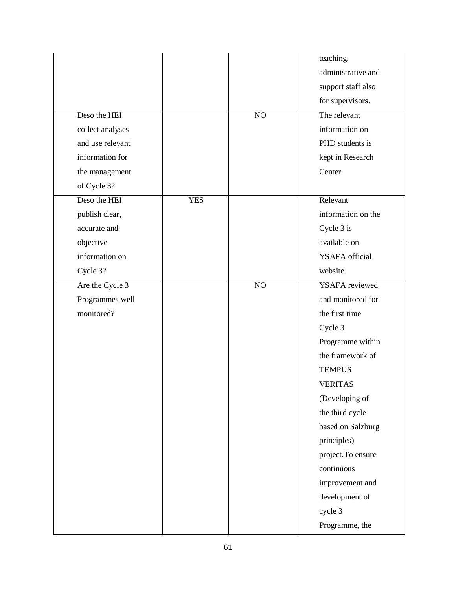|                  |            |    | teaching,             |
|------------------|------------|----|-----------------------|
|                  |            |    | administrative and    |
|                  |            |    | support staff also    |
|                  |            |    | for supervisors.      |
| Deso the HEI     |            | NO | The relevant          |
| collect analyses |            |    | information on        |
| and use relevant |            |    | PHD students is       |
| information for  |            |    | kept in Research      |
| the management   |            |    | Center.               |
| of Cycle 3?      |            |    |                       |
| Deso the HEI     | <b>YES</b> |    | Relevant              |
| publish clear,   |            |    | information on the    |
| accurate and     |            |    | Cycle 3 is            |
| objective        |            |    | available on          |
| information on   |            |    | YSAFA official        |
| Cycle 3?         |            |    | website.              |
| Are the Cycle 3  |            | NO | <b>YSAFA</b> reviewed |
| Programmes well  |            |    | and monitored for     |
| monitored?       |            |    | the first time        |
|                  |            |    | Cycle 3               |
|                  |            |    | Programme within      |
|                  |            |    | the framework of      |
|                  |            |    | <b>TEMPUS</b>         |
|                  |            |    | <b>VERITAS</b>        |
|                  |            |    | (Developing of        |
|                  |            |    | the third cycle       |
|                  |            |    | based on Salzburg     |
|                  |            |    | principles)           |
|                  |            |    | project. To ensure    |
|                  |            |    | continuous            |
|                  |            |    | improvement and       |
|                  |            |    | development of        |
|                  |            |    | cycle 3               |
|                  |            |    | Programme, the        |
|                  |            |    |                       |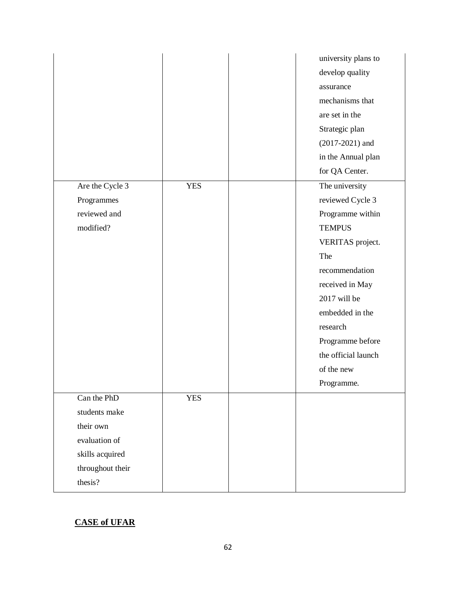|                  |            | university plans to |
|------------------|------------|---------------------|
|                  |            | develop quality     |
|                  |            | assurance           |
|                  |            | mechanisms that     |
|                  |            | are set in the      |
|                  |            | Strategic plan      |
|                  |            | $(2017 - 2021)$ and |
|                  |            | in the Annual plan  |
|                  |            | for QA Center.      |
| Are the Cycle 3  | <b>YES</b> | The university      |
| Programmes       |            | reviewed Cycle 3    |
| reviewed and     |            | Programme within    |
| modified?        |            | <b>TEMPUS</b>       |
|                  |            | VERITAS project.    |
|                  |            | The                 |
|                  |            | recommendation      |
|                  |            | received in May     |
|                  |            | 2017 will be        |
|                  |            | embedded in the     |
|                  |            | research            |
|                  |            | Programme before    |
|                  |            | the official launch |
|                  |            | of the new          |
|                  |            | Programme.          |
| Can the PhD      | <b>YES</b> |                     |
| students make    |            |                     |
| their own        |            |                     |
| evaluation of    |            |                     |
| skills acquired  |            |                     |
| throughout their |            |                     |
| thesis?          |            |                     |

# **CASE of UFAR**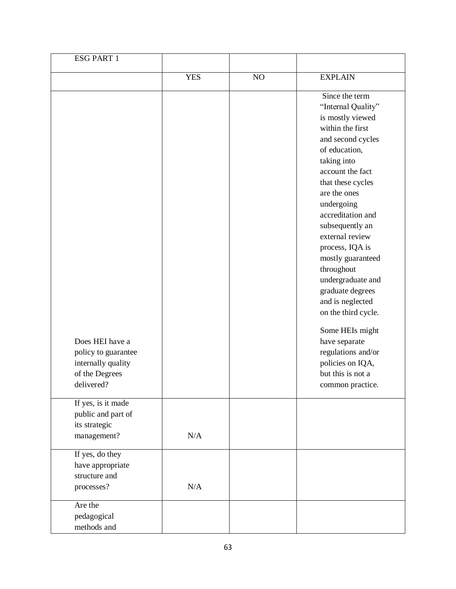| <b>ESG PART 1</b>                                                                            |            |    |                                                                                                                                                                                                                                                                                                                                                                                                                                                                                                                                      |
|----------------------------------------------------------------------------------------------|------------|----|--------------------------------------------------------------------------------------------------------------------------------------------------------------------------------------------------------------------------------------------------------------------------------------------------------------------------------------------------------------------------------------------------------------------------------------------------------------------------------------------------------------------------------------|
|                                                                                              | <b>YES</b> | NO | <b>EXPLAIN</b>                                                                                                                                                                                                                                                                                                                                                                                                                                                                                                                       |
| Does HEI have a<br>policy to guarantee<br>internally quality<br>of the Degrees<br>delivered? |            |    | Since the term<br>"Internal Quality"<br>is mostly viewed<br>within the first<br>and second cycles<br>of education,<br>taking into<br>account the fact<br>that these cycles<br>are the ones<br>undergoing<br>accreditation and<br>subsequently an<br>external review<br>process, IQA is<br>mostly guaranteed<br>throughout<br>undergraduate and<br>graduate degrees<br>and is neglected<br>on the third cycle.<br>Some HEIs might<br>have separate<br>regulations and/or<br>policies on IQA,<br>but this is not a<br>common practice. |
| If yes, is it made<br>public and part of<br>its strategic<br>management?                     | N/A        |    |                                                                                                                                                                                                                                                                                                                                                                                                                                                                                                                                      |
| If yes, do they<br>have appropriate<br>structure and<br>processes?                           | N/A        |    |                                                                                                                                                                                                                                                                                                                                                                                                                                                                                                                                      |
| Are the<br>pedagogical<br>methods and                                                        |            |    |                                                                                                                                                                                                                                                                                                                                                                                                                                                                                                                                      |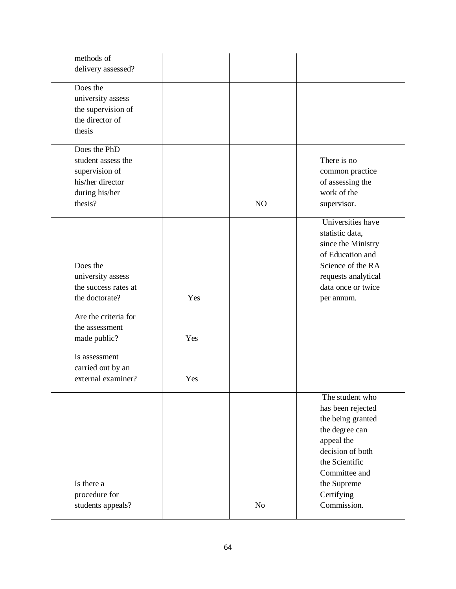| methods of           |     |                |                     |
|----------------------|-----|----------------|---------------------|
| delivery assessed?   |     |                |                     |
|                      |     |                |                     |
| Does the             |     |                |                     |
| university assess    |     |                |                     |
| the supervision of   |     |                |                     |
| the director of      |     |                |                     |
| thesis               |     |                |                     |
| Does the PhD         |     |                |                     |
| student assess the   |     |                | There is no         |
| supervision of       |     |                | common practice     |
| his/her director     |     |                | of assessing the    |
| during his/her       |     |                | work of the         |
| thesis?              |     | NO             | supervisor.         |
|                      |     |                |                     |
|                      |     |                | Universities have   |
|                      |     |                | statistic data,     |
|                      |     |                | since the Ministry  |
|                      |     |                | of Education and    |
| Does the             |     |                | Science of the RA   |
| university assess    |     |                | requests analytical |
| the success rates at |     |                | data once or twice  |
| the doctorate?       | Yes |                | per annum.          |
| Are the criteria for |     |                |                     |
| the assessment       |     |                |                     |
| made public?         | Yes |                |                     |
|                      |     |                |                     |
| Is assessment        |     |                |                     |
| carried out by an    |     |                |                     |
| external examiner?   | Yes |                |                     |
|                      |     |                | The student who     |
|                      |     |                | has been rejected   |
|                      |     |                | the being granted   |
|                      |     |                | the degree can      |
|                      |     |                | appeal the          |
|                      |     |                | decision of both    |
|                      |     |                | the Scientific      |
|                      |     |                | Committee and       |
| Is there a           |     |                |                     |
|                      |     |                | the Supreme         |
| procedure for        |     |                | Certifying          |
| students appeals?    |     | N <sub>o</sub> | Commission.         |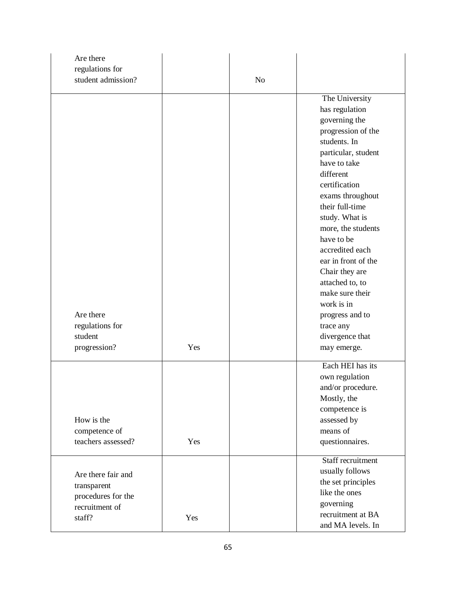| Are there          |     |                |                                      |
|--------------------|-----|----------------|--------------------------------------|
| regulations for    |     |                |                                      |
| student admission? |     | N <sub>o</sub> |                                      |
|                    |     |                | The University                       |
|                    |     |                | has regulation                       |
|                    |     |                | governing the                        |
|                    |     |                | progression of the                   |
|                    |     |                | students. In                         |
|                    |     |                | particular, student                  |
|                    |     |                | have to take                         |
|                    |     |                | different                            |
|                    |     |                | certification                        |
|                    |     |                | exams throughout                     |
|                    |     |                | their full-time                      |
|                    |     |                |                                      |
|                    |     |                | study. What is<br>more, the students |
|                    |     |                | have to be                           |
|                    |     |                | accredited each                      |
|                    |     |                | ear in front of the                  |
|                    |     |                |                                      |
|                    |     |                | Chair they are                       |
|                    |     |                | attached to, to<br>make sure their   |
|                    |     |                |                                      |
|                    |     |                | work is in                           |
| Are there          |     |                | progress and to                      |
| regulations for    |     |                | trace any                            |
| student            |     |                | divergence that                      |
| progression?       | Yes |                | may emerge.                          |
|                    |     |                | Each HEI has its                     |
|                    |     |                | own regulation                       |
|                    |     |                | and/or procedure.                    |
|                    |     |                | Mostly, the                          |
|                    |     |                | competence is                        |
| How is the         |     |                | assessed by                          |
| competence of      |     |                | means of                             |
| teachers assessed? | Yes |                | questionnaires.                      |
|                    |     |                |                                      |
|                    |     |                | Staff recruitment                    |
| Are there fair and |     |                | usually follows                      |
| transparent        |     |                | the set principles                   |
| procedures for the |     |                | like the ones                        |
| recruitment of     |     |                | governing                            |
| staff?             | Yes |                | recruitment at BA                    |
|                    |     |                | and MA levels. In                    |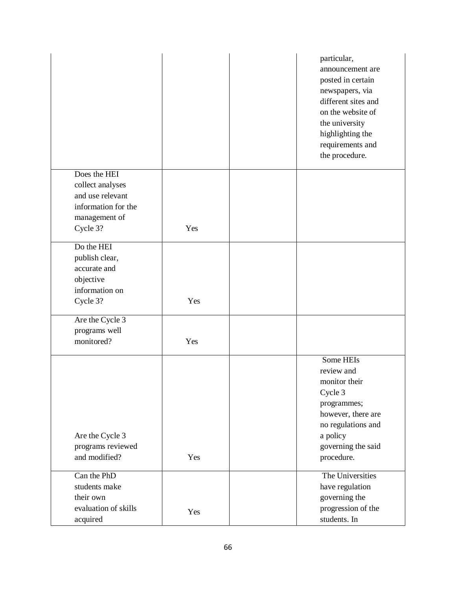| particular,<br>announcement are<br>posted in certain<br>newspapers, via<br>different sites and<br>on the website of<br>the university<br>highlighting the<br>requirements and<br>the procedure. |
|-------------------------------------------------------------------------------------------------------------------------------------------------------------------------------------------------|
|                                                                                                                                                                                                 |
|                                                                                                                                                                                                 |
|                                                                                                                                                                                                 |
|                                                                                                                                                                                                 |
|                                                                                                                                                                                                 |
|                                                                                                                                                                                                 |
|                                                                                                                                                                                                 |
|                                                                                                                                                                                                 |
|                                                                                                                                                                                                 |
|                                                                                                                                                                                                 |
|                                                                                                                                                                                                 |
|                                                                                                                                                                                                 |
|                                                                                                                                                                                                 |
|                                                                                                                                                                                                 |
| Some HEIs                                                                                                                                                                                       |
| review and                                                                                                                                                                                      |
| monitor their                                                                                                                                                                                   |
| Cycle 3                                                                                                                                                                                         |
| programmes;                                                                                                                                                                                     |
| however, there are                                                                                                                                                                              |
| no regulations and                                                                                                                                                                              |
| a policy<br>governing the said                                                                                                                                                                  |
| procedure.                                                                                                                                                                                      |
|                                                                                                                                                                                                 |
| The Universities                                                                                                                                                                                |
| have regulation                                                                                                                                                                                 |
| governing the                                                                                                                                                                                   |
| progression of the<br>students. In                                                                                                                                                              |
|                                                                                                                                                                                                 |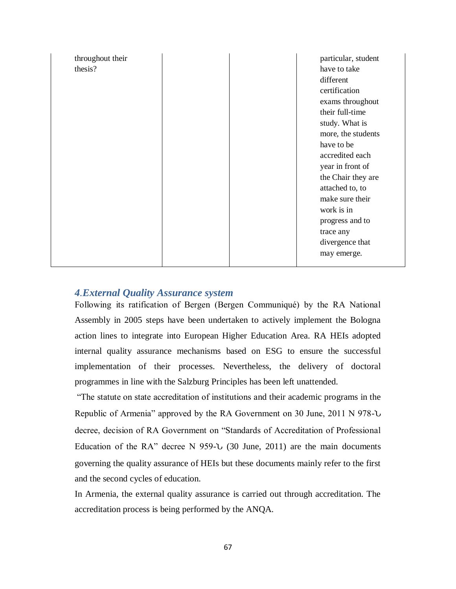| throughout their | particular, student |
|------------------|---------------------|
| thesis?          | have to take        |
|                  | different           |
|                  | certification       |
|                  | exams throughout    |
|                  | their full-time     |
|                  | study. What is      |
|                  | more, the students  |
|                  | have to be          |
|                  | accredited each     |
|                  | year in front of    |
|                  | the Chair they are  |
|                  | attached to, to     |
|                  | make sure their     |
|                  | work is in          |
|                  | progress and to     |
|                  | trace any           |
|                  | divergence that     |
|                  | may emerge.         |

### *4.External Quality Assurance system*

Following its ratification of Bergen (Bergen Communiqué) by the RA National Assembly in 2005 steps have been undertaken to actively implement the Bologna action lines to integrate into European Higher Education Area. RA HEIs adopted internal quality assurance mechanisms based on ESG to ensure the successful implementation of their processes. Nevertheless, the delivery of doctoral programmes in line with the Salzburg Principles has been left unattended.

"The statute on state accreditation of institutions and their academic programs in the Republic of Armenia" approved by the RA Government on 30 June, 2011 N 978-Ն decree, decision of RA Government on "Standards of Accreditation of Professional Education of the RA" decree N 959-Ն (30 June, 2011) are the main documents governing the quality assurance of HEIs but these documents mainly refer to the first and the second cycles of education.

In Armenia, the external quality assurance is carried out through accreditation. The accreditation process is being performed by the ANQA.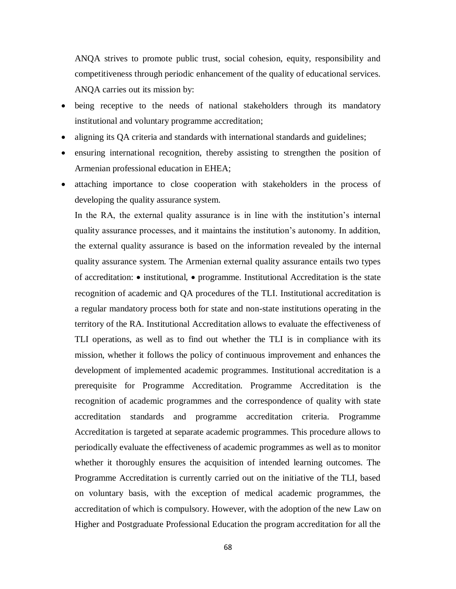ANQA strives to promote public trust, social cohesion, equity, responsibility and competitiveness through periodic enhancement of the quality of educational services. ANQA carries out its mission by:

- being receptive to the needs of national stakeholders through its mandatory institutional and voluntary programme accreditation;
- aligning its QA criteria and standards with international standards and guidelines;
- ensuring international recognition, thereby assisting to strengthen the position of Armenian professional education in EHEA;
- attaching importance to close cooperation with stakeholders in the process of developing the quality assurance system.

In the RA, the external quality assurance is in line with the institution's internal quality assurance processes, and it maintains the institution's autonomy. In addition, the external quality assurance is based on the information revealed by the internal quality assurance system. The Armenian external quality assurance entails two types of accreditation:  $\bullet$  institutional,  $\bullet$  programme. Institutional Accreditation is the state recognition of academic and QA procedures of the TLI. Institutional accreditation is a regular mandatory process both for state and non-state institutions operating in the territory of the RA. Institutional Accreditation allows to evaluate the effectiveness of TLI operations, as well as to find out whether the TLI is in compliance with its mission, whether it follows the policy of continuous improvement and enhances the development of implemented academic programmes. Institutional accreditation is a prerequisite for Programme Accreditation. Programme Accreditation is the recognition of academic programmes and the correspondence of quality with state accreditation standards and programme accreditation criteria. Programme Accreditation is targeted at separate academic programmes. This procedure allows to periodically evaluate the effectiveness of academic programmes as well as to monitor whether it thoroughly ensures the acquisition of intended learning outcomes. The Programme Accreditation is currently carried out on the initiative of the TLI, based on voluntary basis, with the exception of medical academic programmes, the accreditation of which is compulsory. However, with the adoption of the new Law on Higher and Postgraduate Professional Education the program accreditation for all the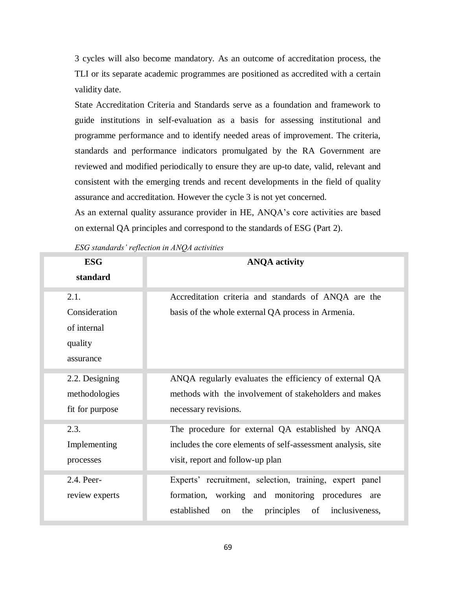3 cycles will also become mandatory. As an outcome of accreditation process, the TLI or its separate academic programmes are positioned as accredited with a certain validity date.

State Accreditation Criteria and Standards serve as a foundation and framework to guide institutions in self-evaluation as a basis for assessing institutional and programme performance and to identify needed areas of improvement. The criteria, standards and performance indicators promulgated by the RA Government are reviewed and modified periodically to ensure they are up-to date, valid, relevant and consistent with the emerging trends and recent developments in the field of quality assurance and accreditation. However the cycle 3 is not yet concerned.

As an external quality assurance provider in HE, ANQA's core activities are based on external QA principles and correspond to the standards of ESG (Part 2).

*ESG standards' reflection in ANQA activities*

| <b>ESG</b><br>standard | <b>ANQA</b> activity                                           |
|------------------------|----------------------------------------------------------------|
|                        |                                                                |
| 2.1.                   | Accreditation criteria and standards of ANQA are the           |
| Consideration          | basis of the whole external QA process in Armenia.             |
| of internal            |                                                                |
| quality                |                                                                |
| assurance              |                                                                |
|                        |                                                                |
| 2.2. Designing         | ANQA regularly evaluates the efficiency of external QA         |
| methodologies          | methods with the involvement of stakeholders and makes         |
| fit for purpose        | necessary revisions.                                           |
| 2.3.                   | The procedure for external QA established by ANQA              |
| Implementing           | includes the core elements of self-assessment analysis, site   |
| processes              | visit, report and follow-up plan                               |
| 2.4. Peer-             | Experts' recruitment, selection, training, expert panel        |
|                        |                                                                |
| review experts         | formation, working and monitoring procedures are               |
|                        | established<br>the<br>principles<br>of<br>inclusiveness,<br>on |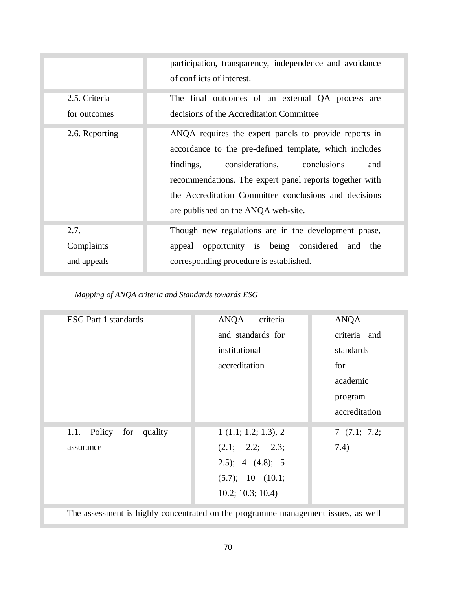|                | participation, transparency, independence and avoidance<br>of conflicts of interest.                                                                                                                                                                                                                                          |
|----------------|-------------------------------------------------------------------------------------------------------------------------------------------------------------------------------------------------------------------------------------------------------------------------------------------------------------------------------|
| 2.5. Criteria  | The final outcomes of an external QA process are                                                                                                                                                                                                                                                                              |
| for outcomes   | decisions of the Accreditation Committee                                                                                                                                                                                                                                                                                      |
| 2.6. Reporting | ANQA requires the expert panels to provide reports in<br>accordance to the pre-defined template, which includes<br>findings,<br>considerations, conclusions<br>and<br>recommendations. The expert panel reports together with<br>the Accreditation Committee conclusions and decisions<br>are published on the ANQA web-site. |
| 2.7.           | Though new regulations are in the development phase,                                                                                                                                                                                                                                                                          |
| Complaints     | appeal opportunity is being considered and the                                                                                                                                                                                                                                                                                |
| and appeals    | corresponding procedure is established.                                                                                                                                                                                                                                                                                       |

*Mapping of ANQA criteria and Standards towards ESG*

| <b>ESG Part 1 standards</b>                                                       | ANQA<br>criteria      | <b>ANQA</b>   |
|-----------------------------------------------------------------------------------|-----------------------|---------------|
|                                                                                   | and standards for     | criteria and  |
|                                                                                   | institutional         | standards     |
|                                                                                   | accreditation         | for           |
|                                                                                   |                       | academic      |
|                                                                                   |                       | program       |
|                                                                                   |                       | accreditation |
| Policy<br>for<br>quality<br>1.1.                                                  | 1(1.1; 1.2; 1.3), 2   | 7(7.1; 7.2;   |
| assurance                                                                         | (2.1; 2.2; 2.3;       | 7.4)          |
|                                                                                   | $(4.8);$ 4 $(4.8);$ 5 |               |
|                                                                                   | (5.7); 10 (10.1;      |               |
|                                                                                   | 10.2; 10.3; 10.4)     |               |
| The assessment is highly concentrated on the programme management issues, as well |                       |               |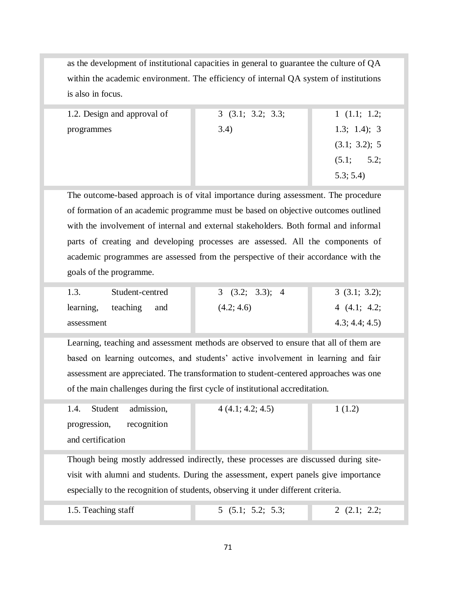as the development of institutional capacities in general to guarantee the culture of QA within the academic environment. The efficiency of internal QA system of institutions is also in focus.

| 1.2. Design and approval of | 3(3.1; 3.2; 3.3; | 1(1.1; 1.2;   |
|-----------------------------|------------------|---------------|
| programmes                  | 3.4)             | 1.3; 1.4); 3  |
|                             |                  | (3.1; 3.2); 5 |
|                             |                  | (5.1; 5.2;    |
|                             |                  | 5.3; 5.4      |

The outcome-based approach is of vital importance during assessment. The procedure of formation of an academic programme must be based on objective outcomes outlined with the involvement of internal and external stakeholders. Both formal and informal parts of creating and developing processes are assessed. All the components of academic programmes are assessed from the perspective of their accordance with the goals of the programme.

| 1.3.               | Student-centred | (3.2; 3.3); 4 | 3(3.1; 3.2);   |
|--------------------|-----------------|---------------|----------------|
| learning, teaching | and             | (4.2; 4.6)    | 4(4.1; 4.2;    |
| assessment         |                 |               | 4.3; 4.4; 4.5) |

Learning, teaching and assessment methods are observed to ensure that all of them are based on learning outcomes, and students' active involvement in learning and fair assessment are appreciated. The transformation to student-centered approaches was one of the main challenges during the first cycle of institutional accreditation.

| 1.4. Student admission,                                                             |  | 4(4.1; 4.2; 4.5) | 1(1.2) |
|-------------------------------------------------------------------------------------|--|------------------|--------|
| progression, recognition                                                            |  |                  |        |
| and certification                                                                   |  |                  |        |
|                                                                                     |  |                  |        |
| Though being mostly addressed indirectly these processes are discussed during site- |  |                  |        |

ostly addressed indirectly, these processes are discussed during site visit with alumni and students. During the assessment, expert panels give importance especially to the recognition of students, observing it under different criteria.

|--|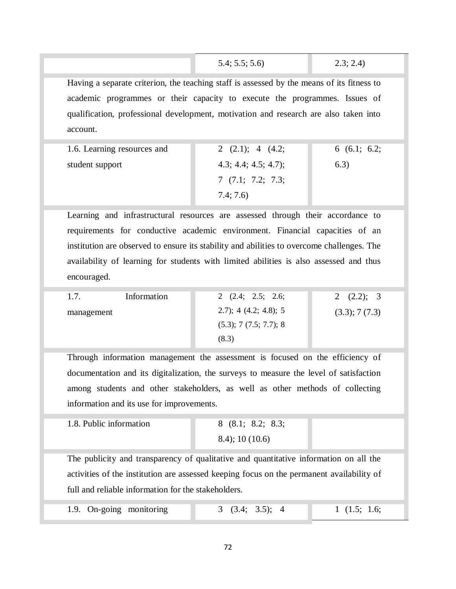5.4; 5.5; 5.6) 2.3; 2.4)

Having a separate criterion, the teaching staff is assessed by the means of its fitness to academic programmes or their capacity to execute the programmes. Issues of qualification, professional development, motivation and research are also taken into account.

| 1.6. Learning resources and | 2 $(2.1)$ ; 4 $(4.2)$ ; | 6(6.1; 6.2; |
|-----------------------------|-------------------------|-------------|
| student support             | 4.3; 4.4; 4.5; 4.7);    | 6.3)        |
|                             | 7(7.1; 7.2; 7.3;        |             |
|                             | 7.4; 7.6)               |             |

Learning and infrastructural resources are assessed through their accordance to requirements for conductive academic environment. Financial capacities of an institution are observed to ensure its stability and abilities to overcome challenges. The availability of learning for students with limited abilities is also assessed and thus encouraged.

| 1.7.       | Information | 2 $(2.4; 2.5; 2.6;$          | 2 $(2.2)$ ; 3 |
|------------|-------------|------------------------------|---------------|
| management |             | $(2.7)$ ; 4 $(4.2; 4.8)$ ; 5 | (3.3); 7(7.3) |
|            |             | $(5.3)$ ; 7 $(7.5; 7.7)$ ; 8 |               |
|            |             | (8.3)                        |               |

Through information management the assessment is focused on the efficiency of documentation and its digitalization, the surveys to measure the level of satisfaction among students and other stakeholders, as well as other methods of collecting information and its use for improvements.

| 1.8. Public information | 8(8.1; 8.2; 8.3;    |  |
|-------------------------|---------------------|--|
|                         | $(8.4)$ ; 10 (10.6) |  |

The publicity and transparency of qualitative and quantitative information on all the activities of the institution are assessed keeping focus on the permanent availability of full and reliable information for the stakeholders.

| 1.9. On-going monitoring | (3.4; 3.5); 4 | 1(1.5; 1.6; |
|--------------------------|---------------|-------------|
|--------------------------|---------------|-------------|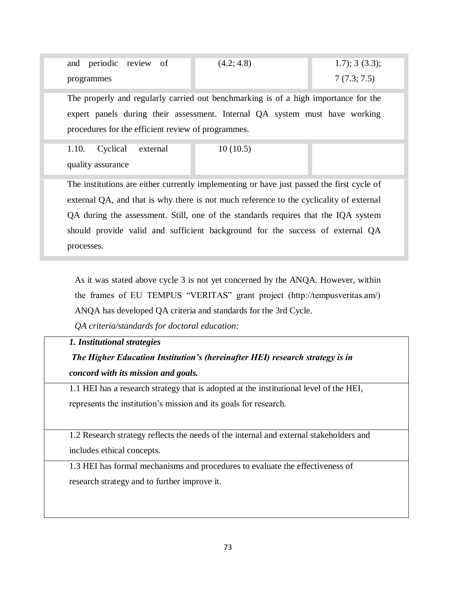| and periodic review of | (4.2; 4.8) | $1.7$ ; 3 (3.3); |
|------------------------|------------|------------------|
| programmes             |            | 7(7.3; 7.5)      |

The properly and regularly carried out benchmarking is of a high importance for the expert panels during their assessment. Internal QA system must have working procedures for the efficient review of programmes.

1.10. Cyclical external quality assurance

10 (10.5)

The institutions are either currently implementing or have just passed the first cycle of external QA, and that is why there is not much reference to the cyclicality of external QA during the assessment. Still, one of the standards requires that the IQA system should provide valid and sufficient background for the success of external QA processes.

As it was stated above cycle 3 is not yet concerned by the ANQA. However, within the frames of EU TEMPUS "VERITAS" grant project (http://tempusveritas.am/) ANQA has developed QA criteria and standards for the 3rd Cycle.

*QA criteria/standards for doctoral education:* 

#### *1. Institutional strategies*

*The Higher Education Institution's (hereinafter HEI) research strategy is in concord with its mission and goals.* 

1.1 HEI has a research strategy that is adopted at the institutional level of the HEI, represents the institution's mission and its goals for research.

1.2 Research strategy reflects the needs of the internal and external stakeholders and includes ethical concepts.

1.3 HEI has formal mechanisms and procedures to evaluate the effectiveness of research strategy and to further improve it.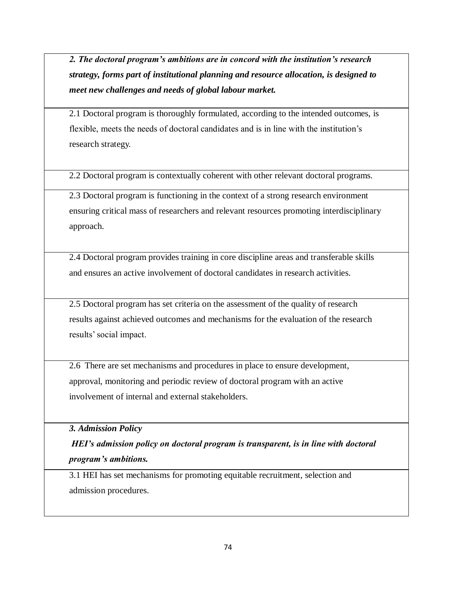*2. The doctoral program's ambitions are in concord with the institution's research strategy, forms part of institutional planning and resource allocation, is designed to meet new challenges and needs of global labour market.* 

2.1 Doctoral program is thoroughly formulated, according to the intended outcomes, is flexible, meets the needs of doctoral candidates and is in line with the institution's research strategy.

2.2 Doctoral program is contextually coherent with other relevant doctoral programs.

2.3 Doctoral program is functioning in the context of a strong research environment ensuring critical mass of researchers and relevant resources promoting interdisciplinary approach.

2.4 Doctoral program provides training in core discipline areas and transferable skills and ensures an active involvement of doctoral candidates in research activities.

2.5 Doctoral program has set criteria on the assessment of the quality of research results against achieved outcomes and mechanisms for the evaluation of the research results' social impact.

2.6 There are set mechanisms and procedures in place to ensure development, approval, monitoring and periodic review of doctoral program with an active involvement of internal and external stakeholders.

*3. Admission Policy*

*HEI's admission policy on doctoral program is transparent, is in line with doctoral program's ambitions.*

3.1 HEI has set mechanisms for promoting equitable recruitment, selection and admission procedures.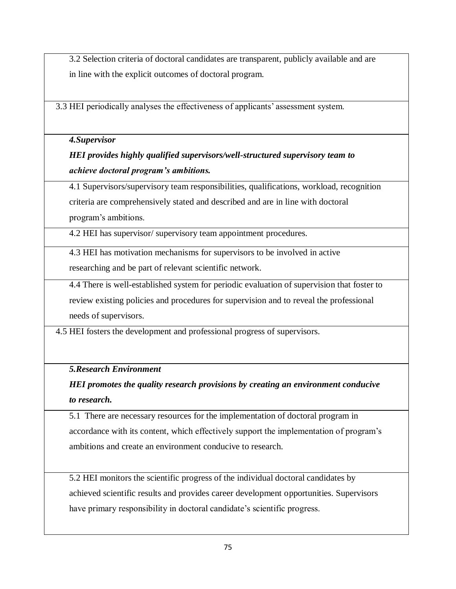3.2 Selection criteria of doctoral candidates are transparent, publicly available and are in line with the explicit outcomes of doctoral program.

3.3 HEI periodically analyses the effectiveness of applicants' assessment system.

### *4.Supervisor*

# *HEI provides highly qualified supervisors/well-structured supervisory team to achieve doctoral program's ambitions.*

4.1 Supervisors/supervisory team responsibilities, qualifications, workload, recognition criteria are comprehensively stated and described and are in line with doctoral program's ambitions.

4.2 HEI has supervisor/ supervisory team appointment procedures.

4.3 HEI has motivation mechanisms for supervisors to be involved in active researching and be part of relevant scientific network.

4.4 There is well-established system for periodic evaluation of supervision that foster to review existing policies and procedures for supervision and to reveal the professional needs of supervisors.

4.5 HEI fosters the development and professional progress of supervisors.

### *5.Research Environment*

## *HEI promotes the quality research provisions by creating an environment conducive to research.*

5.1 There are necessary resources for the implementation of doctoral program in accordance with its content, which effectively support the implementation of program's ambitions and create an environment conducive to research.

5.2 HEI monitors the scientific progress of the individual doctoral candidates by achieved scientific results and provides career development opportunities. Supervisors have primary responsibility in doctoral candidate's scientific progress.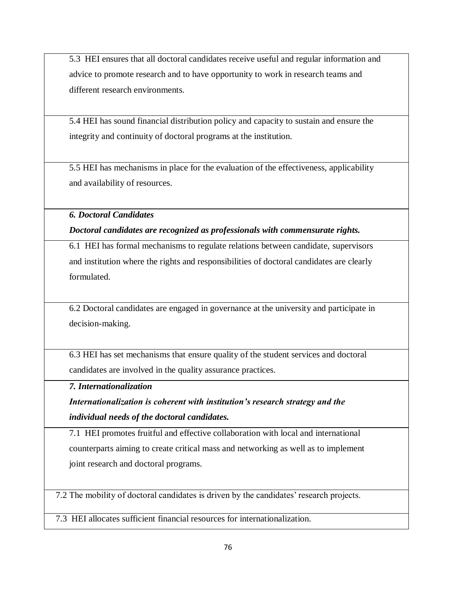5.3 HEI ensures that all doctoral candidates receive useful and regular information and advice to promote research and to have opportunity to work in research teams and different research environments.

5.4 HEI has sound financial distribution policy and capacity to sustain and ensure the integrity and continuity of doctoral programs at the institution.

5.5 HEI has mechanisms in place for the evaluation of the effectiveness, applicability and availability of resources.

*6. Doctoral Candidates*

*Doctoral candidates are recognized as professionals with commensurate rights.*

6.1 HEI has formal mechanisms to regulate relations between candidate, supervisors and institution where the rights and responsibilities of doctoral candidates are clearly formulated.

6.2 Doctoral candidates are engaged in governance at the university and participate in decision-making.

6.3 HEI has set mechanisms that ensure quality of the student services and doctoral candidates are involved in the quality assurance practices.

*7. Internationalization*

*Internationalization is coherent with institution's research strategy and the individual needs of the doctoral candidates.*

7.1 HEI promotes fruitful and effective collaboration with local and international counterparts aiming to create critical mass and networking as well as to implement joint research and doctoral programs.

7.2 The mobility of doctoral candidates is driven by the candidates' research projects.

7.3 HEI allocates sufficient financial resources for internationalization.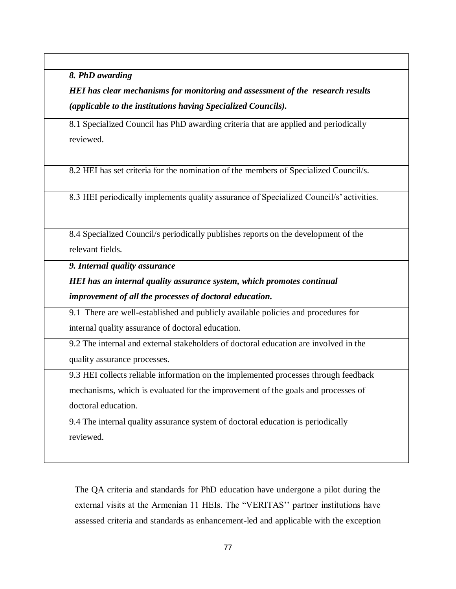*8. PhD awarding* 

*HEI has clear mechanisms for monitoring and assessment of the research results (applicable to the institutions having Specialized Councils).* 

8.1 Specialized Council has PhD awarding criteria that are applied and periodically reviewed.

8.2 HEI has set criteria for the nomination of the members of Specialized Council/s.

8.3 HEI periodically implements quality assurance of Specialized Council/s' activities.

8.4 Specialized Council/s periodically publishes reports on the development of the relevant fields.

*9. Internal quality assurance* 

*HEI has an internal quality assurance system, which promotes continual improvement of all the processes of doctoral education.*

9.1 There are well-established and publicly available policies and procedures for internal quality assurance of doctoral education.

9.2 The internal and external stakeholders of doctoral education are involved in the quality assurance processes.

9.3 HEI collects reliable information on the implemented processes through feedback mechanisms, which is evaluated for the improvement of the goals and processes of doctoral education.

9.4 The internal quality assurance system of doctoral education is periodically reviewed.

The QA criteria and standards for PhD education have undergone a pilot during the external visits at the Armenian 11 HEIs. The "VERITAS'' partner institutions have assessed criteria and standards as enhancement-led and applicable with the exception